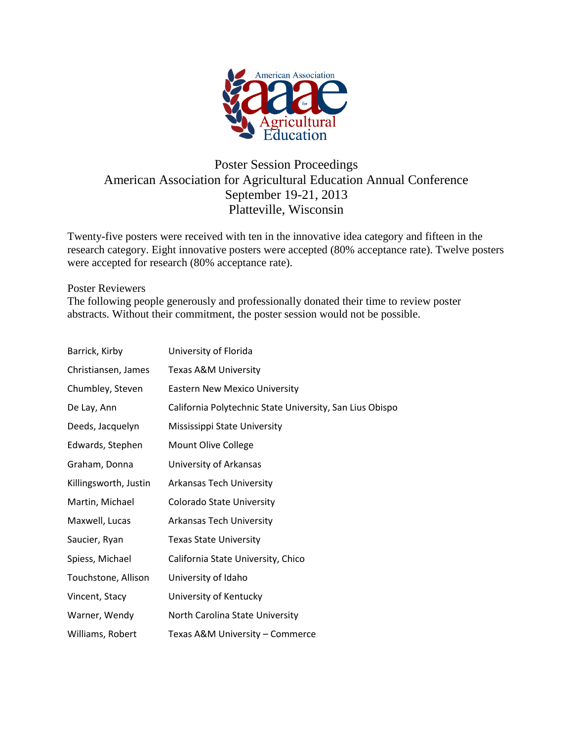

## Poster Session Proceedings American Association for Agricultural Education Annual Conference September 19-21, 2013 Platteville, Wisconsin

Twenty-five posters were received with ten in the innovative idea category and fifteen in the research category. Eight innovative posters were accepted (80% acceptance rate). Twelve posters were accepted for research (80% acceptance rate).

#### Poster Reviewers

The following people generously and professionally donated their time to review poster abstracts. Without their commitment, the poster session would not be possible.

| Barrick, Kirby        | University of Florida                                    |
|-----------------------|----------------------------------------------------------|
| Christiansen, James   | Texas A&M University                                     |
| Chumbley, Steven      | <b>Eastern New Mexico University</b>                     |
| De Lay, Ann           | California Polytechnic State University, San Lius Obispo |
| Deeds, Jacquelyn      | Mississippi State University                             |
| Edwards, Stephen      | Mount Olive College                                      |
| Graham, Donna         | University of Arkansas                                   |
| Killingsworth, Justin | <b>Arkansas Tech University</b>                          |
| Martin, Michael       | Colorado State University                                |
| Maxwell, Lucas        | Arkansas Tech University                                 |
| Saucier, Ryan         | <b>Texas State University</b>                            |
| Spiess, Michael       | California State University, Chico                       |
| Touchstone, Allison   | University of Idaho                                      |
| Vincent, Stacy        | University of Kentucky                                   |
| Warner, Wendy         | North Carolina State University                          |
| Williams, Robert      | Texas A&M University - Commerce                          |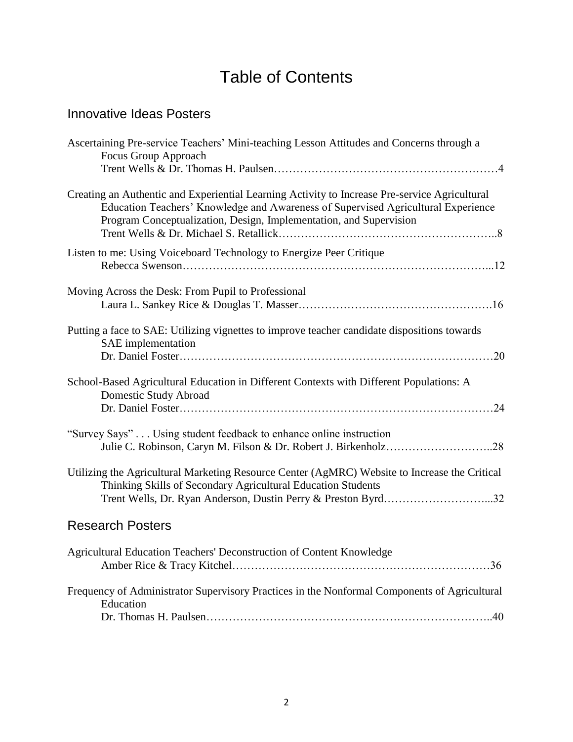# Table of Contents

## Innovative Ideas Posters

| Ascertaining Pre-service Teachers' Mini-teaching Lesson Attitudes and Concerns through a<br>Focus Group Approach                                                                                                                                         |
|----------------------------------------------------------------------------------------------------------------------------------------------------------------------------------------------------------------------------------------------------------|
| Creating an Authentic and Experiential Learning Activity to Increase Pre-service Agricultural<br>Education Teachers' Knowledge and Awareness of Supervised Agricultural Experience<br>Program Conceptualization, Design, Implementation, and Supervision |
| Listen to me: Using Voiceboard Technology to Energize Peer Critique                                                                                                                                                                                      |
| Moving Across the Desk: From Pupil to Professional                                                                                                                                                                                                       |
| Putting a face to SAE: Utilizing vignettes to improve teacher candidate dispositions towards<br>SAE implementation<br>. 20                                                                                                                               |
| School-Based Agricultural Education in Different Contexts with Different Populations: A<br>Domestic Study Abroad                                                                                                                                         |
| "Survey Says" Using student feedback to enhance online instruction<br>Julie C. Robinson, Caryn M. Filson & Dr. Robert J. Birkenholz28                                                                                                                    |
| Utilizing the Agricultural Marketing Resource Center (AgMRC) Website to Increase the Critical<br>Thinking Skills of Secondary Agricultural Education Students<br>Trent Wells, Dr. Ryan Anderson, Dustin Perry & Preston Byrd32                           |
| <b>Research Posters</b>                                                                                                                                                                                                                                  |
| Agricultural Education Teachers' Deconstruction of Content Knowledge                                                                                                                                                                                     |
| Frequency of Administrator Supervisory Practices in the Nonformal Components of Agricultural<br>Education                                                                                                                                                |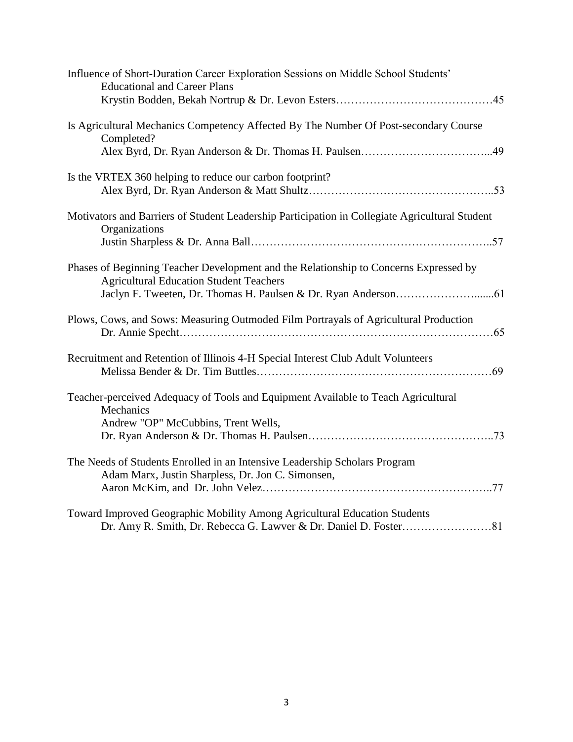| Influence of Short-Duration Career Exploration Sessions on Middle School Students'<br><b>Educational and Career Plans</b>               |
|-----------------------------------------------------------------------------------------------------------------------------------------|
| Is Agricultural Mechanics Competency Affected By The Number Of Post-secondary Course<br>Completed?                                      |
|                                                                                                                                         |
| Is the VRTEX 360 helping to reduce our carbon footprint?                                                                                |
| Motivators and Barriers of Student Leadership Participation in Collegiate Agricultural Student<br>Organizations                         |
| Phases of Beginning Teacher Development and the Relationship to Concerns Expressed by<br><b>Agricultural Education Student Teachers</b> |
| Plows, Cows, and Sows: Measuring Outmoded Film Portrayals of Agricultural Production                                                    |
| Recruitment and Retention of Illinois 4-H Special Interest Club Adult Volunteers                                                        |
| Teacher-perceived Adequacy of Tools and Equipment Available to Teach Agricultural<br>Mechanics<br>Andrew "OP" McCubbins, Trent Wells,   |
| The Needs of Students Enrolled in an Intensive Leadership Scholars Program<br>Adam Marx, Justin Sharpless, Dr. Jon C. Simonsen,         |
| Toward Improved Geographic Mobility Among Agricultural Education Students                                                               |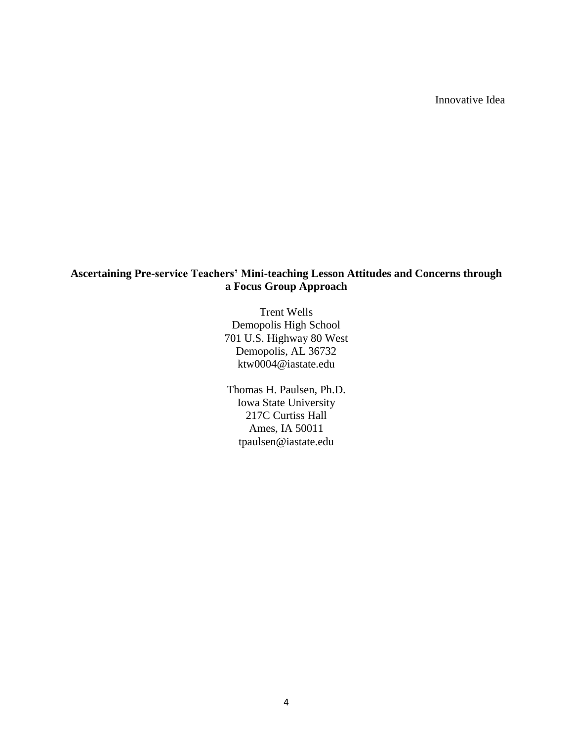Innovative Idea

## **Ascertaining Pre-service Teachers' Mini-teaching Lesson Attitudes and Concerns through a Focus Group Approach**

Trent Wells Demopolis High School 701 U.S. Highway 80 West Demopolis, AL 36732 ktw0004@iastate.edu

Thomas H. Paulsen, Ph.D. Iowa State University 217C Curtiss Hall Ames, IA 50011 tpaulsen@iastate.edu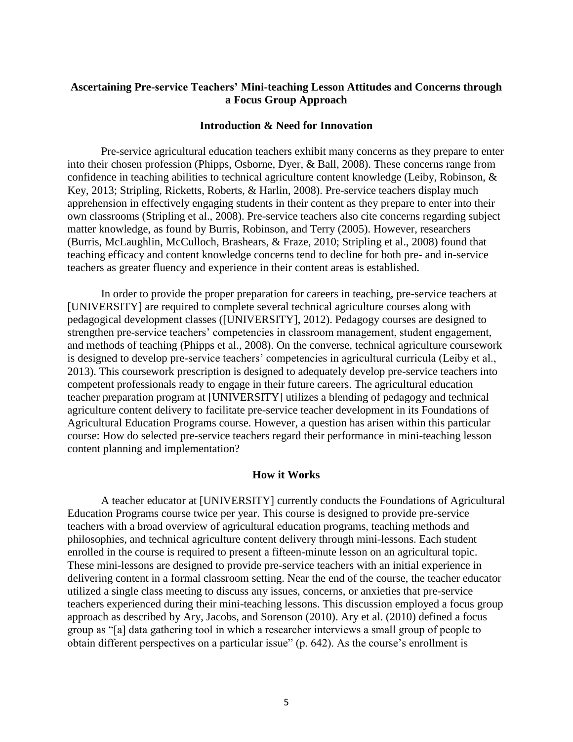## **Ascertaining Pre-service Teachers' Mini-teaching Lesson Attitudes and Concerns through a Focus Group Approach**

#### **Introduction & Need for Innovation**

Pre-service agricultural education teachers exhibit many concerns as they prepare to enter into their chosen profession (Phipps, Osborne, Dyer, & Ball, 2008). These concerns range from confidence in teaching abilities to technical agriculture content knowledge (Leiby, Robinson, & Key, 2013; Stripling, Ricketts, Roberts, & Harlin, 2008). Pre-service teachers display much apprehension in effectively engaging students in their content as they prepare to enter into their own classrooms (Stripling et al., 2008). Pre-service teachers also cite concerns regarding subject matter knowledge, as found by Burris, Robinson, and Terry (2005). However, researchers (Burris, McLaughlin, McCulloch, Brashears, & Fraze, 2010; Stripling et al., 2008) found that teaching efficacy and content knowledge concerns tend to decline for both pre- and in-service teachers as greater fluency and experience in their content areas is established.

In order to provide the proper preparation for careers in teaching, pre-service teachers at [UNIVERSITY] are required to complete several technical agriculture courses along with pedagogical development classes ([UNIVERSITY], 2012). Pedagogy courses are designed to strengthen pre-service teachers' competencies in classroom management, student engagement, and methods of teaching (Phipps et al., 2008). On the converse, technical agriculture coursework is designed to develop pre-service teachers' competencies in agricultural curricula (Leiby et al., 2013). This coursework prescription is designed to adequately develop pre-service teachers into competent professionals ready to engage in their future careers. The agricultural education teacher preparation program at [UNIVERSITY] utilizes a blending of pedagogy and technical agriculture content delivery to facilitate pre-service teacher development in its Foundations of Agricultural Education Programs course. However, a question has arisen within this particular course: How do selected pre-service teachers regard their performance in mini-teaching lesson content planning and implementation?

#### **How it Works**

A teacher educator at [UNIVERSITY] currently conducts the Foundations of Agricultural Education Programs course twice per year. This course is designed to provide pre-service teachers with a broad overview of agricultural education programs, teaching methods and philosophies, and technical agriculture content delivery through mini-lessons. Each student enrolled in the course is required to present a fifteen-minute lesson on an agricultural topic. These mini-lessons are designed to provide pre-service teachers with an initial experience in delivering content in a formal classroom setting. Near the end of the course, the teacher educator utilized a single class meeting to discuss any issues, concerns, or anxieties that pre-service teachers experienced during their mini-teaching lessons. This discussion employed a focus group approach as described by Ary, Jacobs, and Sorenson (2010). Ary et al. (2010) defined a focus group as "[a] data gathering tool in which a researcher interviews a small group of people to obtain different perspectives on a particular issue" (p. 642). As the course's enrollment is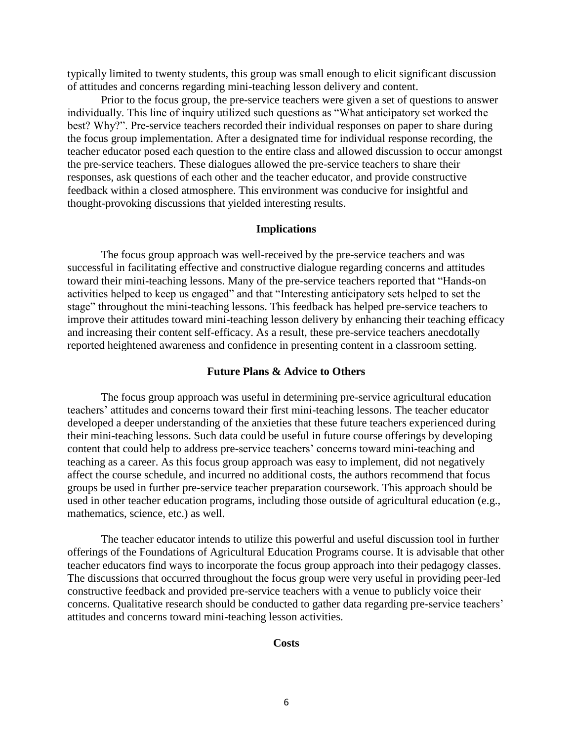typically limited to twenty students, this group was small enough to elicit significant discussion of attitudes and concerns regarding mini-teaching lesson delivery and content.

Prior to the focus group, the pre-service teachers were given a set of questions to answer individually. This line of inquiry utilized such questions as "What anticipatory set worked the best? Why?". Pre-service teachers recorded their individual responses on paper to share during the focus group implementation. After a designated time for individual response recording, the teacher educator posed each question to the entire class and allowed discussion to occur amongst the pre-service teachers. These dialogues allowed the pre-service teachers to share their responses, ask questions of each other and the teacher educator, and provide constructive feedback within a closed atmosphere. This environment was conducive for insightful and thought-provoking discussions that yielded interesting results.

#### **Implications**

The focus group approach was well-received by the pre-service teachers and was successful in facilitating effective and constructive dialogue regarding concerns and attitudes toward their mini-teaching lessons. Many of the pre-service teachers reported that "Hands-on activities helped to keep us engaged" and that "Interesting anticipatory sets helped to set the stage" throughout the mini-teaching lessons. This feedback has helped pre-service teachers to improve their attitudes toward mini-teaching lesson delivery by enhancing their teaching efficacy and increasing their content self-efficacy. As a result, these pre-service teachers anecdotally reported heightened awareness and confidence in presenting content in a classroom setting.

#### **Future Plans & Advice to Others**

The focus group approach was useful in determining pre-service agricultural education teachers' attitudes and concerns toward their first mini-teaching lessons. The teacher educator developed a deeper understanding of the anxieties that these future teachers experienced during their mini-teaching lessons. Such data could be useful in future course offerings by developing content that could help to address pre-service teachers' concerns toward mini-teaching and teaching as a career. As this focus group approach was easy to implement, did not negatively affect the course schedule, and incurred no additional costs, the authors recommend that focus groups be used in further pre-service teacher preparation coursework. This approach should be used in other teacher education programs, including those outside of agricultural education (e.g., mathematics, science, etc.) as well.

The teacher educator intends to utilize this powerful and useful discussion tool in further offerings of the Foundations of Agricultural Education Programs course. It is advisable that other teacher educators find ways to incorporate the focus group approach into their pedagogy classes. The discussions that occurred throughout the focus group were very useful in providing peer-led constructive feedback and provided pre-service teachers with a venue to publicly voice their concerns. Qualitative research should be conducted to gather data regarding pre-service teachers' attitudes and concerns toward mini-teaching lesson activities.

#### **Costs**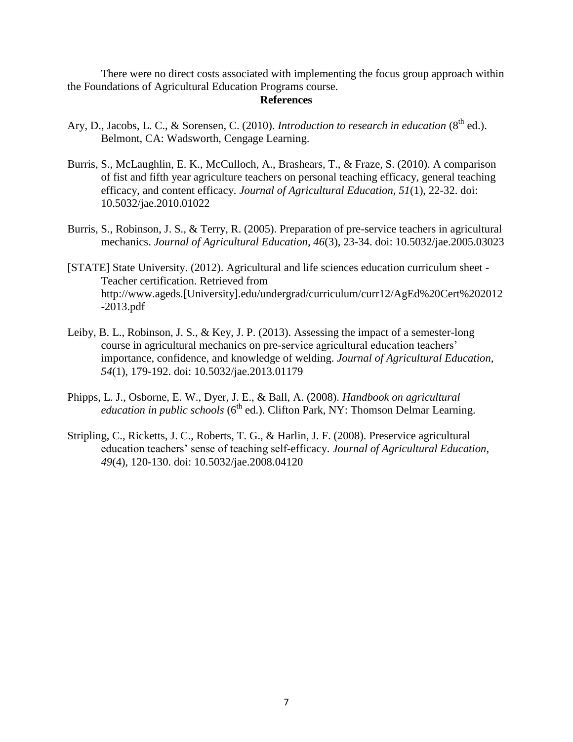There were no direct costs associated with implementing the focus group approach within the Foundations of Agricultural Education Programs course.

#### **References**

- Ary, D., Jacobs, L. C., & Sorensen, C. (2010). *Introduction to research in education* (8<sup>th</sup> ed.). Belmont, CA: Wadsworth, Cengage Learning.
- Burris, S., McLaughlin, E. K., McCulloch, A., Brashears, T., & Fraze, S. (2010). A comparison of fist and fifth year agriculture teachers on personal teaching efficacy, general teaching efficacy, and content efficacy. *Journal of Agricultural Education, 51*(1), 22-32. doi: 10.5032/jae.2010.01022
- Burris, S., Robinson, J. S., & Terry, R. (2005). Preparation of pre-service teachers in agricultural mechanics. *Journal of Agricultural Education, 46*(3), 23-34. doi: 10.5032/jae.2005.03023
- [STATE] State University. (2012). Agricultural and life sciences education curriculum sheet Teacher certification. Retrieved from http://www.ageds.[University].edu/undergrad/curriculum/curr12/AgEd%20Cert%202012 -2013.pdf
- Leiby, B. L., Robinson, J. S., & Key, J. P. (2013). Assessing the impact of a semester-long course in agricultural mechanics on pre-service agricultural education teachers' importance, confidence, and knowledge of welding. *Journal of Agricultural Education, 54*(1), 179-192. doi: 10.5032/jae.2013.01179
- Phipps, L. J., Osborne, E. W., Dyer, J. E., & Ball, A. (2008). *Handbook on agricultural education in public schools* (6<sup>th</sup> ed.). Clifton Park, NY: Thomson Delmar Learning.
- Stripling, C., Ricketts, J. C., Roberts, T. G., & Harlin, J. F. (2008). Preservice agricultural education teachers' sense of teaching self-efficacy. *Journal of Agricultural Education, 49*(4), 120-130. doi: 10.5032/jae.2008.04120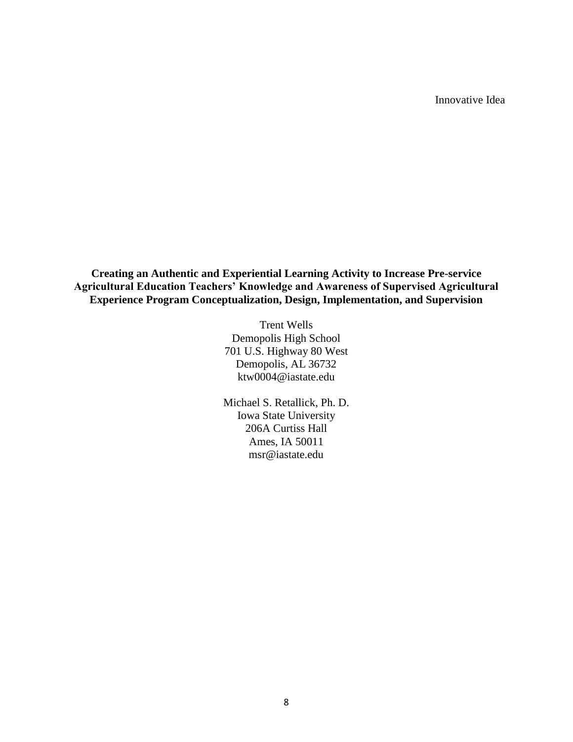Innovative Idea

**Creating an Authentic and Experiential Learning Activity to Increase Pre-service Agricultural Education Teachers' Knowledge and Awareness of Supervised Agricultural Experience Program Conceptualization, Design, Implementation, and Supervision**

> Trent Wells Demopolis High School 701 U.S. Highway 80 West Demopolis, AL 36732 ktw0004@iastate.edu

> Michael S. Retallick, Ph. D. Iowa State University 206A Curtiss Hall Ames, IA 50011 msr@iastate.edu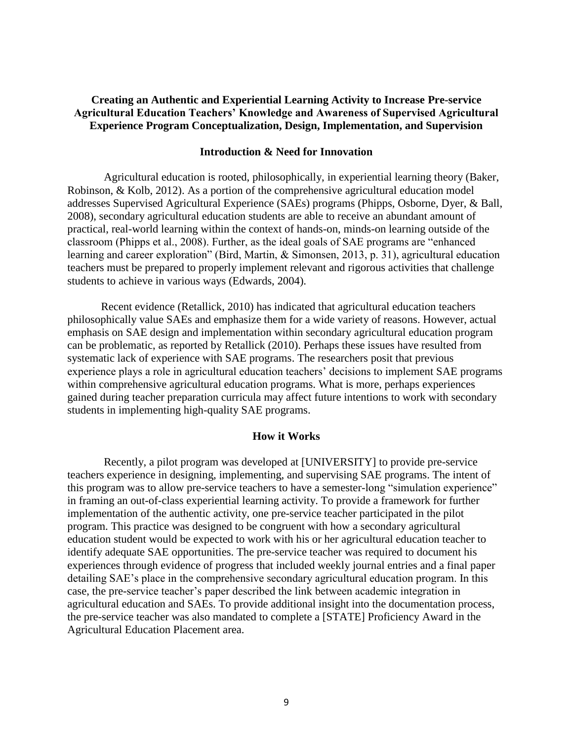## **Creating an Authentic and Experiential Learning Activity to Increase Pre-service Agricultural Education Teachers' Knowledge and Awareness of Supervised Agricultural Experience Program Conceptualization, Design, Implementation, and Supervision**

#### **Introduction & Need for Innovation**

Agricultural education is rooted, philosophically, in experiential learning theory (Baker, Robinson, & Kolb, 2012). As a portion of the comprehensive agricultural education model addresses Supervised Agricultural Experience (SAEs) programs (Phipps, Osborne, Dyer, & Ball, 2008), secondary agricultural education students are able to receive an abundant amount of practical, real-world learning within the context of hands-on, minds-on learning outside of the classroom (Phipps et al., 2008). Further, as the ideal goals of SAE programs are "enhanced learning and career exploration" (Bird, Martin, & Simonsen, 2013, p. 31), agricultural education teachers must be prepared to properly implement relevant and rigorous activities that challenge students to achieve in various ways (Edwards, 2004).

Recent evidence (Retallick, 2010) has indicated that agricultural education teachers philosophically value SAEs and emphasize them for a wide variety of reasons. However, actual emphasis on SAE design and implementation within secondary agricultural education program can be problematic, as reported by Retallick (2010). Perhaps these issues have resulted from systematic lack of experience with SAE programs. The researchers posit that previous experience plays a role in agricultural education teachers' decisions to implement SAE programs within comprehensive agricultural education programs. What is more, perhaps experiences gained during teacher preparation curricula may affect future intentions to work with secondary students in implementing high-quality SAE programs.

#### **How it Works**

Recently, a pilot program was developed at [UNIVERSITY] to provide pre-service teachers experience in designing, implementing, and supervising SAE programs. The intent of this program was to allow pre-service teachers to have a semester-long "simulation experience" in framing an out-of-class experiential learning activity. To provide a framework for further implementation of the authentic activity, one pre-service teacher participated in the pilot program. This practice was designed to be congruent with how a secondary agricultural education student would be expected to work with his or her agricultural education teacher to identify adequate SAE opportunities. The pre-service teacher was required to document his experiences through evidence of progress that included weekly journal entries and a final paper detailing SAE's place in the comprehensive secondary agricultural education program. In this case, the pre-service teacher's paper described the link between academic integration in agricultural education and SAEs. To provide additional insight into the documentation process, the pre-service teacher was also mandated to complete a [STATE] Proficiency Award in the Agricultural Education Placement area.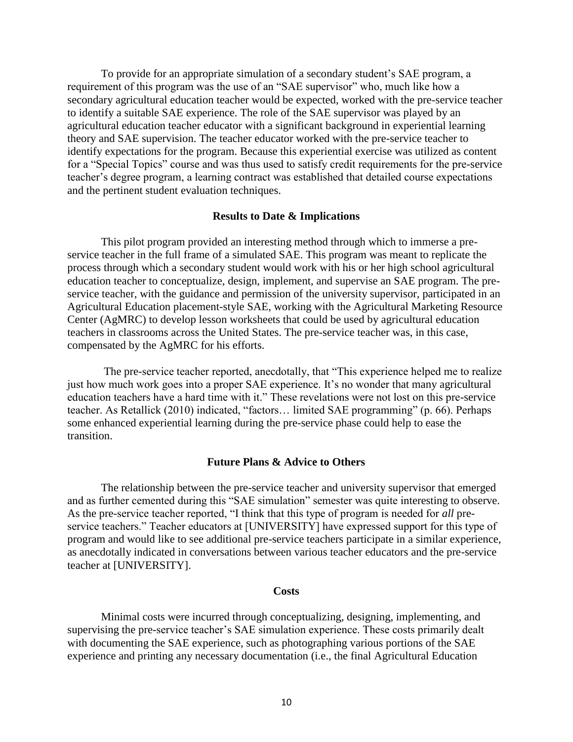To provide for an appropriate simulation of a secondary student's SAE program, a requirement of this program was the use of an "SAE supervisor" who, much like how a secondary agricultural education teacher would be expected, worked with the pre-service teacher to identify a suitable SAE experience. The role of the SAE supervisor was played by an agricultural education teacher educator with a significant background in experiential learning theory and SAE supervision. The teacher educator worked with the pre-service teacher to identify expectations for the program. Because this experiential exercise was utilized as content for a "Special Topics" course and was thus used to satisfy credit requirements for the pre-service teacher's degree program, a learning contract was established that detailed course expectations and the pertinent student evaluation techniques.

#### **Results to Date & Implications**

This pilot program provided an interesting method through which to immerse a preservice teacher in the full frame of a simulated SAE. This program was meant to replicate the process through which a secondary student would work with his or her high school agricultural education teacher to conceptualize, design, implement, and supervise an SAE program. The preservice teacher, with the guidance and permission of the university supervisor, participated in an Agricultural Education placement-style SAE, working with the Agricultural Marketing Resource Center (AgMRC) to develop lesson worksheets that could be used by agricultural education teachers in classrooms across the United States. The pre-service teacher was, in this case, compensated by the AgMRC for his efforts.

The pre-service teacher reported, anecdotally, that "This experience helped me to realize just how much work goes into a proper SAE experience. It's no wonder that many agricultural education teachers have a hard time with it." These revelations were not lost on this pre-service teacher. As Retallick (2010) indicated, "factors… limited SAE programming" (p. 66). Perhaps some enhanced experiential learning during the pre-service phase could help to ease the transition.

#### **Future Plans & Advice to Others**

The relationship between the pre-service teacher and university supervisor that emerged and as further cemented during this "SAE simulation" semester was quite interesting to observe. As the pre-service teacher reported, "I think that this type of program is needed for *all* preservice teachers." Teacher educators at [UNIVERSITY] have expressed support for this type of program and would like to see additional pre-service teachers participate in a similar experience, as anecdotally indicated in conversations between various teacher educators and the pre-service teacher at [UNIVERSITY].

#### **Costs**

Minimal costs were incurred through conceptualizing, designing, implementing, and supervising the pre-service teacher's SAE simulation experience. These costs primarily dealt with documenting the SAE experience, such as photographing various portions of the SAE experience and printing any necessary documentation (i.e., the final Agricultural Education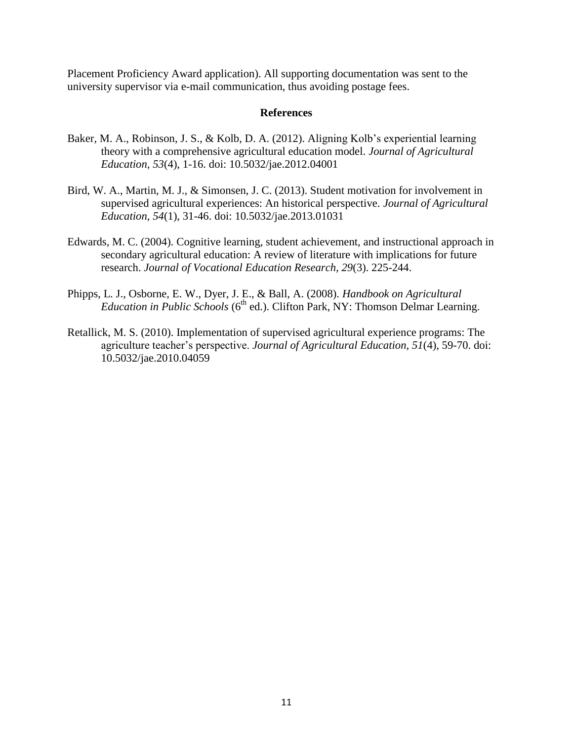Placement Proficiency Award application). All supporting documentation was sent to the university supervisor via e-mail communication, thus avoiding postage fees.

#### **References**

- Baker, M. A., Robinson, J. S., & Kolb, D. A. (2012). Aligning Kolb's experiential learning theory with a comprehensive agricultural education model. *Journal of Agricultural Education, 53*(4), 1-16. doi: 10.5032/jae.2012.04001
- Bird, W. A., Martin, M. J., & Simonsen, J. C. (2013). Student motivation for involvement in supervised agricultural experiences: An historical perspective. *Journal of Agricultural Education, 54*(1), 31-46. doi: 10.5032/jae.2013.01031
- Edwards, M. C. (2004). Cognitive learning, student achievement, and instructional approach in secondary agricultural education: A review of literature with implications for future research. *Journal of Vocational Education Research, 29*(3). 225-244.
- Phipps, L. J., Osborne, E. W., Dyer, J. E., & Ball, A. (2008). *Handbook on Agricultural Education in Public Schools* (6<sup>th</sup> ed.). Clifton Park, NY: Thomson Delmar Learning.
- Retallick, M. S. (2010). Implementation of supervised agricultural experience programs: The agriculture teacher's perspective. *Journal of Agricultural Education, 51*(4), 59-70. doi: 10.5032/jae.2010.04059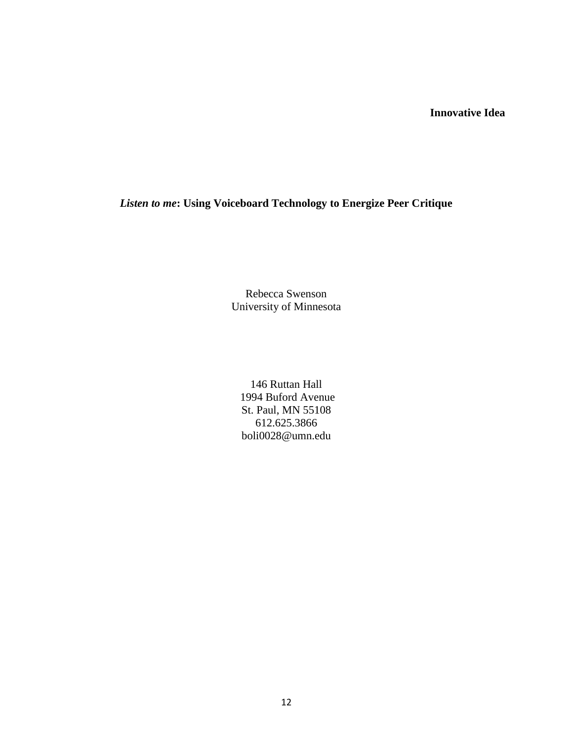## **Innovative Idea**

## *Listen to me***: Using Voiceboard Technology to Energize Peer Critique**

Rebecca Swenson University of Minnesota

146 Ruttan Hall 1994 Buford Avenue St. Paul, MN 55108 612.625.3866 [boli0028@umn.edu](mailto:boli0028@umn.edu)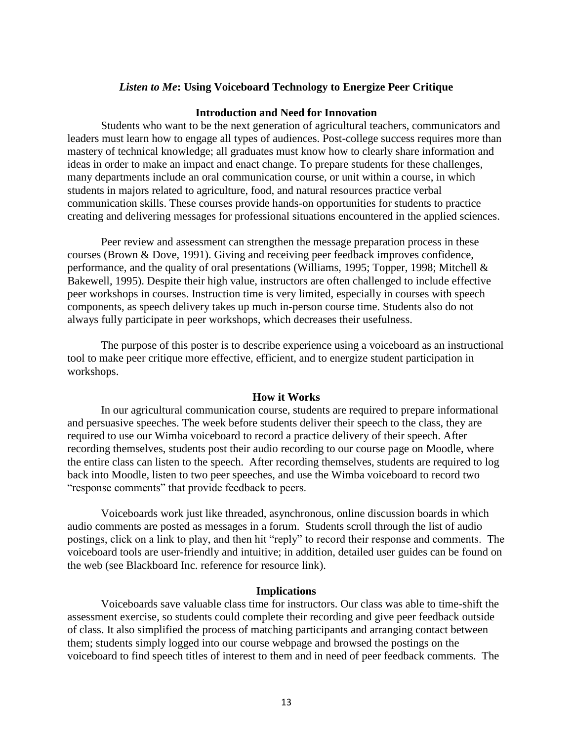#### *Listen to Me***: Using Voiceboard Technology to Energize Peer Critique**

#### **Introduction and Need for Innovation**

Students who want to be the next generation of agricultural teachers, communicators and leaders must learn how to engage all types of audiences. Post-college success requires more than mastery of technical knowledge; all graduates must know how to clearly share information and ideas in order to make an impact and enact change. To prepare students for these challenges, many departments include an oral communication course, or unit within a course, in which students in majors related to agriculture, food, and natural resources practice verbal communication skills. These courses provide hands-on opportunities for students to practice creating and delivering messages for professional situations encountered in the applied sciences.

Peer review and assessment can strengthen the message preparation process in these courses (Brown & Dove, 1991). Giving and receiving peer feedback improves confidence, performance, and the quality of oral presentations (Williams, 1995; Topper, 1998; Mitchell & Bakewell, 1995). Despite their high value, instructors are often challenged to include effective peer workshops in courses. Instruction time is very limited, especially in courses with speech components, as speech delivery takes up much in-person course time. Students also do not always fully participate in peer workshops, which decreases their usefulness.

The purpose of this poster is to describe experience using a voiceboard as an instructional tool to make peer critique more effective, efficient, and to energize student participation in workshops.

#### **How it Works**

In our agricultural communication course, students are required to prepare informational and persuasive speeches. The week before students deliver their speech to the class, they are required to use our Wimba voiceboard to record a practice delivery of their speech. After recording themselves, students post their audio recording to our course page on Moodle, where the entire class can listen to the speech. After recording themselves, students are required to log back into Moodle, listen to two peer speeches, and use the Wimba voiceboard to record two "response comments" that provide feedback to peers.

Voiceboards work just like threaded, asynchronous, online discussion boards in which audio comments are posted as messages in a forum. Students scroll through the list of audio postings, click on a link to play, and then hit "reply" to record their response and comments. The voiceboard tools are user-friendly and intuitive; in addition, detailed user guides can be found on the web (see Blackboard Inc. reference for resource link).

#### **Implications**

Voiceboards save valuable class time for instructors. Our class was able to time-shift the assessment exercise, so students could complete their recording and give peer feedback outside of class. It also simplified the process of matching participants and arranging contact between them; students simply logged into our course webpage and browsed the postings on the voiceboard to find speech titles of interest to them and in need of peer feedback comments. The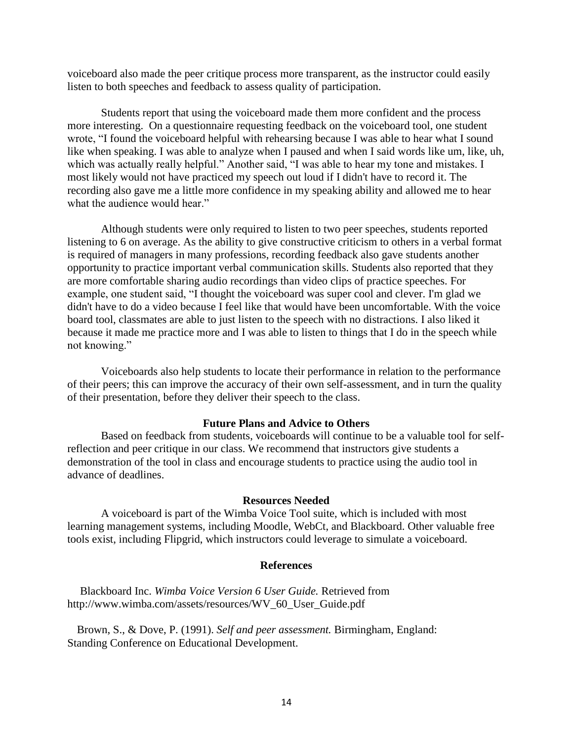voiceboard also made the peer critique process more transparent, as the instructor could easily listen to both speeches and feedback to assess quality of participation.

Students report that using the voiceboard made them more confident and the process more interesting. On a questionnaire requesting feedback on the voiceboard tool, one student wrote, "I found the voiceboard helpful with rehearsing because I was able to hear what I sound like when speaking. I was able to analyze when I paused and when I said words like um, like, uh, which was actually really helpful." Another said, "I was able to hear my tone and mistakes. I most likely would not have practiced my speech out loud if I didn't have to record it. The recording also gave me a little more confidence in my speaking ability and allowed me to hear what the audience would hear."

Although students were only required to listen to two peer speeches, students reported listening to 6 on average. As the ability to give constructive criticism to others in a verbal format is required of managers in many professions, recording feedback also gave students another opportunity to practice important verbal communication skills. Students also reported that they are more comfortable sharing audio recordings than video clips of practice speeches. For example, one student said, "I thought the voiceboard was super cool and clever. I'm glad we didn't have to do a video because I feel like that would have been uncomfortable. With the voice board tool, classmates are able to just listen to the speech with no distractions. I also liked it because it made me practice more and I was able to listen to things that I do in the speech while not knowing."

Voiceboards also help students to locate their performance in relation to the performance of their peers; this can improve the accuracy of their own self-assessment, and in turn the quality of their presentation, before they deliver their speech to the class.

#### **Future Plans and Advice to Others**

Based on feedback from students, voiceboards will continue to be a valuable tool for selfreflection and peer critique in our class. We recommend that instructors give students a demonstration of the tool in class and encourage students to practice using the audio tool in advance of deadlines.

#### **Resources Needed**

A voiceboard is part of the Wimba Voice Tool suite, which is included with most learning management systems, including Moodle, WebCt, and Blackboard. Other valuable free tools exist, including Flipgrid, which instructors could leverage to simulate a voiceboard.

#### **References**

Blackboard Inc. *Wimba Voice Version 6 User Guide.* Retrieved from http://www.wimba.com/assets/resources/WV\_60\_User\_Guide.pdf

Brown, S., & Dove, P. (1991). *Self and peer assessment.* Birmingham, England: Standing Conference on Educational Development.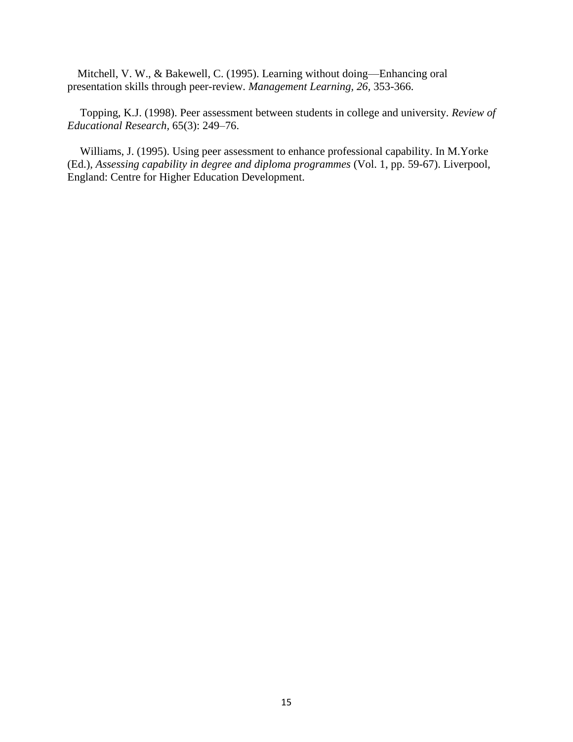Mitchell, V. W., & Bakewell, C. (1995). Learning without doing—Enhancing oral presentation skills through peer-review. *Management Learning, 26,* 353-366.

Topping, K.J. (1998). Peer assessment between students in college and university. *Review of Educational Research,* 65(3): 249–76.

Williams, J. (1995). Using peer assessment to enhance professional capability. In M.Yorke (Ed.), *Assessing capability in degree and diploma programmes* (Vol. 1, pp. 59-67). Liverpool, England: Centre for Higher Education Development.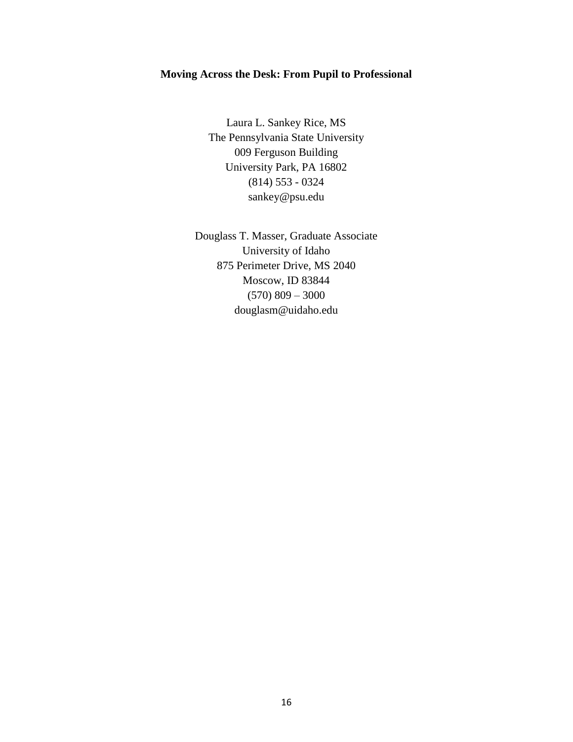## **Moving Across the Desk: From Pupil to Professional**

Laura L. Sankey Rice, MS The Pennsylvania State University 009 Ferguson Building University Park, PA 16802 (814) 553 - 0324 sankey@psu.edu

Douglass T. Masser, Graduate Associate University of Idaho 875 Perimeter Drive, MS 2040 Moscow, ID 83844  $(570)$  809 – 3000 douglasm@uidaho.edu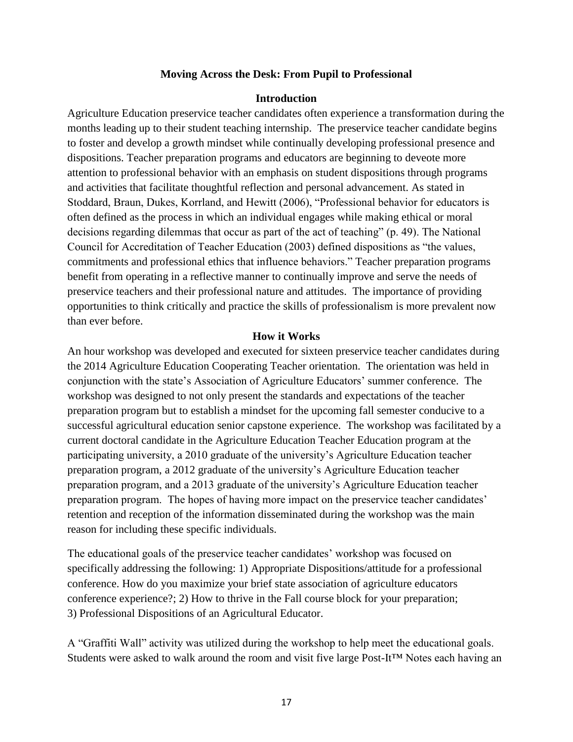#### **Moving Across the Desk: From Pupil to Professional**

#### **Introduction**

Agriculture Education preservice teacher candidates often experience a transformation during the months leading up to their student teaching internship. The preservice teacher candidate begins to foster and develop a growth mindset while continually developing professional presence and dispositions. Teacher preparation programs and educators are beginning to deveote more attention to professional behavior with an emphasis on student dispositions through programs and activities that facilitate thoughtful reflection and personal advancement. As stated in Stoddard, Braun, Dukes, Korrland, and Hewitt (2006), "Professional behavior for educators is often defined as the process in which an individual engages while making ethical or moral decisions regarding dilemmas that occur as part of the act of teaching" (p. 49). The National Council for Accreditation of Teacher Education (2003) defined dispositions as "the values, commitments and professional ethics that influence behaviors." Teacher preparation programs benefit from operating in a reflective manner to continually improve and serve the needs of preservice teachers and their professional nature and attitudes. The importance of providing opportunities to think critically and practice the skills of professionalism is more prevalent now than ever before.

#### **How it Works**

An hour workshop was developed and executed for sixteen preservice teacher candidates during the 2014 Agriculture Education Cooperating Teacher orientation. The orientation was held in conjunction with the state's Association of Agriculture Educators' summer conference. The workshop was designed to not only present the standards and expectations of the teacher preparation program but to establish a mindset for the upcoming fall semester conducive to a successful agricultural education senior capstone experience. The workshop was facilitated by a current doctoral candidate in the Agriculture Education Teacher Education program at the participating university, a 2010 graduate of the university's Agriculture Education teacher preparation program, a 2012 graduate of the university's Agriculture Education teacher preparation program, and a 2013 graduate of the university's Agriculture Education teacher preparation program. The hopes of having more impact on the preservice teacher candidates' retention and reception of the information disseminated during the workshop was the main reason for including these specific individuals.

The educational goals of the preservice teacher candidates' workshop was focused on specifically addressing the following: 1) Appropriate Dispositions/attitude for a professional conference. How do you maximize your brief state association of agriculture educators conference experience?; 2) How to thrive in the Fall course block for your preparation; 3) Professional Dispositions of an Agricultural Educator.

A "Graffiti Wall" activity was utilized during the workshop to help meet the educational goals. Students were asked to walk around the room and visit five large Post-It™ Notes each having an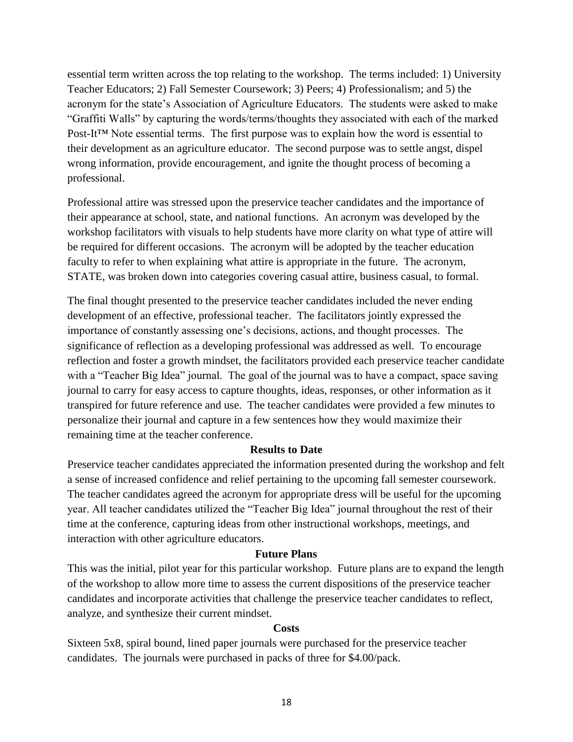essential term written across the top relating to the workshop. The terms included: 1) University Teacher Educators; 2) Fall Semester Coursework; 3) Peers; 4) Professionalism; and 5) the acronym for the state's Association of Agriculture Educators. The students were asked to make "Graffiti Walls" by capturing the words/terms/thoughts they associated with each of the marked Post-It™ Note essential terms. The first purpose was to explain how the word is essential to their development as an agriculture educator. The second purpose was to settle angst, dispel wrong information, provide encouragement, and ignite the thought process of becoming a professional.

Professional attire was stressed upon the preservice teacher candidates and the importance of their appearance at school, state, and national functions. An acronym was developed by the workshop facilitators with visuals to help students have more clarity on what type of attire will be required for different occasions. The acronym will be adopted by the teacher education faculty to refer to when explaining what attire is appropriate in the future. The acronym, STATE, was broken down into categories covering casual attire, business casual, to formal.

The final thought presented to the preservice teacher candidates included the never ending development of an effective, professional teacher. The facilitators jointly expressed the importance of constantly assessing one's decisions, actions, and thought processes. The significance of reflection as a developing professional was addressed as well. To encourage reflection and foster a growth mindset, the facilitators provided each preservice teacher candidate with a "Teacher Big Idea" journal. The goal of the journal was to have a compact, space saving journal to carry for easy access to capture thoughts, ideas, responses, or other information as it transpired for future reference and use. The teacher candidates were provided a few minutes to personalize their journal and capture in a few sentences how they would maximize their remaining time at the teacher conference.

## **Results to Date**

Preservice teacher candidates appreciated the information presented during the workshop and felt a sense of increased confidence and relief pertaining to the upcoming fall semester coursework. The teacher candidates agreed the acronym for appropriate dress will be useful for the upcoming year. All teacher candidates utilized the "Teacher Big Idea" journal throughout the rest of their time at the conference, capturing ideas from other instructional workshops, meetings, and interaction with other agriculture educators.

## **Future Plans**

This was the initial, pilot year for this particular workshop. Future plans are to expand the length of the workshop to allow more time to assess the current dispositions of the preservice teacher candidates and incorporate activities that challenge the preservice teacher candidates to reflect, analyze, and synthesize their current mindset.

## **Costs**

Sixteen 5x8, spiral bound, lined paper journals were purchased for the preservice teacher candidates. The journals were purchased in packs of three for \$4.00/pack.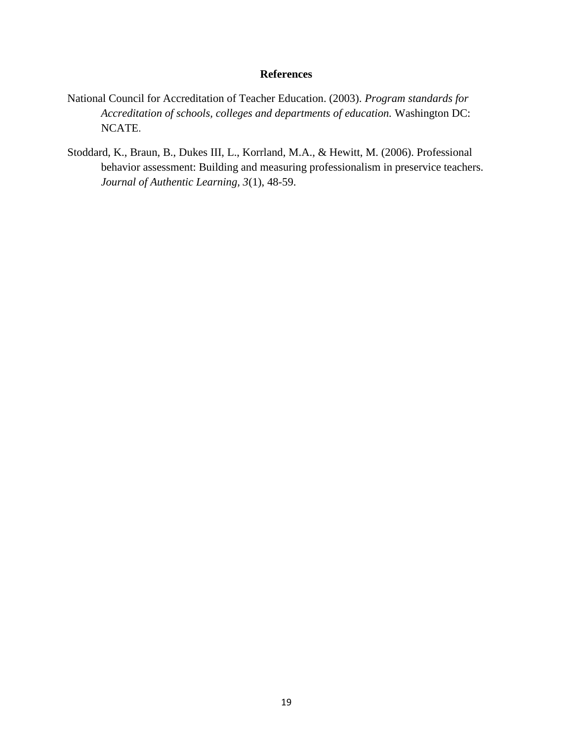## **References**

- National Council for Accreditation of Teacher Education. (2003). *Program standards for Accreditation of schools, colleges and departments of education.* Washington DC: NCATE.
- Stoddard, K., Braun, B., Dukes III, L., Korrland, M.A., & Hewitt, M. (2006). Professional behavior assessment: Building and measuring professionalism in preservice teachers. *Journal of Authentic Learning, 3*(1), 48-59.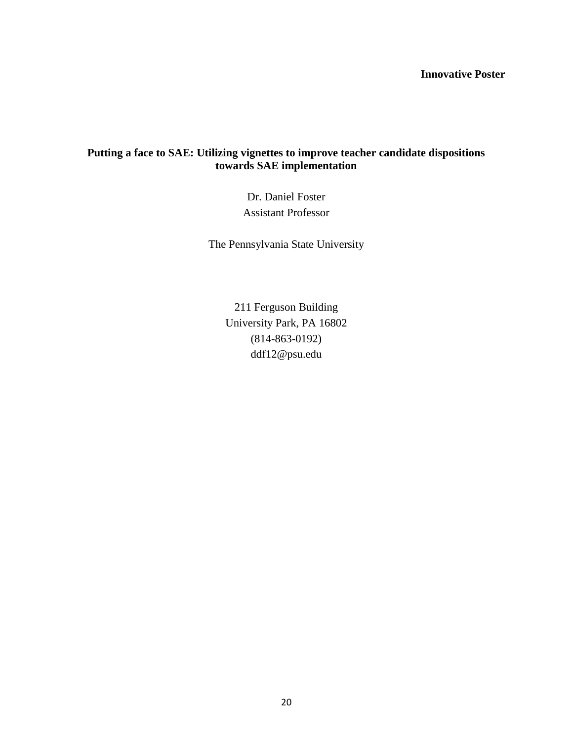## **Innovative Poster**

## **Putting a face to SAE: Utilizing vignettes to improve teacher candidate dispositions towards SAE implementation**

Dr. Daniel Foster Assistant Professor

The Pennsylvania State University

211 Ferguson Building University Park, PA 16802 (814-863-0192) ddf12@psu.edu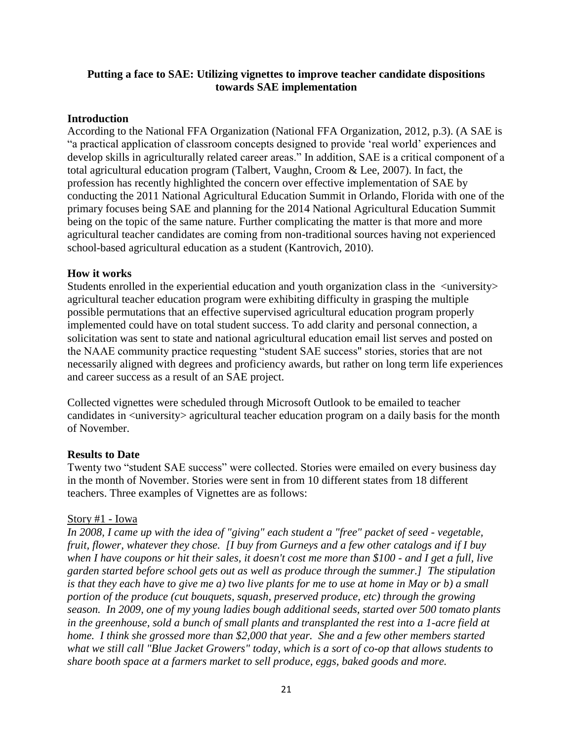## **Putting a face to SAE: Utilizing vignettes to improve teacher candidate dispositions towards SAE implementation**

## **Introduction**

According to the National FFA Organization (National FFA Organization, 2012, p.3). (A SAE is "a practical application of classroom concepts designed to provide 'real world' experiences and develop skills in agriculturally related career areas." In addition, SAE is a critical component of a total agricultural education program (Talbert, Vaughn, Croom & Lee, 2007). In fact, the profession has recently highlighted the concern over effective implementation of SAE by conducting the 2011 National Agricultural Education Summit in Orlando, Florida with one of the primary focuses being SAE and planning for the 2014 National Agricultural Education Summit being on the topic of the same nature. Further complicating the matter is that more and more agricultural teacher candidates are coming from non-traditional sources having not experienced school-based agricultural education as a student (Kantrovich, 2010).

## **How it works**

Students enrolled in the experiential education and youth organization class in the <university> agricultural teacher education program were exhibiting difficulty in grasping the multiple possible permutations that an effective supervised agricultural education program properly implemented could have on total student success. To add clarity and personal connection, a solicitation was sent to state and national agricultural education email list serves and posted on the NAAE community practice requesting "student SAE success" stories, stories that are not necessarily aligned with degrees and proficiency awards, but rather on long term life experiences and career success as a result of an SAE project.

Collected vignettes were scheduled through Microsoft Outlook to be emailed to teacher candidates in  $\langle$ university> agricultural teacher education program on a daily basis for the month of November.

## **Results to Date**

Twenty two "student SAE success" were collected. Stories were emailed on every business day in the month of November. Stories were sent in from 10 different states from 18 different teachers. Three examples of Vignettes are as follows:

## Story #1 - Iowa

*In 2008, I came up with the idea of "giving" each student a "free" packet of seed - vegetable, fruit, flower, whatever they chose. [I buy from Gurneys and a few other catalogs and if I buy when I have coupons or hit their sales, it doesn't cost me more than \$100 - and I get a full, live garden started before school gets out as well as produce through the summer.] The stipulation is that they each have to give me a) two live plants for me to use at home in May or b) a small portion of the produce (cut bouquets, squash, preserved produce, etc) through the growing season. In 2009, one of my young ladies bough additional seeds, started over 500 tomato plants in the greenhouse, sold a bunch of small plants and transplanted the rest into a 1-acre field at home. I think she grossed more than \$2,000 that year. She and a few other members started what we still call "Blue Jacket Growers" today, which is a sort of co-op that allows students to share booth space at a farmers market to sell produce, eggs, baked goods and more.*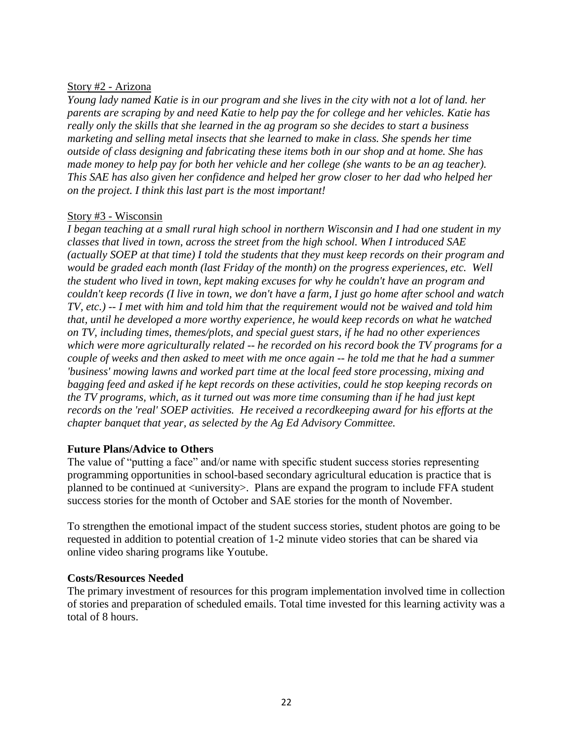## Story #2 - Arizona

*Young lady named Katie is in our program and she lives in the city with not a lot of land. her parents are scraping by and need Katie to help pay the for college and her vehicles. Katie has really only the skills that she learned in the ag program so she decides to start a business marketing and selling metal insects that she learned to make in class. She spends her time outside of class designing and fabricating these items both in our shop and at home. She has made money to help pay for both her vehicle and her college (she wants to be an ag teacher). This SAE has also given her confidence and helped her grow closer to her dad who helped her on the project. I think this last part is the most important!*

## Story #3 - Wisconsin

*I began teaching at a small rural high school in northern Wisconsin and I had one student in my classes that lived in town, across the street from the high school. When I introduced SAE (actually SOEP at that time) I told the students that they must keep records on their program and would be graded each month (last Friday of the month) on the progress experiences, etc. Well the student who lived in town, kept making excuses for why he couldn't have an program and couldn't keep records (I live in town, we don't have a farm, I just go home after school and watch TV, etc.) -- I met with him and told him that the requirement would not be waived and told him that, until he developed a more worthy experience, he would keep records on what he watched on TV, including times, themes/plots, and special guest stars, if he had no other experiences which were more agriculturally related -- he recorded on his record book the TV programs for a couple of weeks and then asked to meet with me once again -- he told me that he had a summer 'business' mowing lawns and worked part time at the local feed store processing, mixing and bagging feed and asked if he kept records on these activities, could he stop keeping records on the TV programs, which, as it turned out was more time consuming than if he had just kept records on the 'real' SOEP activities. He received a recordkeeping award for his efforts at the chapter banquet that year, as selected by the Ag Ed Advisory Committee.*

## **Future Plans/Advice to Others**

The value of "putting a face" and/or name with specific student success stories representing programming opportunities in school-based secondary agricultural education is practice that is planned to be continued at <university>. Plans are expand the program to include FFA student success stories for the month of October and SAE stories for the month of November.

To strengthen the emotional impact of the student success stories, student photos are going to be requested in addition to potential creation of 1-2 minute video stories that can be shared via online video sharing programs like Youtube.

## **Costs/Resources Needed**

The primary investment of resources for this program implementation involved time in collection of stories and preparation of scheduled emails. Total time invested for this learning activity was a total of 8 hours.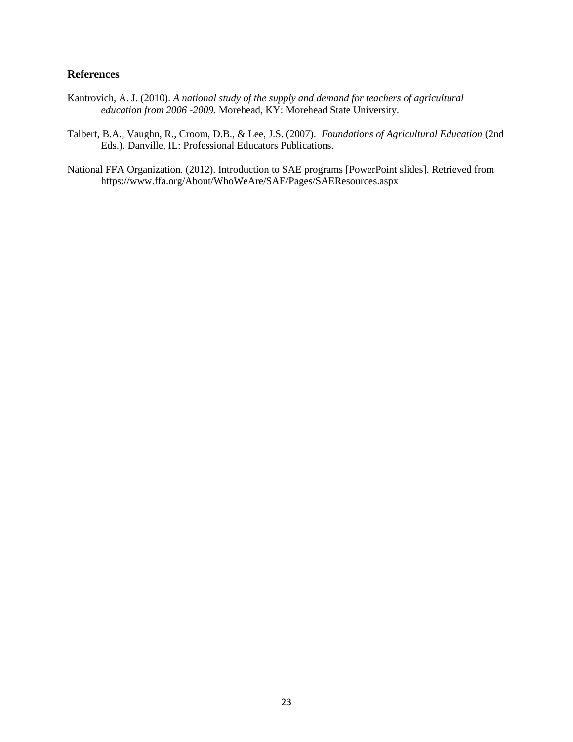#### **References**

- Kantrovich, A. J. (2010). *A national study of the supply and demand for teachers of agricultural education from 2006 -2009.* Morehead, KY: Morehead State University.
- Talbert, B.A., Vaughn, R., Croom, D.B., & Lee, J.S. (2007). *Foundations of Agricultural Education* (2nd Eds.). Danville, IL: Professional Educators Publications.
- National FFA Organization. (2012). Introduction to SAE programs [PowerPoint slides]. Retrieved from https://www.ffa.org/About/WhoWeAre/SAE/Pages/SAEResources.aspx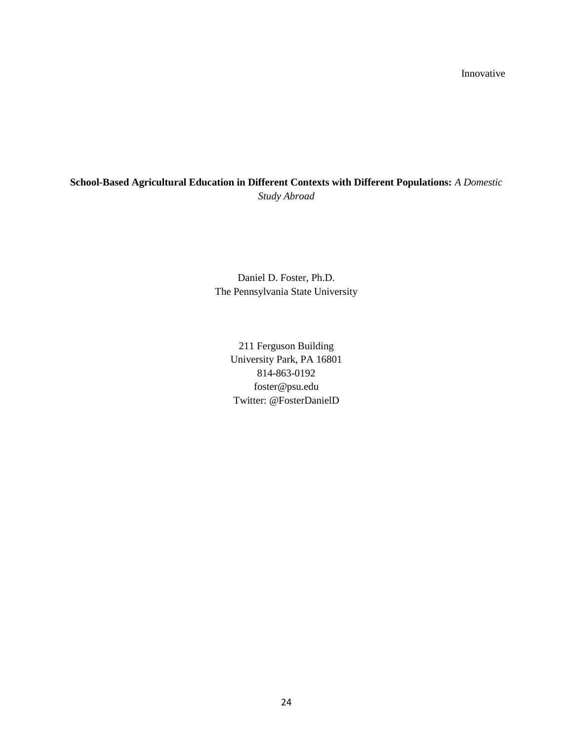Innovative

## **School-Based Agricultural Education in Different Contexts with Different Populations:** *A Domestic Study Abroad*

Daniel D. Foster, Ph.D. The Pennsylvania State University

> 211 Ferguson Building University Park, PA 16801 814-863-0192 [foster@psu.edu](mailto:foster@psu.edu) Twitter: @FosterDanielD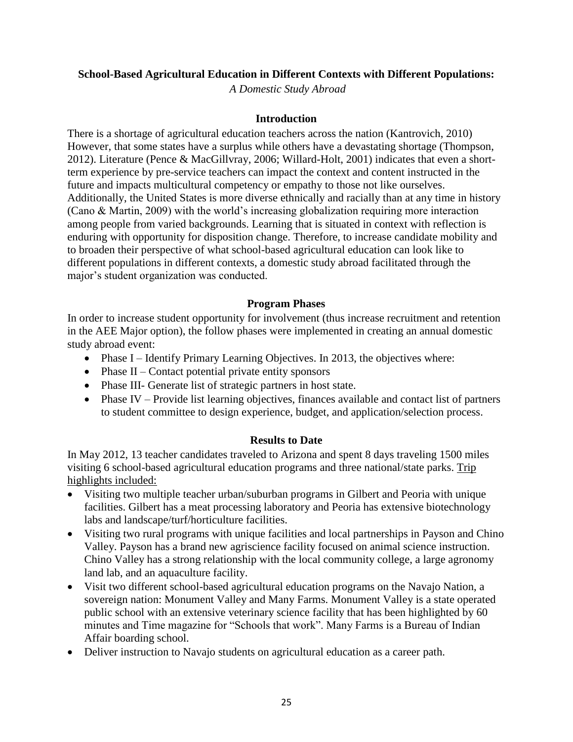## **School-Based Agricultural Education in Different Contexts with Different Populations:**

*A Domestic Study Abroad*

## **Introduction**

There is a shortage of agricultural education teachers across the nation (Kantrovich, 2010) However, that some states have a surplus while others have a devastating shortage (Thompson, 2012). Literature (Pence & MacGillvray, 2006; Willard-Holt, 2001) indicates that even a shortterm experience by pre-service teachers can impact the context and content instructed in the future and impacts multicultural competency or empathy to those not like ourselves. Additionally, the United States is more diverse ethnically and racially than at any time in history (Cano & Martin, 2009) with the world's increasing globalization requiring more interaction among people from varied backgrounds. Learning that is situated in context with reflection is enduring with opportunity for disposition change. Therefore, to increase candidate mobility and to broaden their perspective of what school-based agricultural education can look like to different populations in different contexts, a domestic study abroad facilitated through the major's student organization was conducted.

## **Program Phases**

In order to increase student opportunity for involvement (thus increase recruitment and retention in the AEE Major option), the follow phases were implemented in creating an annual domestic study abroad event:

- Phase I Identify Primary Learning Objectives. In 2013, the objectives where:
- Phase  $II$  Contact potential private entity sponsors
- Phase III- Generate list of strategic partners in host state.
- $\bullet$  Phase IV Provide list learning objectives, finances available and contact list of partners to student committee to design experience, budget, and application/selection process.

## **Results to Date**

In May 2012, 13 teacher candidates traveled to Arizona and spent 8 days traveling 1500 miles visiting 6 school-based agricultural education programs and three national/state parks. Trip highlights included:

- Visiting two multiple teacher urban/suburban programs in Gilbert and Peoria with unique facilities. Gilbert has a meat processing laboratory and Peoria has extensive biotechnology labs and landscape/turf/horticulture facilities.
- Visiting two rural programs with unique facilities and local partnerships in Payson and Chino Valley. Payson has a brand new agriscience facility focused on animal science instruction. Chino Valley has a strong relationship with the local community college, a large agronomy land lab, and an aquaculture facility.
- Visit two different school-based agricultural education programs on the Navajo Nation, a sovereign nation: Monument Valley and Many Farms. Monument Valley is a state operated public school with an extensive veterinary science facility that has been highlighted by 60 minutes and Time magazine for "Schools that work". Many Farms is a Bureau of Indian Affair boarding school.
- Deliver instruction to Navajo students on agricultural education as a career path.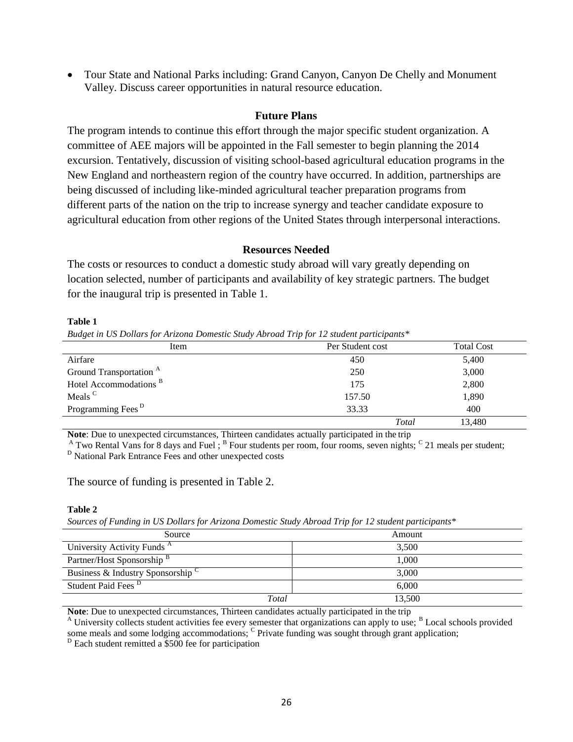Tour State and National Parks including: Grand Canyon, Canyon De Chelly and Monument Valley. Discuss career opportunities in natural resource education.

#### **Future Plans**

The program intends to continue this effort through the major specific student organization. A committee of AEE majors will be appointed in the Fall semester to begin planning the 2014 excursion. Tentatively, discussion of visiting school-based agricultural education programs in the New England and northeastern region of the country have occurred. In addition, partnerships are being discussed of including like-minded agricultural teacher preparation programs from different parts of the nation on the trip to increase synergy and teacher candidate exposure to agricultural education from other regions of the United States through interpersonal interactions.

#### **Resources Needed**

The costs or resources to conduct a domestic study abroad will vary greatly depending on location selected, number of participants and availability of key strategic partners. The budget for the inaugural trip is presented in Table 1.

#### **Table 1**

*Budget in US Dollars for Arizona Domestic Study Abroad Trip for 12 student participants\**

| Item                               | Per Student cost | <b>Total Cost</b> |  |
|------------------------------------|------------------|-------------------|--|
| Airfare                            | 450              | 5,400             |  |
| Ground Transportation <sup>A</sup> | 250              | 3,000             |  |
| Hotel Accommodations <sup>B</sup>  | 175              | 2,800             |  |
| Meals <sup>C</sup>                 | 157.50           | 1,890             |  |
| Programming Fees <sup>D</sup>      | 33.33            | 400               |  |
|                                    | Total            | 13,480            |  |

**Note**: Due to unexpected circumstances, Thirteen candidates actually participated in the trip

<sup>A</sup> Two Rental Vans for 8 days and Fuel;  $B$  Four students per room, four rooms, seven nights;  $C$  21 meals per student; <sup>D</sup> National Park Entrance Fees and other unexpected costs

#### The source of funding is presented in Table 2.

#### **Table 2**

*Sources of Funding in US Dollars for Arizona Domestic Study Abroad Trip for 12 student participants\**

| Source                                 | Amount |
|----------------------------------------|--------|
| University Activity Funds <sup>A</sup> | 3,500  |
| Partner/Host Sponsorship B             | 1,000  |
| Business & Industry Sponsorship        | 3,000  |
| Student Paid Fees <sup>D</sup>         | 6,000  |
| Total                                  | 13,500 |

**Note**: Due to unexpected circumstances, Thirteen candidates actually participated in the trip

 $A$  University collects student activities fee every semester that organizations can apply to use;  $B$  Local schools provided some meals and some lodging accommodations; <sup>C</sup> Private funding was sought through grant application;

 $D$  Each student remitted a \$500 fee for participation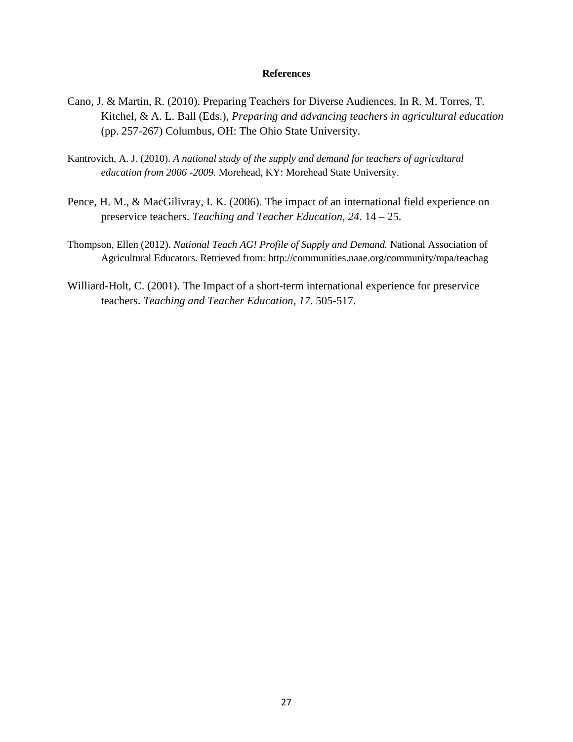#### **References**

- Cano, J. & Martin, R. (2010). Preparing Teachers for Diverse Audiences. In R. M. Torres, T. Kitchel, & A. L. Ball (Eds.), *Preparing and advancing teachers in agricultural education* (pp. 257-267) Columbus, OH: The Ohio State University.
- Kantrovich, A. J. (2010). *A national study of the supply and demand for teachers of agricultural education from 2006 -2009.* Morehead, KY: Morehead State University.
- Pence, H. M., & MacGilivray, I. K. (2006). The impact of an international field experience on preservice teachers. *Teaching and Teacher Education, 24*. 14 – 25.
- Thompson, Ellen (2012). *National Teach AG! Profile of Supply and Demand.* National Association of Agricultural Educators. Retrieved from: <http://communities.naae.org/community/mpa/teachag>
- Williard-Holt, C. (2001). The Impact of a short-term international experience for preservice teachers. *Teaching and Teacher Education, 17*. 505-517.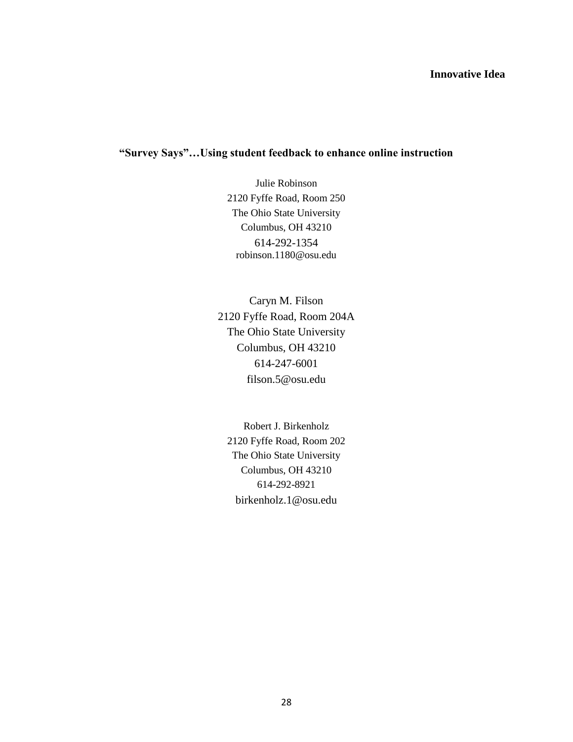## **Innovative Idea**

## **"Survey Says"…Using student feedback to enhance online instruction**

Julie Robinson 2120 Fyffe Road, Room 250 The Ohio State University Columbus, OH 43210 614-292-1354 [robinson.1180@osu.edu](mailto:robinson.1180@osu.edu)

Caryn M. Filson 2120 Fyffe Road, Room 204A The Ohio State University Columbus, OH 43210 614-247-6001 [filson.5@osu.edu](mailto:filson.5@osu.edu)

Robert J. Birkenholz 2120 Fyffe Road, Room 202 The Ohio State University Columbus, OH 43210 614-292-8921 [birkenholz.1@osu.edu](mailto:birkenholz.1@osu.edu)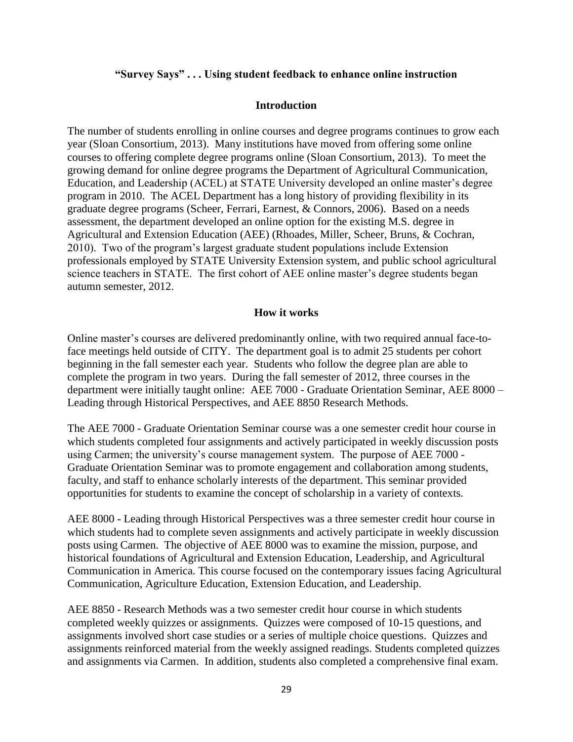#### **"Survey Says" . . . Using student feedback to enhance online instruction**

#### **Introduction**

The number of students enrolling in online courses and degree programs continues to grow each year (Sloan Consortium, 2013). Many institutions have moved from offering some online courses to offering complete degree programs online (Sloan Consortium, 2013). To meet the growing demand for online degree programs the Department of Agricultural Communication, Education, and Leadership (ACEL) at STATE University developed an online master's degree program in 2010. The ACEL Department has a long history of providing flexibility in its graduate degree programs (Scheer, Ferrari, Earnest, & Connors, 2006). Based on a needs assessment, the department developed an online option for the existing M.S. degree in Agricultural and Extension Education (AEE) (Rhoades, Miller, Scheer, Bruns, & Cochran, 2010). Two of the program's largest graduate student populations include Extension professionals employed by STATE University Extension system, and public school agricultural science teachers in STATE. The first cohort of AEE online master's degree students began autumn semester, 2012.

#### **How it works**

Online master's courses are delivered predominantly online, with two required annual face-toface meetings held outside of CITY. The department goal is to admit 25 students per cohort beginning in the fall semester each year. Students who follow the degree plan are able to complete the program in two years. During the fall semester of 2012, three courses in the department were initially taught online: AEE 7000 - Graduate Orientation Seminar, AEE 8000 – Leading through Historical Perspectives, and AEE 8850 Research Methods.

The AEE 7000 - Graduate Orientation Seminar course was a one semester credit hour course in which students completed four assignments and actively participated in weekly discussion posts using Carmen; the university's course management system. The purpose of AEE 7000 - Graduate Orientation Seminar was to promote engagement and collaboration among students, faculty, and staff to enhance scholarly interests of the department. This seminar provided opportunities for students to examine the concept of scholarship in a variety of contexts.

AEE 8000 - Leading through Historical Perspectives was a three semester credit hour course in which students had to complete seven assignments and actively participate in weekly discussion posts using Carmen. The objective of AEE 8000 was to examine the mission, purpose, and historical foundations of Agricultural and Extension Education, Leadership, and Agricultural Communication in America. This course focused on the contemporary issues facing Agricultural Communication, Agriculture Education, Extension Education, and Leadership.

AEE 8850 - Research Methods was a two semester credit hour course in which students completed weekly quizzes or assignments. Quizzes were composed of 10-15 questions, and assignments involved short case studies or a series of multiple choice questions. Quizzes and assignments reinforced material from the weekly assigned readings. Students completed quizzes and assignments via Carmen. In addition, students also completed a comprehensive final exam.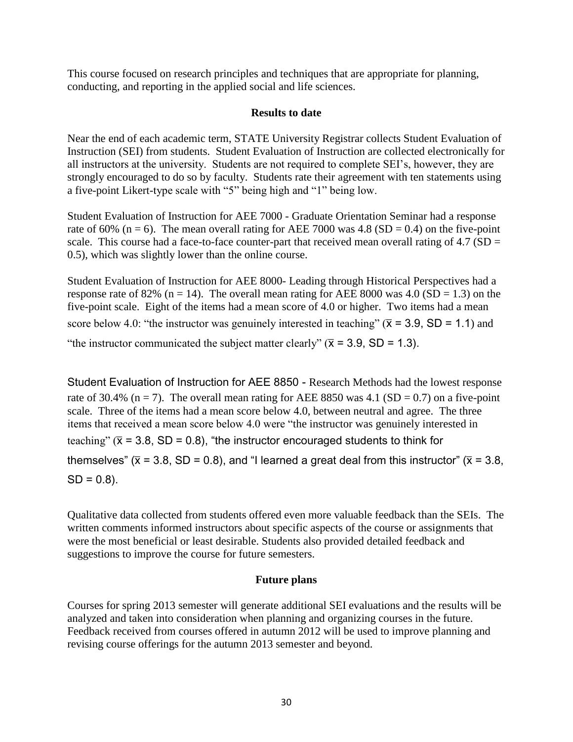This course focused on research principles and techniques that are appropriate for planning, conducting, and reporting in the applied social and life sciences.

## **Results to date**

Near the end of each academic term, STATE University Registrar collects Student Evaluation of Instruction (SEI) from students. Student Evaluation of Instruction are collected electronically for all instructors at the university. Students are not required to complete SEI's, however, they are strongly encouraged to do so by faculty. Students rate their agreement with ten statements using a five-point Likert-type scale with "5" being high and "1" being low.

Student Evaluation of Instruction for AEE 7000 - Graduate Orientation Seminar had a response rate of 60% (n = 6). The mean overall rating for AEE 7000 was 4.8 (SD = 0.4) on the five-point scale. This course had a face-to-face counter-part that received mean overall rating of  $4.7$  (SD = 0.5), which was slightly lower than the online course.

Student Evaluation of Instruction for AEE 8000- Leading through Historical Perspectives had a response rate of 82% (n = 14). The overall mean rating for AEE 8000 was 4.0 (SD = 1.3) on the five-point scale. Eight of the items had a mean score of 4.0 or higher. Two items had a mean score below 4.0: "the instructor was genuinely interested in teaching" ( $\bar{x}$  = 3.9, SD = 1.1) and "the instructor communicated the subject matter clearly" ( $\bar{x}$  = 3.9, SD = 1.3).

Student Evaluation of Instruction for AEE 8850 - Research Methods had the lowest response rate of 30.4% (n = 7). The overall mean rating for AEE 8850 was 4.1 (SD = 0.7) on a five-point scale. Three of the items had a mean score below 4.0, between neutral and agree. The three items that received a mean score below 4.0 were "the instructor was genuinely interested in teaching"  $(\bar{x} = 3.8, SD = 0.8)$ , "the instructor encouraged students to think for themselves" ( $\bar{x}$  = 3.8, SD = 0.8), and "I learned a great deal from this instructor" ( $\bar{x}$  = 3.8,  $SD = 0.8$ ).

Qualitative data collected from students offered even more valuable feedback than the SEIs. The written comments informed instructors about specific aspects of the course or assignments that were the most beneficial or least desirable. Students also provided detailed feedback and suggestions to improve the course for future semesters.

## **Future plans**

Courses for spring 2013 semester will generate additional SEI evaluations and the results will be analyzed and taken into consideration when planning and organizing courses in the future. Feedback received from courses offered in autumn 2012 will be used to improve planning and revising course offerings for the autumn 2013 semester and beyond.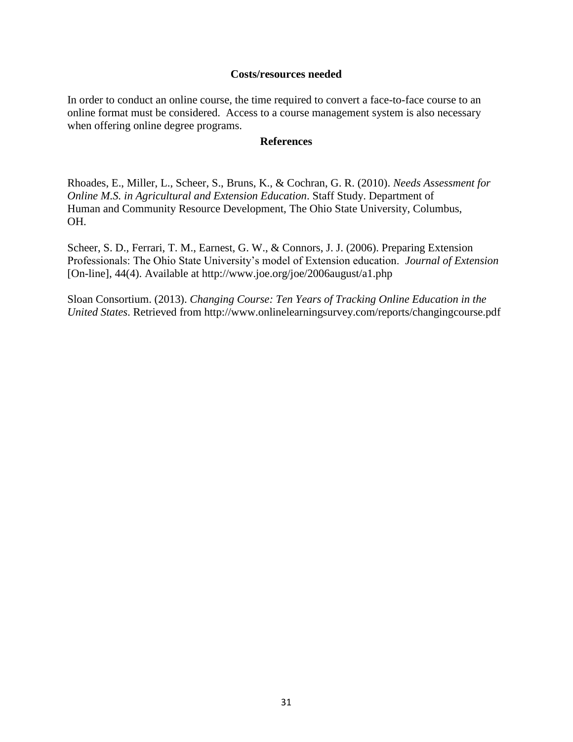#### **Costs/resources needed**

In order to conduct an online course, the time required to convert a face-to-face course to an online format must be considered. Access to a course management system is also necessary when offering online degree programs.

#### **References**

Rhoades, E., Miller, L., Scheer, S., Bruns, K., & Cochran, G. R. (2010). *Needs Assessment for Online M.S. in Agricultural and Extension Education*. Staff Study. Department of Human and Community Resource Development, The Ohio State University, Columbus, OH.

Scheer, S. D., Ferrari, T. M., Earnest, G. W., & Connors, J. J. (2006). Preparing Extension Professionals: The Ohio State University's model of Extension education. *Journal of Extension* [On-line], 44(4). Available at<http://www.joe.org/joe/2006august/a1.php>

Sloan Consortium. (2013). *Changing Course: Ten Years of Tracking Online Education in the United States*. Retrieved from http://www.onlinelearningsurvey.com/reports/changingcourse.pdf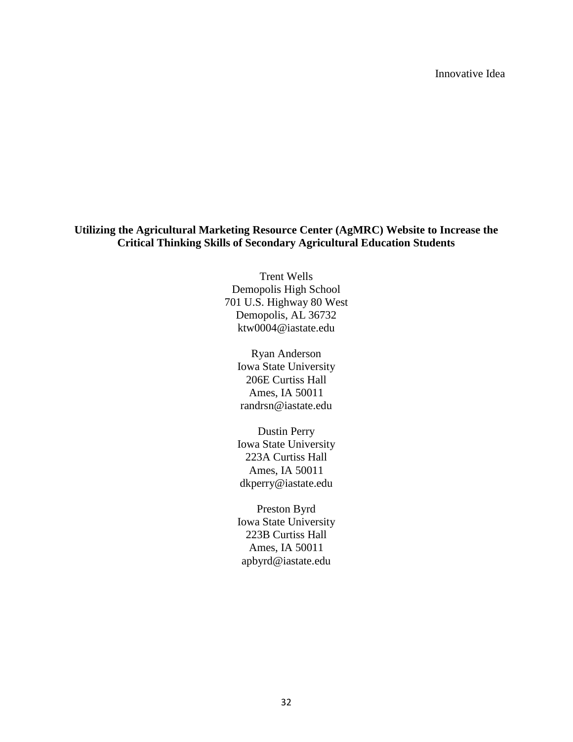Innovative Idea

## **Utilizing the Agricultural Marketing Resource Center (AgMRC) Website to Increase the Critical Thinking Skills of Secondary Agricultural Education Students**

Trent Wells Demopolis High School 701 U.S. Highway 80 West Demopolis, AL 36732 ktw0004@iastate.edu

Ryan Anderson Iowa State University 206E Curtiss Hall Ames, IA 50011 randrsn@iastate.edu

Dustin Perry Iowa State University 223A Curtiss Hall Ames, IA 50011 dkperry@iastate.edu

Preston Byrd Iowa State University 223B Curtiss Hall Ames, IA 50011 apbyrd@iastate.edu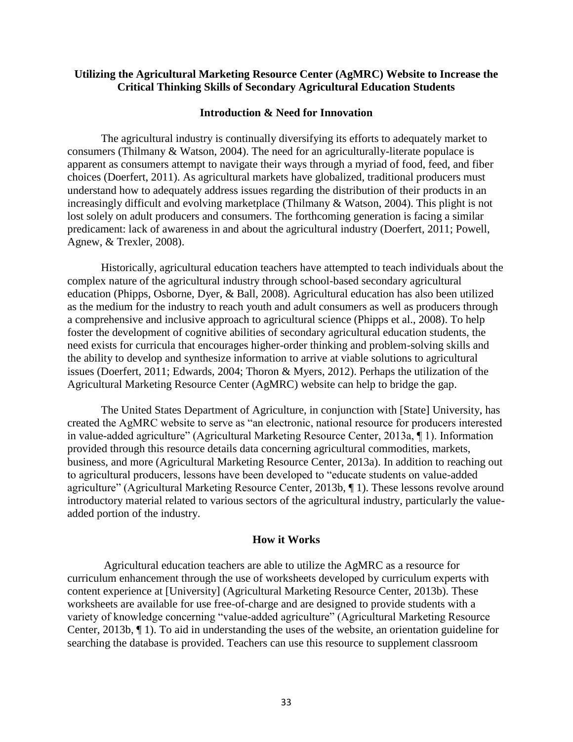#### **Utilizing the Agricultural Marketing Resource Center (AgMRC) Website to Increase the Critical Thinking Skills of Secondary Agricultural Education Students**

#### **Introduction & Need for Innovation**

The agricultural industry is continually diversifying its efforts to adequately market to consumers (Thilmany & Watson, 2004). The need for an agriculturally-literate populace is apparent as consumers attempt to navigate their ways through a myriad of food, feed, and fiber choices (Doerfert, 2011). As agricultural markets have globalized, traditional producers must understand how to adequately address issues regarding the distribution of their products in an increasingly difficult and evolving marketplace (Thilmany & Watson, 2004). This plight is not lost solely on adult producers and consumers. The forthcoming generation is facing a similar predicament: lack of awareness in and about the agricultural industry (Doerfert, 2011; Powell, Agnew, & Trexler, 2008).

Historically, agricultural education teachers have attempted to teach individuals about the complex nature of the agricultural industry through school-based secondary agricultural education (Phipps, Osborne, Dyer, & Ball, 2008). Agricultural education has also been utilized as the medium for the industry to reach youth and adult consumers as well as producers through a comprehensive and inclusive approach to agricultural science (Phipps et al., 2008). To help foster the development of cognitive abilities of secondary agricultural education students, the need exists for curricula that encourages higher-order thinking and problem-solving skills and the ability to develop and synthesize information to arrive at viable solutions to agricultural issues (Doerfert, 2011; Edwards, 2004; Thoron & Myers, 2012). Perhaps the utilization of the Agricultural Marketing Resource Center (AgMRC) website can help to bridge the gap.

The United States Department of Agriculture, in conjunction with [State] University, has created the AgMRC website to serve as "an electronic, national resource for producers interested in value-added agriculture" (Agricultural Marketing Resource Center, 2013a, ¶ 1). Information provided through this resource details data concerning agricultural commodities, markets, business, and more (Agricultural Marketing Resource Center, 2013a). In addition to reaching out to agricultural producers, lessons have been developed to "educate students on value-added agriculture" (Agricultural Marketing Resource Center, 2013b, ¶ 1). These lessons revolve around introductory material related to various sectors of the agricultural industry, particularly the valueadded portion of the industry.

#### **How it Works**

Agricultural education teachers are able to utilize the AgMRC as a resource for curriculum enhancement through the use of worksheets developed by curriculum experts with content experience at [University] (Agricultural Marketing Resource Center, 2013b). These worksheets are available for use free-of-charge and are designed to provide students with a variety of knowledge concerning "value-added agriculture" (Agricultural Marketing Resource Center, 2013b, ¶ 1). To aid in understanding the uses of the website, an orientation guideline for searching the database is provided. Teachers can use this resource to supplement classroom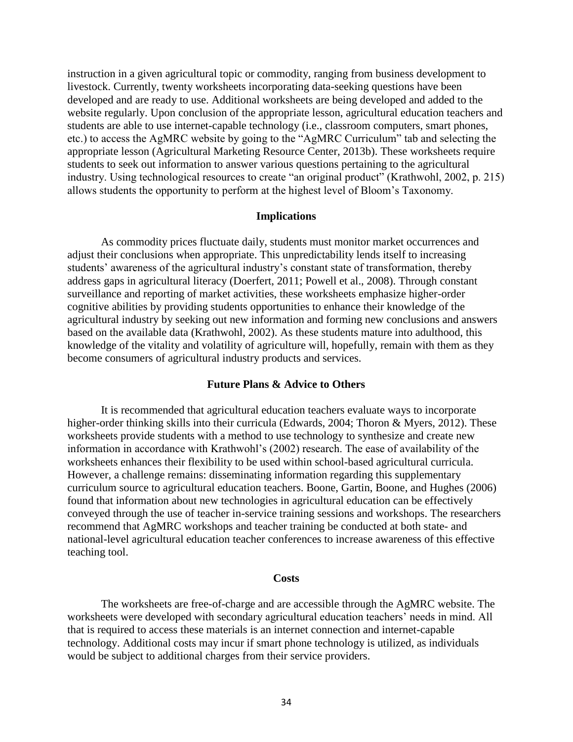instruction in a given agricultural topic or commodity, ranging from business development to livestock. Currently, twenty worksheets incorporating data-seeking questions have been developed and are ready to use. Additional worksheets are being developed and added to the website regularly. Upon conclusion of the appropriate lesson, agricultural education teachers and students are able to use internet-capable technology (i.e., classroom computers, smart phones, etc.) to access the AgMRC website by going to the "AgMRC Curriculum" tab and selecting the appropriate lesson (Agricultural Marketing Resource Center, 2013b). These worksheets require students to seek out information to answer various questions pertaining to the agricultural industry. Using technological resources to create "an original product" (Krathwohl, 2002, p. 215) allows students the opportunity to perform at the highest level of Bloom's Taxonomy.

#### **Implications**

As commodity prices fluctuate daily, students must monitor market occurrences and adjust their conclusions when appropriate. This unpredictability lends itself to increasing students' awareness of the agricultural industry's constant state of transformation, thereby address gaps in agricultural literacy (Doerfert, 2011; Powell et al., 2008). Through constant surveillance and reporting of market activities, these worksheets emphasize higher-order cognitive abilities by providing students opportunities to enhance their knowledge of the agricultural industry by seeking out new information and forming new conclusions and answers based on the available data (Krathwohl, 2002). As these students mature into adulthood, this knowledge of the vitality and volatility of agriculture will, hopefully, remain with them as they become consumers of agricultural industry products and services.

#### **Future Plans & Advice to Others**

It is recommended that agricultural education teachers evaluate ways to incorporate higher-order thinking skills into their curricula (Edwards, 2004; Thoron & Myers, 2012). These worksheets provide students with a method to use technology to synthesize and create new information in accordance with Krathwohl's (2002) research. The ease of availability of the worksheets enhances their flexibility to be used within school-based agricultural curricula. However, a challenge remains: disseminating information regarding this supplementary curriculum source to agricultural education teachers. Boone, Gartin, Boone, and Hughes (2006) found that information about new technologies in agricultural education can be effectively conveyed through the use of teacher in-service training sessions and workshops. The researchers recommend that AgMRC workshops and teacher training be conducted at both state- and national-level agricultural education teacher conferences to increase awareness of this effective teaching tool.

#### **Costs**

The worksheets are free-of-charge and are accessible through the AgMRC website. The worksheets were developed with secondary agricultural education teachers' needs in mind. All that is required to access these materials is an internet connection and internet-capable technology. Additional costs may incur if smart phone technology is utilized, as individuals would be subject to additional charges from their service providers.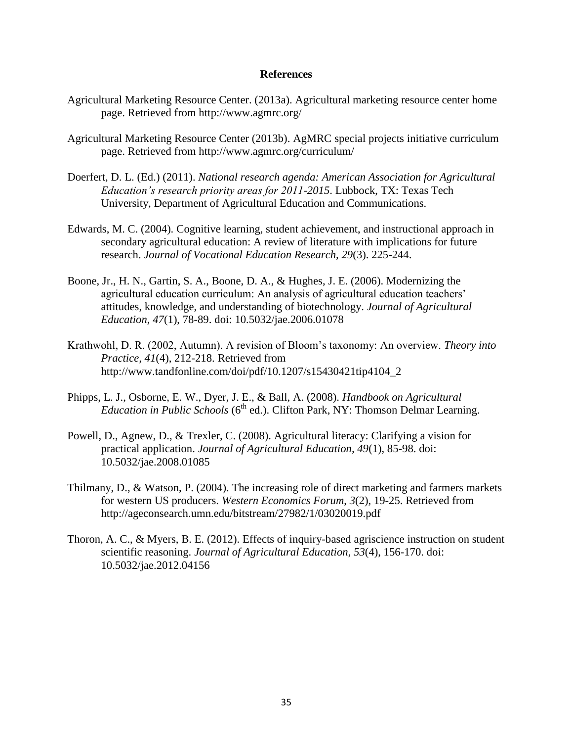#### **References**

- Agricultural Marketing Resource Center. (2013a). Agricultural marketing resource center home page. Retrieved from http://www.agmrc.org/
- Agricultural Marketing Resource Center (2013b). AgMRC special projects initiative curriculum page. Retrieved from http://www.agmrc.org/curriculum/
- Doerfert, D. L. (Ed.) (2011). *National research agenda: American Association for Agricultural Education's research priority areas for 2011-2015*. Lubbock, TX: Texas Tech University, Department of Agricultural Education and Communications.
- Edwards, M. C. (2004). Cognitive learning, student achievement, and instructional approach in secondary agricultural education: A review of literature with implications for future research. *Journal of Vocational Education Research, 29*(3). 225-244.
- Boone, Jr., H. N., Gartin, S. A., Boone, D. A., & Hughes, J. E. (2006). Modernizing the agricultural education curriculum: An analysis of agricultural education teachers' attitudes, knowledge, and understanding of biotechnology. *Journal of Agricultural Education, 47*(1), 78-89. doi: 10.5032/jae.2006.01078
- Krathwohl, D. R. (2002, Autumn). A revision of Bloom's taxonomy: An overview. *Theory into Practice, 41*(4), 212-218. Retrieved from http://www.tandfonline.com/doi/pdf/10.1207/s15430421tip4104\_2
- Phipps, L. J., Osborne, E. W., Dyer, J. E., & Ball, A. (2008). *Handbook on Agricultural Education in Public Schools* (6<sup>th</sup> ed.). Clifton Park, NY: Thomson Delmar Learning.
- Powell, D., Agnew, D., & Trexler, C. (2008). Agricultural literacy: Clarifying a vision for practical application. *Journal of Agricultural Education, 49*(1), 85-98. doi: 10.5032/jae.2008.01085
- Thilmany, D., & Watson, P. (2004). The increasing role of direct marketing and farmers markets for western US producers. *Western Economics Forum*, *3*(2), 19-25. Retrieved from http://ageconsearch.umn.edu/bitstream/27982/1/03020019.pdf
- Thoron, A. C., & Myers, B. E. (2012). Effects of inquiry-based agriscience instruction on student scientific reasoning. *Journal of Agricultural Education, 53*(4), 156-170. doi: 10.5032/jae.2012.04156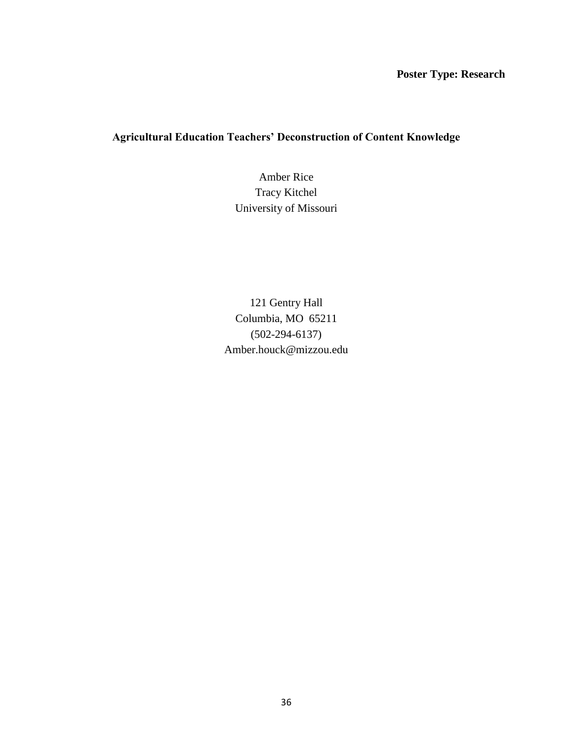## **Poster Type: Research**

## **Agricultural Education Teachers' Deconstruction of Content Knowledge**

Amber Rice Tracy Kitchel University of Missouri

121 Gentry Hall Columbia, MO 65211 (502-294-6137) Amber.houck@mizzou.edu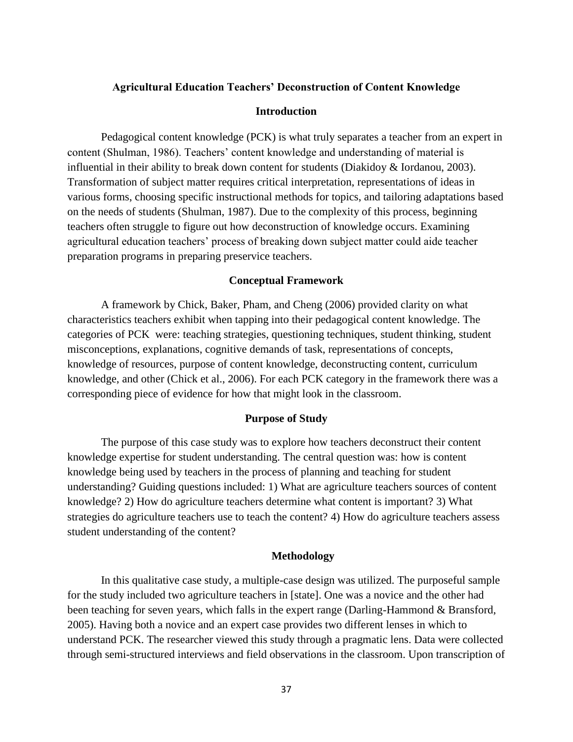### **Agricultural Education Teachers' Deconstruction of Content Knowledge**

### **Introduction**

Pedagogical content knowledge (PCK) is what truly separates a teacher from an expert in content (Shulman, 1986). Teachers' content knowledge and understanding of material is influential in their ability to break down content for students (Diakidoy & Iordanou, 2003). Transformation of subject matter requires critical interpretation, representations of ideas in various forms, choosing specific instructional methods for topics, and tailoring adaptations based on the needs of students (Shulman, 1987). Due to the complexity of this process, beginning teachers often struggle to figure out how deconstruction of knowledge occurs. Examining agricultural education teachers' process of breaking down subject matter could aide teacher preparation programs in preparing preservice teachers.

#### **Conceptual Framework**

A framework by Chick, Baker, Pham, and Cheng (2006) provided clarity on what characteristics teachers exhibit when tapping into their pedagogical content knowledge. The categories of PCK were: teaching strategies, questioning techniques, student thinking, student misconceptions, explanations, cognitive demands of task, representations of concepts, knowledge of resources, purpose of content knowledge, deconstructing content, curriculum knowledge, and other (Chick et al., 2006). For each PCK category in the framework there was a corresponding piece of evidence for how that might look in the classroom.

### **Purpose of Study**

The purpose of this case study was to explore how teachers deconstruct their content knowledge expertise for student understanding. The central question was: how is content knowledge being used by teachers in the process of planning and teaching for student understanding? Guiding questions included: 1) What are agriculture teachers sources of content knowledge? 2) How do agriculture teachers determine what content is important? 3) What strategies do agriculture teachers use to teach the content? 4) How do agriculture teachers assess student understanding of the content?

### **Methodology**

In this qualitative case study, a multiple-case design was utilized. The purposeful sample for the study included two agriculture teachers in [state]. One was a novice and the other had been teaching for seven years, which falls in the expert range (Darling-Hammond & Bransford, 2005). Having both a novice and an expert case provides two different lenses in which to understand PCK. The researcher viewed this study through a pragmatic lens. Data were collected through semi-structured interviews and field observations in the classroom. Upon transcription of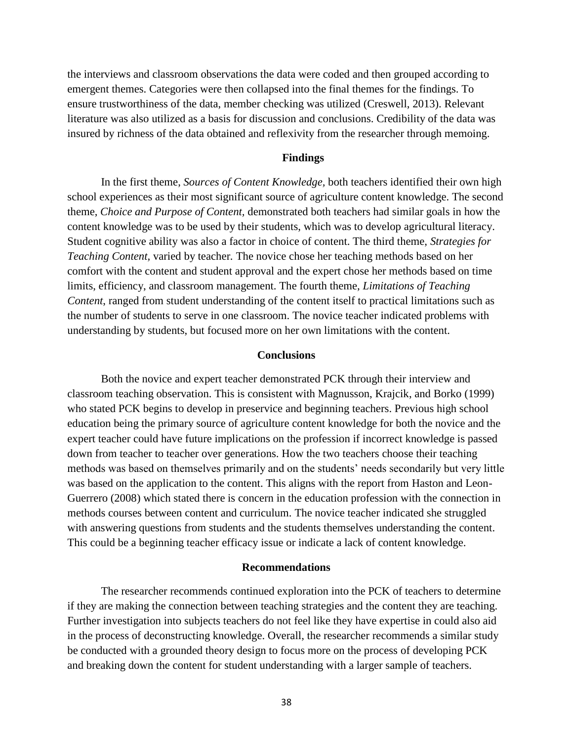the interviews and classroom observations the data were coded and then grouped according to emergent themes. Categories were then collapsed into the final themes for the findings. To ensure trustworthiness of the data, member checking was utilized (Creswell, 2013). Relevant literature was also utilized as a basis for discussion and conclusions. Credibility of the data was insured by richness of the data obtained and reflexivity from the researcher through memoing.

### **Findings**

In the first theme, *Sources of Content Knowledge,* both teachers identified their own high school experiences as their most significant source of agriculture content knowledge. The second theme, *Choice and Purpose of Content,* demonstrated both teachers had similar goals in how the content knowledge was to be used by their students, which was to develop agricultural literacy. Student cognitive ability was also a factor in choice of content. The third theme, *Strategies for Teaching Content,* varied by teacher*.* The novice chose her teaching methods based on her comfort with the content and student approval and the expert chose her methods based on time limits, efficiency, and classroom management. The fourth theme, *Limitations of Teaching Content*, ranged from student understanding of the content itself to practical limitations such as the number of students to serve in one classroom. The novice teacher indicated problems with understanding by students, but focused more on her own limitations with the content.

### **Conclusions**

Both the novice and expert teacher demonstrated PCK through their interview and classroom teaching observation. This is consistent with Magnusson, Krajcik, and Borko (1999) who stated PCK begins to develop in preservice and beginning teachers. Previous high school education being the primary source of agriculture content knowledge for both the novice and the expert teacher could have future implications on the profession if incorrect knowledge is passed down from teacher to teacher over generations. How the two teachers choose their teaching methods was based on themselves primarily and on the students' needs secondarily but very little was based on the application to the content. This aligns with the report from Haston and Leon-Guerrero (2008) which stated there is concern in the education profession with the connection in methods courses between content and curriculum. The novice teacher indicated she struggled with answering questions from students and the students themselves understanding the content. This could be a beginning teacher efficacy issue or indicate a lack of content knowledge.

### **Recommendations**

The researcher recommends continued exploration into the PCK of teachers to determine if they are making the connection between teaching strategies and the content they are teaching. Further investigation into subjects teachers do not feel like they have expertise in could also aid in the process of deconstructing knowledge. Overall, the researcher recommends a similar study be conducted with a grounded theory design to focus more on the process of developing PCK and breaking down the content for student understanding with a larger sample of teachers.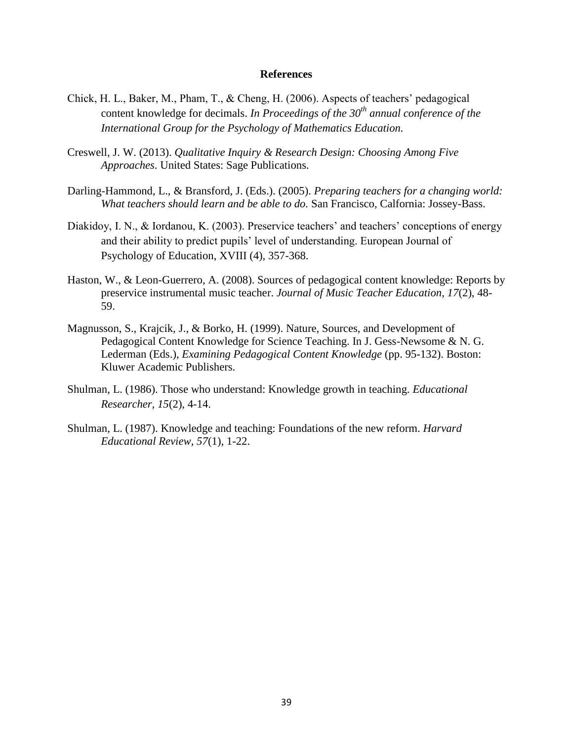- Chick, H. L., Baker, M., Pham, T., & Cheng, H. (2006). Aspects of teachers' pedagogical content knowledge for decimals. *In Proceedings of the 30th annual conference of the International Group for the Psychology of Mathematics Education.*
- Creswell, J. W. (2013). *Qualitative Inquiry & Research Design: Choosing Among Five Approaches*. United States: Sage Publications.
- Darling-Hammond, L., & Bransford, J. (Eds.). (2005). *Preparing teachers for a changing world: What teachers should learn and be able to do.* San Francisco, Calfornia: Jossey-Bass.
- Diakidoy, I. N., & Iordanou, K. (2003). Preservice teachers' and teachers' conceptions of energy and their ability to predict pupils' level of understanding. European Journal of Psychology of Education, XVIII (4), 357-368.
- Haston, W., & Leon-Guerrero, A. (2008). Sources of pedagogical content knowledge: Reports by preservice instrumental music teacher. *Journal of Music Teacher Education, 17*(2), 48- 59.
- Magnusson, S., Krajcik, J., & Borko, H. (1999). Nature, Sources, and Development of Pedagogical Content Knowledge for Science Teaching. In J. Gess-Newsome & N. G. Lederman (Eds.), *Examining Pedagogical Content Knowledge* (pp. 95-132). Boston: Kluwer Academic Publishers.
- Shulman, L. (1986). Those who understand: Knowledge growth in teaching. *Educational Researcher, 15*(2), 4-14.
- Shulman, L. (1987). Knowledge and teaching: Foundations of the new reform. *Harvard Educational Review, 57*(1), 1-22.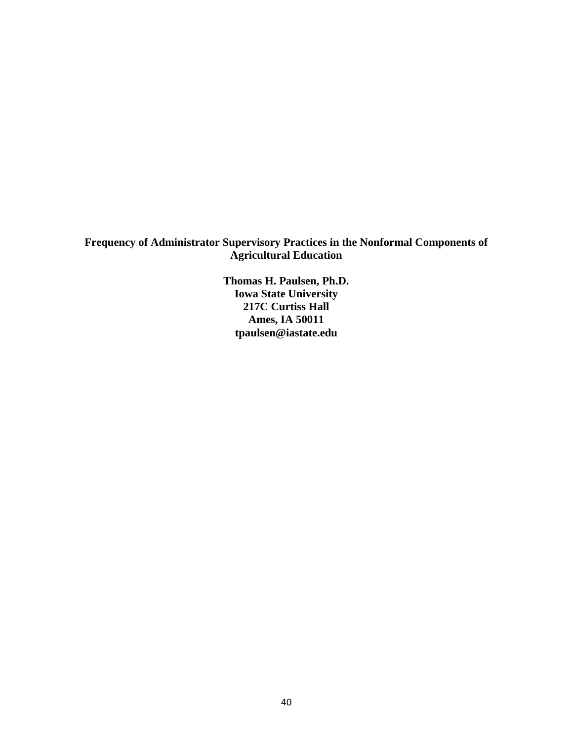# **Frequency of Administrator Supervisory Practices in the Nonformal Components of Agricultural Education**

**Thomas H. Paulsen, Ph.D. Iowa State University 217C Curtiss Hall Ames, IA 50011 tpaulsen@iastate.edu**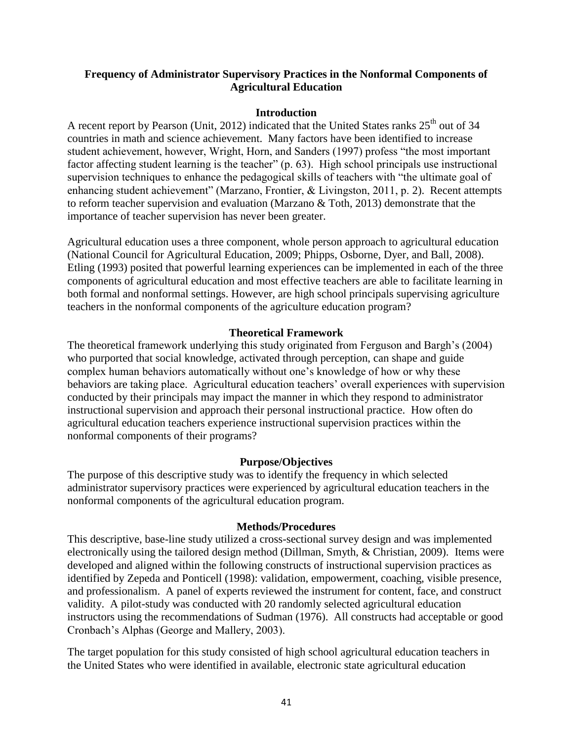# **Frequency of Administrator Supervisory Practices in the Nonformal Components of Agricultural Education**

# **Introduction**

A recent report by Pearson (Unit, 2012) indicated that the United States ranks  $25<sup>th</sup>$  out of 34 countries in math and science achievement. Many factors have been identified to increase student achievement, however, Wright, Horn, and Sanders (1997) profess "the most important factor affecting student learning is the teacher" (p. 63). High school principals use instructional supervision techniques to enhance the pedagogical skills of teachers with "the ultimate goal of enhancing student achievement" (Marzano, Frontier, & Livingston, 2011, p. 2). Recent attempts to reform teacher supervision and evaluation (Marzano & Toth, 2013) demonstrate that the importance of teacher supervision has never been greater.

Agricultural education uses a three component, whole person approach to agricultural education (National Council for Agricultural Education, 2009; Phipps, Osborne, Dyer, and Ball, 2008). Etling (1993) posited that powerful learning experiences can be implemented in each of the three components of agricultural education and most effective teachers are able to facilitate learning in both formal and nonformal settings. However, are high school principals supervising agriculture teachers in the nonformal components of the agriculture education program?

# **Theoretical Framework**

The theoretical framework underlying this study originated from Ferguson and Bargh's (2004) who purported that social knowledge, activated through perception, can shape and guide complex human behaviors automatically without one's knowledge of how or why these behaviors are taking place. Agricultural education teachers' overall experiences with supervision conducted by their principals may impact the manner in which they respond to administrator instructional supervision and approach their personal instructional practice. How often do agricultural education teachers experience instructional supervision practices within the nonformal components of their programs?

# **Purpose/Objectives**

The purpose of this descriptive study was to identify the frequency in which selected administrator supervisory practices were experienced by agricultural education teachers in the nonformal components of the agricultural education program.

# **Methods/Procedures**

This descriptive, base-line study utilized a cross-sectional survey design and was implemented electronically using the tailored design method (Dillman, Smyth, & Christian, 2009). Items were developed and aligned within the following constructs of instructional supervision practices as identified by Zepeda and Ponticell (1998): validation, empowerment, coaching, visible presence, and professionalism. A panel of experts reviewed the instrument for content, face, and construct validity. A pilot-study was conducted with 20 randomly selected agricultural education instructors using the recommendations of Sudman (1976). All constructs had acceptable or good Cronbach's Alphas (George and Mallery, 2003).

The target population for this study consisted of high school agricultural education teachers in the United States who were identified in available, electronic state agricultural education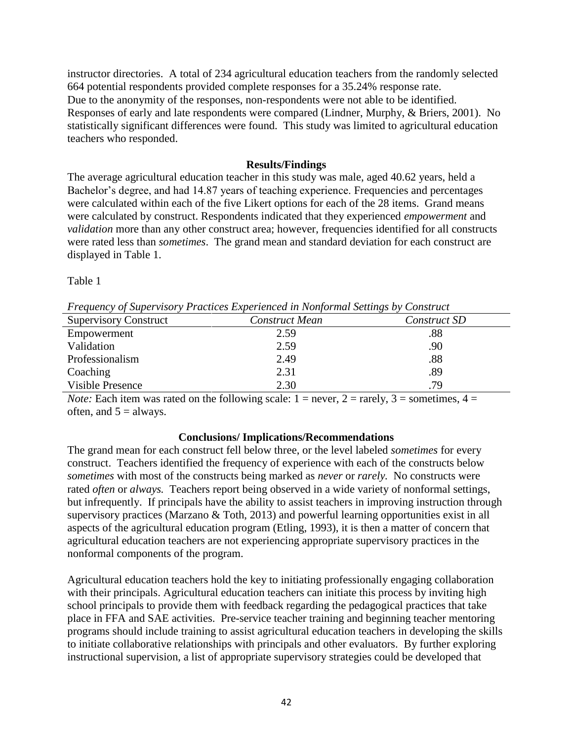instructor directories. A total of 234 agricultural education teachers from the randomly selected 664 potential respondents provided complete responses for a 35.24% response rate. Due to the anonymity of the responses, non-respondents were not able to be identified. Responses of early and late respondents were compared (Lindner, Murphy, & Briers, 2001). No statistically significant differences were found. This study was limited to agricultural education teachers who responded.

# **Results/Findings**

The average agricultural education teacher in this study was male, aged 40.62 years, held a Bachelor's degree, and had 14.87 years of teaching experience. Frequencies and percentages were calculated within each of the five Likert options for each of the 28 items. Grand means were calculated by construct. Respondents indicated that they experienced *empowerment* and *validation* more than any other construct area; however, frequencies identified for all constructs were rated less than *sometimes*. The grand mean and standard deviation for each construct are displayed in Table 1.

Table 1

*Frequency of Supervisory Practices Experienced in Nonformal Settings by Construct*

| <b>Supervisory Construct</b> | Construct Mean | Construct SD |
|------------------------------|----------------|--------------|
| Empowerment                  | 2.59           | .88          |
| Validation                   | 2.59           | .90          |
| Professionalism              | 2.49           | .88          |
| Coaching                     | 2.31           | .89          |
| Visible Presence             | 2.30           | .79          |

*Note:* Each item was rated on the following scale:  $1 =$  never,  $2 =$  rarely,  $3 =$  sometimes,  $4 =$ often, and  $5 =$  always.

# **Conclusions/ Implications/Recommendations**

The grand mean for each construct fell below three, or the level labeled *sometimes* for every construct. Teachers identified the frequency of experience with each of the constructs below *sometimes* with most of the constructs being marked as *never* or *rarely.* No constructs were rated *often* or *always.* Teachers report being observed in a wide variety of nonformal settings, but infrequently. If principals have the ability to assist teachers in improving instruction through supervisory practices (Marzano & Toth, 2013) and powerful learning opportunities exist in all aspects of the agricultural education program (Etling, 1993), it is then a matter of concern that agricultural education teachers are not experiencing appropriate supervisory practices in the nonformal components of the program.

Agricultural education teachers hold the key to initiating professionally engaging collaboration with their principals. Agricultural education teachers can initiate this process by inviting high school principals to provide them with feedback regarding the pedagogical practices that take place in FFA and SAE activities. Pre-service teacher training and beginning teacher mentoring programs should include training to assist agricultural education teachers in developing the skills to initiate collaborative relationships with principals and other evaluators. By further exploring instructional supervision, a list of appropriate supervisory strategies could be developed that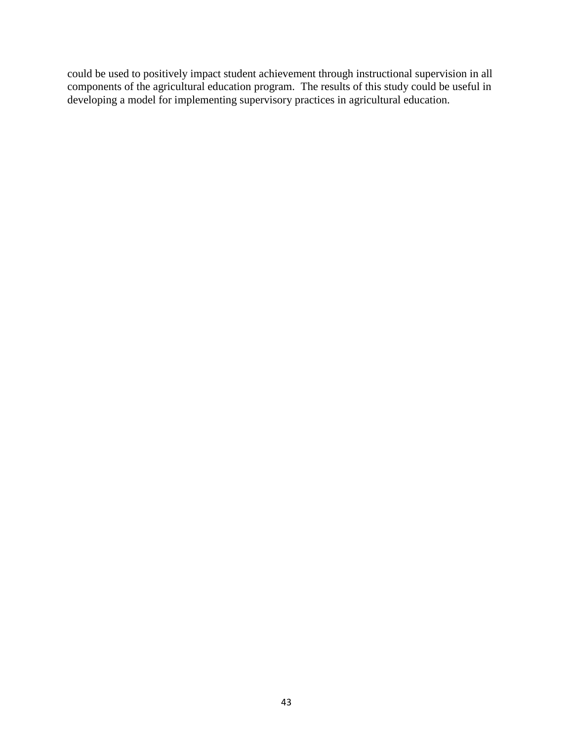could be used to positively impact student achievement through instructional supervision in all components of the agricultural education program. The results of this study could be useful in developing a model for implementing supervisory practices in agricultural education.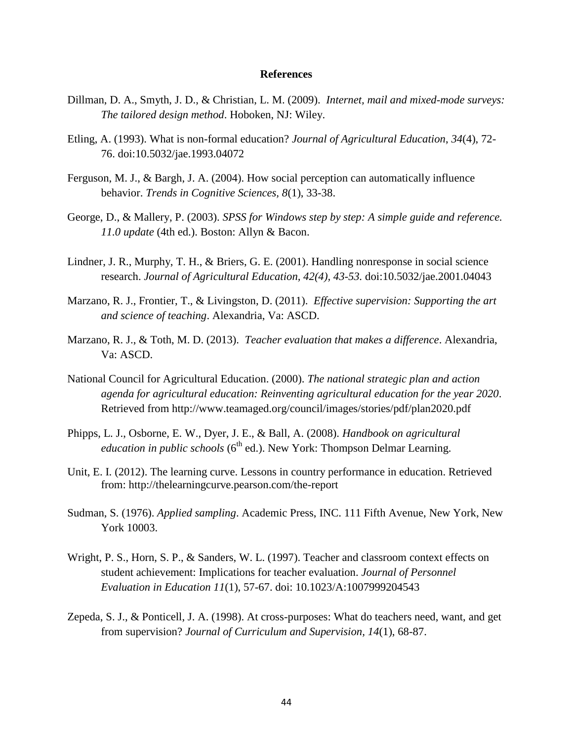- Dillman, D. A., Smyth, J. D., & Christian, L. M. (2009). *Internet, mail and mixed-mode surveys: The tailored design method*. Hoboken, NJ: Wiley.
- Etling, A. (1993). What is non-formal education? *Journal of Agricultural Education*, *34*(4), 72- 76. doi:10.5032/jae.1993.04072
- Ferguson, M. J., & Bargh, J. A. (2004). How social perception can automatically influence behavior. *Trends in Cognitive Sciences, 8*(1), 33-38.
- George, D., & Mallery, P. (2003). *SPSS for Windows step by step: A simple guide and reference. 11.0 update* (4th ed.). Boston: Allyn & Bacon.
- Lindner, J. R., Murphy, T. H., & Briers, G. E. (2001). Handling nonresponse in social science research. *Journal of Agricultural Education, 42(4), 43-53.* doi:10.5032/jae.2001.04043
- Marzano, R. J., Frontier, T., & Livingston, D. (2011). *Effective supervision: Supporting the art and science of teaching*. Alexandria, Va: ASCD.
- Marzano, R. J., & Toth, M. D. (2013). *Teacher evaluation that makes a difference*. Alexandria, Va: ASCD.
- National Council for Agricultural Education. (2000). *The national strategic plan and action agenda for agricultural education: Reinventing agricultural education for the year 2020*. Retrieved from http://www.teamaged.org/council/images/stories/pdf/plan2020.pdf
- Phipps, L. J., Osborne, E. W., Dyer, J. E., & Ball, A. (2008). *Handbook on agricultural education in public schools* (6<sup>th</sup> ed.). New York: Thompson Delmar Learning.
- Unit, E. I. (2012). The learning curve. Lessons in country performance in education. Retrieved from: http://thelearningcurve.pearson.com/the-report
- Sudman, S. (1976). *Applied sampling*. Academic Press, INC. 111 Fifth Avenue, New York, New York 10003.
- Wright, P. S., Horn, S. P., & Sanders, W. L. (1997). Teacher and classroom context effects on student achievement: Implications for teacher evaluation. *Journal of Personnel Evaluation in Education 11*(1), 57-67. doi: 10.1023/A:1007999204543
- Zepeda, S. J., & Ponticell, J. A. (1998). At cross-purposes: What do teachers need, want, and get from supervision? *Journal of Curriculum and Supervision, 14*(1), 68-87.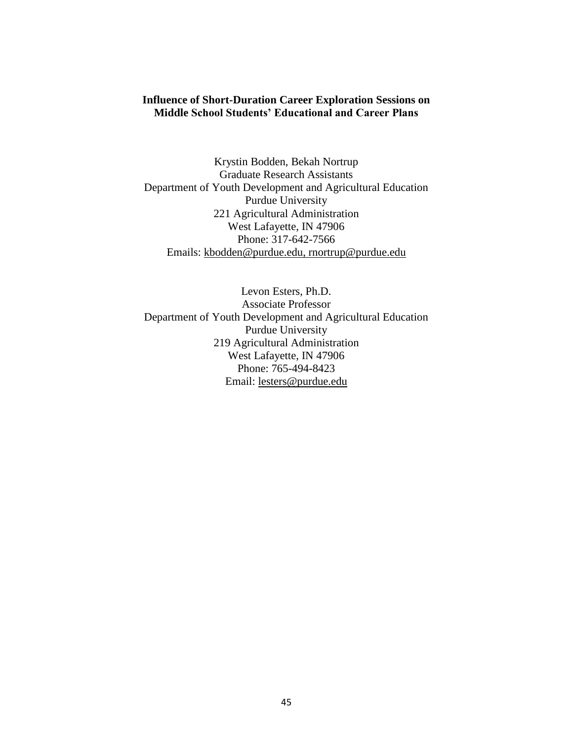# **Influence of Short-Duration Career Exploration Sessions on Middle School Students' Educational and Career Plans**

Krystin Bodden, Bekah Nortrup Graduate Research Assistants Department of Youth Development and Agricultural Education Purdue University 221 Agricultural Administration West Lafayette, IN 47906 Phone: 317-642-7566 Emails: kbodden@purdue.edu, rnortrup@purdue.edu

Levon Esters, Ph.D. Associate Professor Department of Youth Development and Agricultural Education Purdue University 219 Agricultural Administration West Lafayette, IN 47906 Phone: 765-494-8423 Email: [lesters@purdue.edu](mailto:lesters@purdue.edu)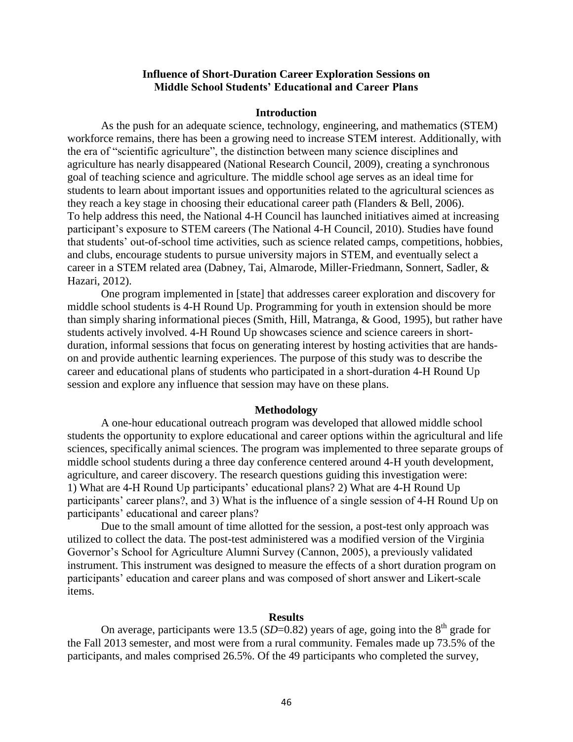### **Influence of Short-Duration Career Exploration Sessions on Middle School Students' Educational and Career Plans**

### **Introduction**

As the push for an adequate science, technology, engineering, and mathematics (STEM) workforce remains, there has been a growing need to increase STEM interest. Additionally, with the era of "scientific agriculture", the distinction between many science disciplines and agriculture has nearly disappeared (National Research Council, 2009), creating a synchronous goal of teaching science and agriculture. The middle school age serves as an ideal time for students to learn about important issues and opportunities related to the agricultural sciences as they reach a key stage in choosing their educational career path (Flanders & Bell, 2006). To help address this need, the National 4-H Council has launched initiatives aimed at increasing participant's exposure to STEM careers (The National 4-H Council, 2010). Studies have found that students' out-of-school time activities, such as science related camps, competitions, hobbies, and clubs, encourage students to pursue university majors in STEM, and eventually select a career in a STEM related area (Dabney, Tai, Almarode, Miller-Friedmann, Sonnert, Sadler, & Hazari, 2012).

One program implemented in [state] that addresses career exploration and discovery for middle school students is 4-H Round Up. Programming for youth in extension should be more than simply sharing informational pieces (Smith, Hill, Matranga, & Good, 1995), but rather have students actively involved. 4-H Round Up showcases science and science careers in shortduration, informal sessions that focus on generating interest by hosting activities that are handson and provide authentic learning experiences. The purpose of this study was to describe the career and educational plans of students who participated in a short-duration 4-H Round Up session and explore any influence that session may have on these plans.

#### **Methodology**

A one-hour educational outreach program was developed that allowed middle school students the opportunity to explore educational and career options within the agricultural and life sciences, specifically animal sciences. The program was implemented to three separate groups of middle school students during a three day conference centered around 4-H youth development, agriculture, and career discovery. The research questions guiding this investigation were: 1) What are 4-H Round Up participants' educational plans? 2) What are 4-H Round Up participants' career plans?, and 3) What is the influence of a single session of 4-H Round Up on participants' educational and career plans?

Due to the small amount of time allotted for the session, a post-test only approach was utilized to collect the data. The post-test administered was a modified version of the Virginia Governor's School for Agriculture Alumni Survey (Cannon, 2005), a previously validated instrument. This instrument was designed to measure the effects of a short duration program on participants' education and career plans and was composed of short answer and Likert-scale items.

#### **Results**

On average, participants were 13.5 ( $SD=0.82$ ) years of age, going into the  $8<sup>th</sup>$  grade for the Fall 2013 semester, and most were from a rural community. Females made up 73.5% of the participants, and males comprised 26.5%. Of the 49 participants who completed the survey,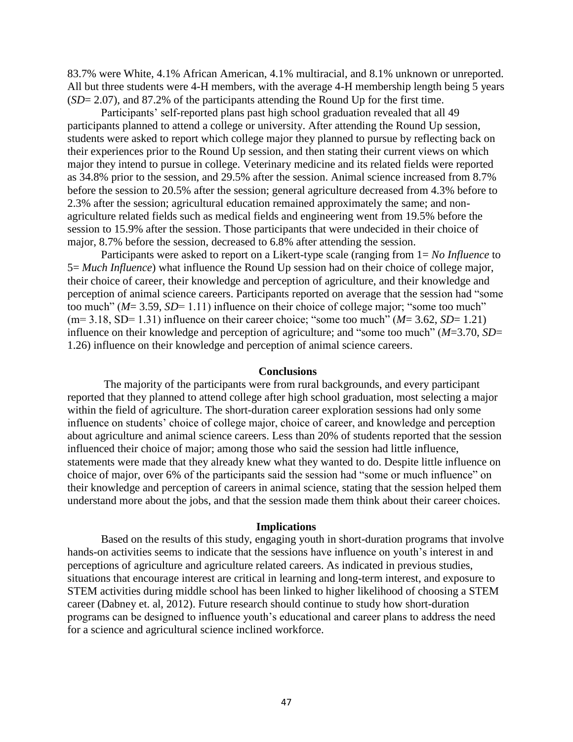83.7% were White, 4.1% African American, 4.1% multiracial, and 8.1% unknown or unreported. All but three students were 4-H members, with the average 4-H membership length being 5 years (*SD*= 2.07), and 87.2% of the participants attending the Round Up for the first time.

Participants' self-reported plans past high school graduation revealed that all 49 participants planned to attend a college or university. After attending the Round Up session, students were asked to report which college major they planned to pursue by reflecting back on their experiences prior to the Round Up session, and then stating their current views on which major they intend to pursue in college. Veterinary medicine and its related fields were reported as 34.8% prior to the session, and 29.5% after the session. Animal science increased from 8.7% before the session to 20.5% after the session; general agriculture decreased from 4.3% before to 2.3% after the session; agricultural education remained approximately the same; and nonagriculture related fields such as medical fields and engineering went from 19.5% before the session to 15.9% after the session. Those participants that were undecided in their choice of major, 8.7% before the session, decreased to 6.8% after attending the session.

Participants were asked to report on a Likert-type scale (ranging from 1= *No Influence* to 5= *Much Influence*) what influence the Round Up session had on their choice of college major, their choice of career, their knowledge and perception of agriculture, and their knowledge and perception of animal science careers. Participants reported on average that the session had "some too much" (*M*= 3.59, *SD*= 1.11) influence on their choice of college major; "some too much" (m= 3.18, SD= 1.31) influence on their career choice; "some too much" (*M*= 3.62, *SD*= 1.21) influence on their knowledge and perception of agriculture; and "some too much" (*M*=3.70, *SD*= 1.26) influence on their knowledge and perception of animal science careers.

### **Conclusions**

The majority of the participants were from rural backgrounds, and every participant reported that they planned to attend college after high school graduation, most selecting a major within the field of agriculture. The short-duration career exploration sessions had only some influence on students' choice of college major, choice of career, and knowledge and perception about agriculture and animal science careers. Less than 20% of students reported that the session influenced their choice of major; among those who said the session had little influence, statements were made that they already knew what they wanted to do. Despite little influence on choice of major, over 6% of the participants said the session had "some or much influence" on their knowledge and perception of careers in animal science, stating that the session helped them understand more about the jobs, and that the session made them think about their career choices.

### **Implications**

Based on the results of this study, engaging youth in short-duration programs that involve hands-on activities seems to indicate that the sessions have influence on youth's interest in and perceptions of agriculture and agriculture related careers. As indicated in previous studies, situations that encourage interest are critical in learning and long-term interest, and exposure to STEM activities during middle school has been linked to higher likelihood of choosing a STEM career (Dabney et. al, 2012). Future research should continue to study how short-duration programs can be designed to influence youth's educational and career plans to address the need for a science and agricultural science inclined workforce.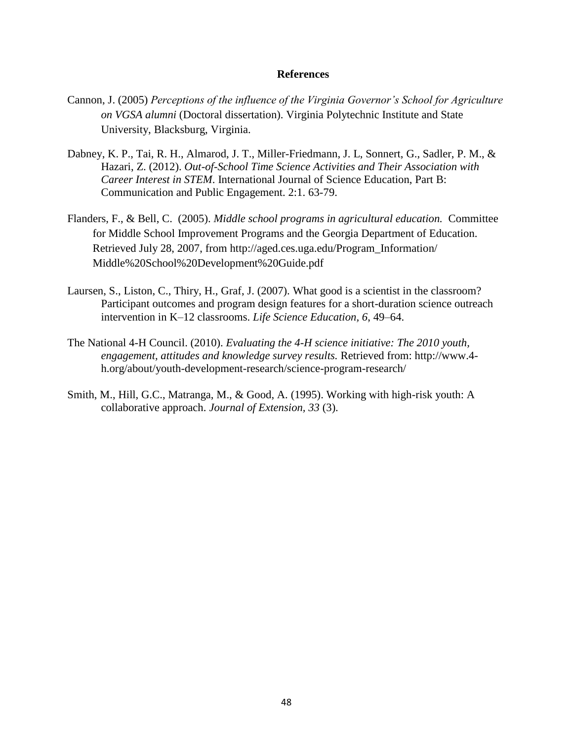- Cannon, J. (2005) *Perceptions of the influence of the Virginia Governor's School for Agriculture on VGSA alumni* (Doctoral dissertation). Virginia Polytechnic Institute and State University, Blacksburg, Virginia.
- Dabney, K. P., Tai, R. H., Almarod, J. T., Miller-Friedmann, J. L, Sonnert, G., Sadler, P. M., & Hazari, Z. (2012). *Out-of-School Time Science Activities and Their Association with Career Interest in STEM*. International Journal of Science Education, Part B: Communication and Public Engagement. 2:1. 63-79.
- Flanders, F., & Bell, C. (2005). *Middle school programs in agricultural education.* Committee for Middle School Improvement Programs and the Georgia Department of Education. Retrieved July 28, 2007, from http://aged.ces.uga.edu/Program\_Information/ Middle%20School%20Development%20Guide.pdf
- Laursen, S., Liston, C., Thiry, H., Graf, J. (2007). What good is a scientist in the classroom? Participant outcomes and program design features for a short-duration science outreach intervention in K–12 classrooms. *Life Science Education, 6*, 49–64.
- The National 4-H Council. (2010). *Evaluating the 4-H science initiative: The 2010 youth, engagement, attitudes and knowledge survey results.* Retrieved from: http://www.4 h.org/about/youth-development-research/science-program-research/
- Smith, M., Hill, G.C., Matranga, M., & Good, A. (1995). Working with high-risk youth: A collaborative approach. *Journal of Extension, 33* (3).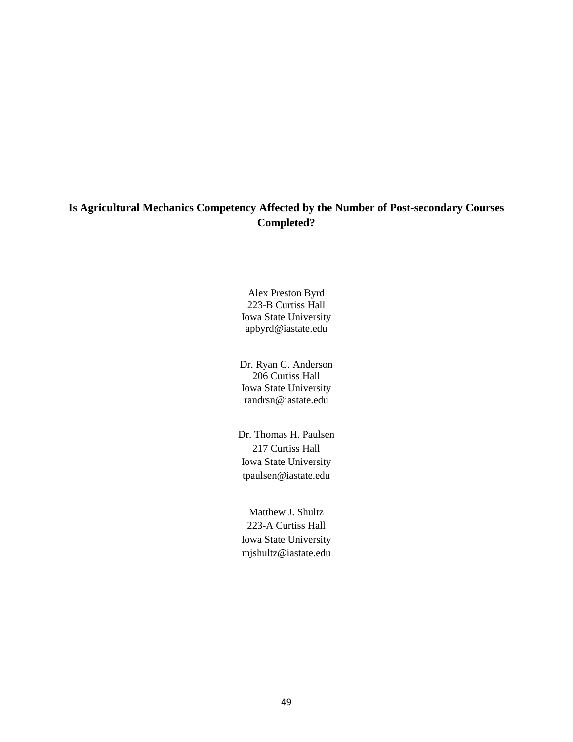# **Is Agricultural Mechanics Competency Affected by the Number of Post-secondary Courses Completed?**

Alex Preston Byrd 223-B Curtiss Hall Iowa State University apbyrd@iastate.edu

Dr. Ryan G. Anderson 206 Curtiss Hall Iowa State University randrsn@iastate.edu

Dr. Thomas H. Paulsen 217 Curtiss Hall Iowa State University tpaulsen@iastate.edu

Matthew J. Shultz 223-A Curtiss Hall Iowa State University mjshultz@iastate.edu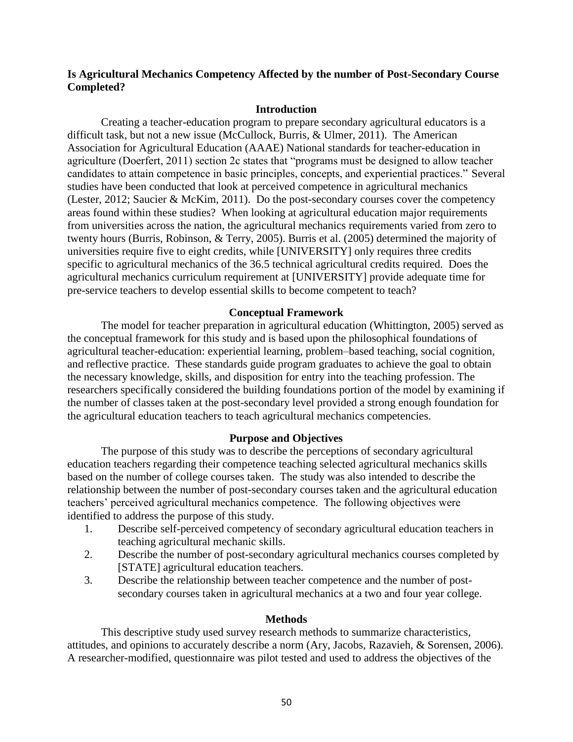# **Is Agricultural Mechanics Competency Affected by the number of Post-Secondary Course Completed?**

### **Introduction**

Creating a teacher-education program to prepare secondary agricultural educators is a difficult task, but not a new issue (McCullock, Burris, & Ulmer, 2011). The American Association for Agricultural Education (AAAE) National standards for teacher-education in agriculture (Doerfert, 2011) section 2c states that "programs must be designed to allow teacher candidates to attain competence in basic principles, concepts, and experiential practices." Several studies have been conducted that look at perceived competence in agricultural mechanics (Lester, 2012; Saucier & McKim, 2011). Do the post-secondary courses cover the competency areas found within these studies? When looking at agricultural education major requirements from universities across the nation, the agricultural mechanics requirements varied from zero to twenty hours (Burris, Robinson, & Terry, 2005). Burris et al. (2005) determined the majority of universities require five to eight credits, while [UNIVERSITY] only requires three credits specific to agricultural mechanics of the 36.5 technical agricultural credits required. Does the agricultural mechanics curriculum requirement at [UNIVERSITY] provide adequate time for pre-service teachers to develop essential skills to become competent to teach?

# **Conceptual Framework**

The model for teacher preparation in agricultural education (Whittington, 2005) served as the conceptual framework for this study and is based upon the philosophical foundations of agricultural teacher-education: experiential learning, problem–based teaching, social cognition, and reflective practice. These standards guide program graduates to achieve the goal to obtain the necessary knowledge, skills, and disposition for entry into the teaching profession. The researchers specifically considered the building foundations portion of the model by examining if the number of classes taken at the post-secondary level provided a strong enough foundation for the agricultural education teachers to teach agricultural mechanics competencies.

# **Purpose and Objectives**

 The purpose of this study was to describe the perceptions of secondary agricultural education teachers regarding their competence teaching selected agricultural mechanics skills based on the number of college courses taken. The study was also intended to describe the relationship between the number of post-secondary courses taken and the agricultural education teachers' perceived agricultural mechanics competence. The following objectives were identified to address the purpose of this study.

- 1. Describe self-perceived competency of secondary agricultural education teachers in teaching agricultural mechanic skills.
- 2. Describe the number of post-secondary agricultural mechanics courses completed by [STATE] agricultural education teachers.
- 3. Describe the relationship between teacher competence and the number of postsecondary courses taken in agricultural mechanics at a two and four year college.

### **Methods**

This descriptive study used survey research methods to summarize characteristics, attitudes, and opinions to accurately describe a norm (Ary, Jacobs, Razavieh, & Sorensen, 2006). A researcher-modified, questionnaire was pilot tested and used to address the objectives of the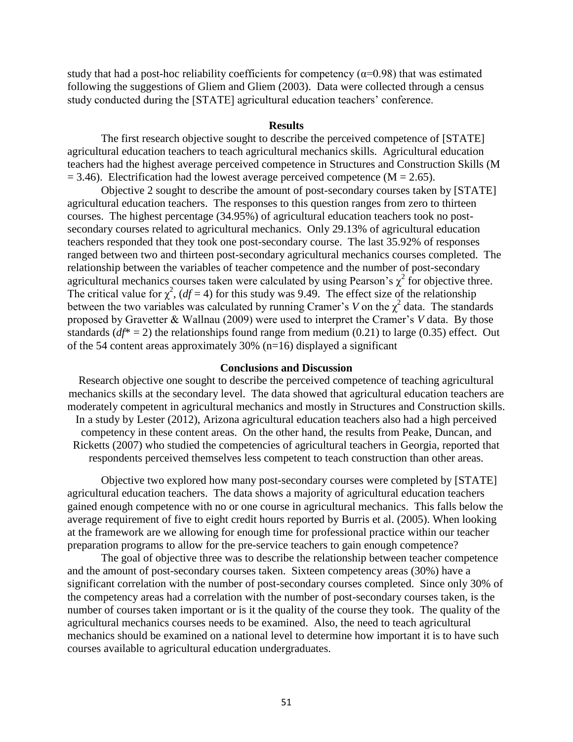study that had a post-hoc reliability coefficients for competency ( $\alpha$ =0.98) that was estimated following the suggestions of Gliem and Gliem (2003). Data were collected through a census study conducted during the [STATE] agricultural education teachers' conference.

### **Results**

The first research objective sought to describe the perceived competence of [STATE] agricultural education teachers to teach agricultural mechanics skills. Agricultural education teachers had the highest average perceived competence in Structures and Construction Skills (M  $= 3.46$ ). Electrification had the lowest average perceived competence (M = 2.65).

Objective 2 sought to describe the amount of post-secondary courses taken by [STATE] agricultural education teachers. The responses to this question ranges from zero to thirteen courses. The highest percentage (34.95%) of agricultural education teachers took no postsecondary courses related to agricultural mechanics. Only 29.13% of agricultural education teachers responded that they took one post-secondary course. The last 35.92% of responses ranged between two and thirteen post-secondary agricultural mechanics courses completed. The relationship between the variables of teacher competence and the number of post-secondary agricultural mechanics courses taken were calculated by using Pearson's  $\chi^2$  for objective three. The critical value for  $\chi^2$ , (*df* = 4) for this study was 9.49. The effect size of the relationship between the two variables was calculated by running Cramer's *V* on the  $\chi^2$  data. The standards proposed by Gravetter & Wallnau (2009) were used to interpret the Cramer's *V* data. By those standards  $(df^* = 2)$  the relationships found range from medium (0.21) to large (0.35) effect. Out of the 54 content areas approximately 30% (n=16) displayed a significant

# **Conclusions and Discussion**

Research objective one sought to describe the perceived competence of teaching agricultural mechanics skills at the secondary level. The data showed that agricultural education teachers are moderately competent in agricultural mechanics and mostly in Structures and Construction skills. In a study by Lester (2012), Arizona agricultural education teachers also had a high perceived competency in these content areas. On the other hand, the results from Peake, Duncan, and Ricketts (2007) who studied the competencies of agricultural teachers in Georgia, reported that respondents perceived themselves less competent to teach construction than other areas.

Objective two explored how many post-secondary courses were completed by [STATE] agricultural education teachers. The data shows a majority of agricultural education teachers gained enough competence with no or one course in agricultural mechanics. This falls below the average requirement of five to eight credit hours reported by Burris et al. (2005). When looking at the framework are we allowing for enough time for professional practice within our teacher preparation programs to allow for the pre-service teachers to gain enough competence?

The goal of objective three was to describe the relationship between teacher competence and the amount of post-secondary courses taken. Sixteen competency areas (30%) have a significant correlation with the number of post-secondary courses completed. Since only 30% of the competency areas had a correlation with the number of post-secondary courses taken, is the number of courses taken important or is it the quality of the course they took. The quality of the agricultural mechanics courses needs to be examined. Also, the need to teach agricultural mechanics should be examined on a national level to determine how important it is to have such courses available to agricultural education undergraduates.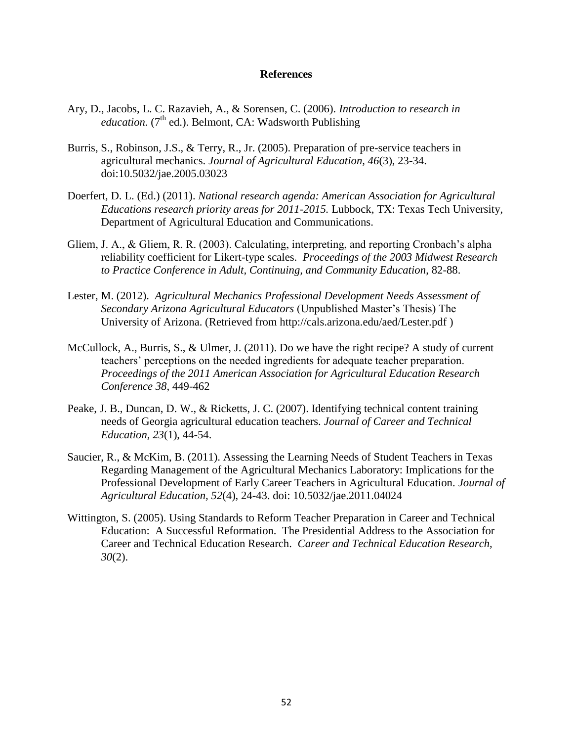- Ary, D., Jacobs, L. C. Razavieh, A., & Sorensen, C. (2006). *Introduction to research in education.* ( $7<sup>th</sup>$  ed.). Belmont, CA: Wadsworth Publishing
- Burris, S., Robinson, J.S., & Terry, R., Jr. (2005). Preparation of pre-service teachers in agricultural mechanics. *Journal of Agricultural Education, 46*(3), 23-34. doi:10.5032/jae.2005.03023
- Doerfert, D. L. (Ed.) (2011). *National research agenda: American Association for Agricultural Educations research priority areas for 2011-2015.* Lubbock, TX: Texas Tech University, Department of Agricultural Education and Communications.
- Gliem, J. A., & Gliem, R. R. (2003). Calculating, interpreting, and reporting Cronbach's alpha reliability coefficient for Likert-type scales. *Proceedings of the 2003 Midwest Research to Practice Conference in Adult, Continuing, and Community Education*, 82-88.
- Lester, M. (2012). *Agricultural Mechanics Professional Development Needs Assessment of Secondary Arizona Agricultural Educators* (Unpublished Master's Thesis) The University of Arizona. (Retrieved from http://cals.arizona.edu/aed/Lester.pdf )
- McCullock, A., Burris, S., & Ulmer, J. (2011). Do we have the right recipe? A study of current teachers' perceptions on the needed ingredients for adequate teacher preparation. *Proceedings of the 2011 American Association for Agricultural Education Research Conference 38*, 449-462
- Peake, J. B., Duncan, D. W., & Ricketts, J. C. (2007). Identifying technical content training needs of Georgia agricultural education teachers. *Journal of Career and Technical Education, 23*(1), 44-54.
- Saucier, R., & McKim, B. (2011). Assessing the Learning Needs of Student Teachers in Texas Regarding Management of the Agricultural Mechanics Laboratory: Implications for the Professional Development of Early Career Teachers in Agricultural Education. *Journal of Agricultural Education, 52*(4), 24-43. doi: 10.5032/jae.2011.04024
- Wittington, S. (2005). Using Standards to Reform Teacher Preparation in Career and Technical Education: A Successful Reformation. The Presidential Address to the Association for Career and Technical Education Research. *Career and Technical Education Research, 30*(2).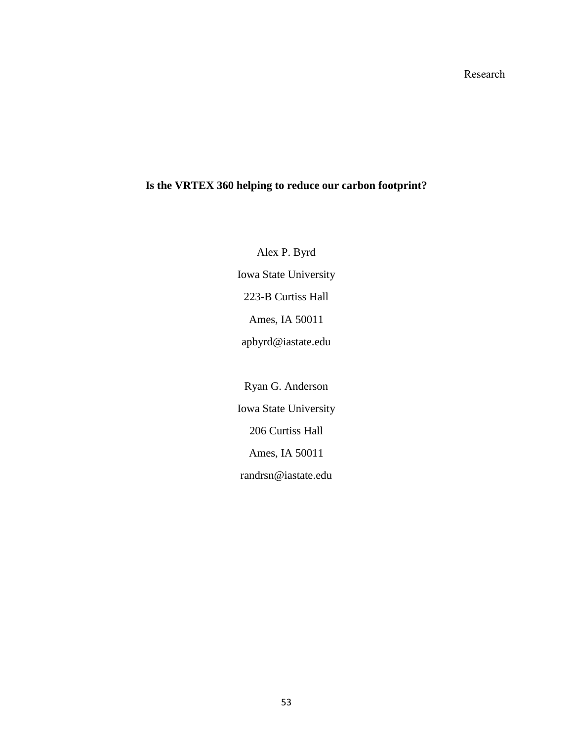# **Is the VRTEX 360 helping to reduce our carbon footprint?**

Alex P. Byrd Iowa State University 223-B Curtiss Hall Ames, IA 50011 apbyrd@iastate.edu

Ryan G. Anderson Iowa State University 206 Curtiss Hall Ames, IA 50011 randrsn@iastate.edu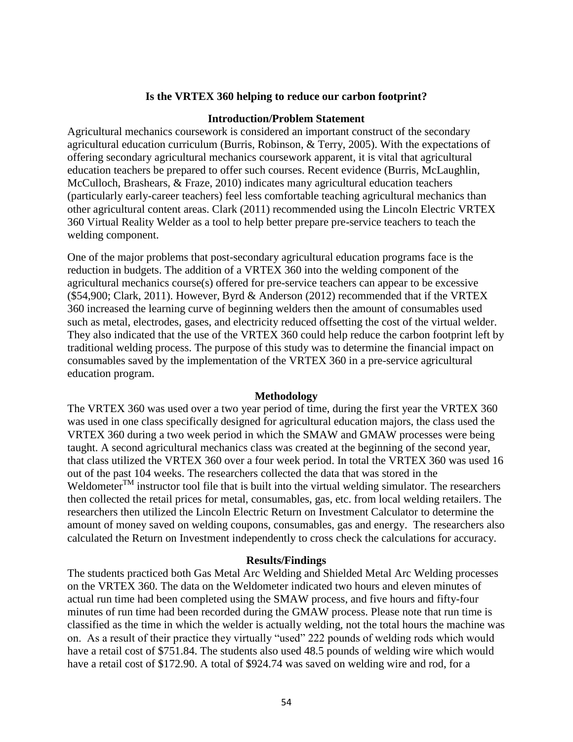# **Is the VRTEX 360 helping to reduce our carbon footprint?**

### **Introduction/Problem Statement**

Agricultural mechanics coursework is considered an important construct of the secondary agricultural education curriculum (Burris, Robinson, & Terry, 2005). With the expectations of offering secondary agricultural mechanics coursework apparent, it is vital that agricultural education teachers be prepared to offer such courses. Recent evidence (Burris, McLaughlin, McCulloch, Brashears, & Fraze, 2010) indicates many agricultural education teachers (particularly early-career teachers) feel less comfortable teaching agricultural mechanics than other agricultural content areas. Clark (2011) recommended using the Lincoln Electric VRTEX 360 Virtual Reality Welder as a tool to help better prepare pre-service teachers to teach the welding component.

One of the major problems that post-secondary agricultural education programs face is the reduction in budgets. The addition of a VRTEX 360 into the welding component of the agricultural mechanics course(s) offered for pre-service teachers can appear to be excessive (\$54,900; Clark, 2011). However, Byrd & Anderson (2012) recommended that if the VRTEX 360 increased the learning curve of beginning welders then the amount of consumables used such as metal, electrodes, gases, and electricity reduced offsetting the cost of the virtual welder. They also indicated that the use of the VRTEX 360 could help reduce the carbon footprint left by traditional welding process. The purpose of this study was to determine the financial impact on consumables saved by the implementation of the VRTEX 360 in a pre-service agricultural education program.

### **Methodology**

The VRTEX 360 was used over a two year period of time, during the first year the VRTEX 360 was used in one class specifically designed for agricultural education majors, the class used the VRTEX 360 during a two week period in which the SMAW and GMAW processes were being taught. A second agricultural mechanics class was created at the beginning of the second year, that class utilized the VRTEX 360 over a four week period. In total the VRTEX 360 was used 16 out of the past 104 weeks. The researchers collected the data that was stored in the Weldometer<sup>TM</sup> instructor tool file that is built into the virtual welding simulator. The researchers then collected the retail prices for metal, consumables, gas, etc. from local welding retailers. The researchers then utilized the Lincoln Electric Return on Investment Calculator to determine the amount of money saved on welding coupons, consumables, gas and energy.The researchers also calculated the Return on Investment independently to cross check the calculations for accuracy.

### **Results/Findings**

The students practiced both Gas Metal Arc Welding and Shielded Metal Arc Welding processes on the VRTEX 360. The data on the Weldometer indicated two hours and eleven minutes of actual run time had been completed using the SMAW process, and five hours and fifty-four minutes of run time had been recorded during the GMAW process. Please note that run time is classified as the time in which the welder is actually welding, not the total hours the machine was on. As a result of their practice they virtually "used" 222 pounds of welding rods which would have a retail cost of \$751.84. The students also used 48.5 pounds of welding wire which would have a retail cost of \$172.90. A total of \$924.74 was saved on welding wire and rod, for a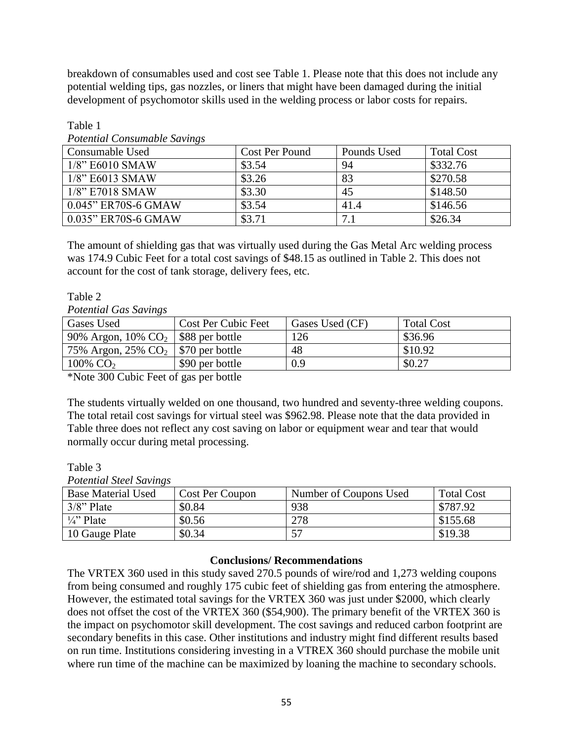breakdown of consumables used and cost see Table 1. Please note that this does not include any potential welding tips, gas nozzles, or liners that might have been damaged during the initial development of psychomotor skills used in the welding process or labor costs for repairs.

| 1 <i>Stermone</i> Constantino to Barrenzo |                |             |                   |  |  |  |  |
|-------------------------------------------|----------------|-------------|-------------------|--|--|--|--|
| Consumable Used                           | Cost Per Pound | Pounds Used | <b>Total Cost</b> |  |  |  |  |
| $1/8$ " E6010 SMAW                        | \$3.54         | 94          | \$332.76          |  |  |  |  |
| $1/8$ " E6013 SMAW                        | \$3.26         | 83          | \$270.58          |  |  |  |  |
| $1/8$ " E7018 SMAW                        | \$3.30         | 45          | \$148.50          |  |  |  |  |
| 0.045" ER70S-6 GMAW                       | \$3.54         | 41.4        | \$146.56          |  |  |  |  |
| 0.035" ER70S-6 GMAW                       | \$3.71         | 7.1         | \$26.34           |  |  |  |  |

Table 1 *Potential Consumable Savings*

The amount of shielding gas that was virtually used during the Gas Metal Arc welding process was 174.9 Cubic Feet for a total cost savings of \$48.15 as outlined in Table 2. This does not account for the cost of tank storage, delivery fees, etc.

# Table 2

*Potential Gas Savings*

| Gases Used                                          | <b>Cost Per Cubic Feet</b> | Gases Used (CF) | <b>Total Cost</b> |
|-----------------------------------------------------|----------------------------|-----------------|-------------------|
| 90% Argon, $10\%$ CO <sub>2</sub>   \$88 per bottle |                            | 126             | \$36.96           |
| 75% Argon, 25% $CO2$   \$70 per bottle              |                            | 48              | \$10.92           |
| 100% $CO2$                                          | \$90 per bottle            | 0.9             | \$0.27            |

\*Note 300 Cubic Feet of gas per bottle

The students virtually welded on one thousand, two hundred and seventy-three welding coupons. The total retail cost savings for virtual steel was \$962.98. Please note that the data provided in Table three does not reflect any cost saving on labor or equipment wear and tear that would normally occur during metal processing.

Table 3

*Potential Steel Savings*

| <b>Base Material Used</b> | Cost Per Coupon | Number of Coupons Used | <b>Total Cost</b> |
|---------------------------|-----------------|------------------------|-------------------|
| $3/8$ " Plate             | \$0.84          | 938                    | \$787.92          |
| $\frac{1}{4}$ " Plate     | \$0.56          | 278                    | \$155.68          |
| 10 Gauge Plate            | \$0.34          |                        | \$19.38           |

# **Conclusions/ Recommendations**

The VRTEX 360 used in this study saved 270.5 pounds of wire/rod and 1,273 welding coupons from being consumed and roughly 175 cubic feet of shielding gas from entering the atmosphere. However, the estimated total savings for the VRTEX 360 was just under \$2000, which clearly does not offset the cost of the VRTEX 360 (\$54,900). The primary benefit of the VRTEX 360 is the impact on psychomotor skill development. The cost savings and reduced carbon footprint are secondary benefits in this case. Other institutions and industry might find different results based on run time. Institutions considering investing in a VTREX 360 should purchase the mobile unit where run time of the machine can be maximized by loaning the machine to secondary schools.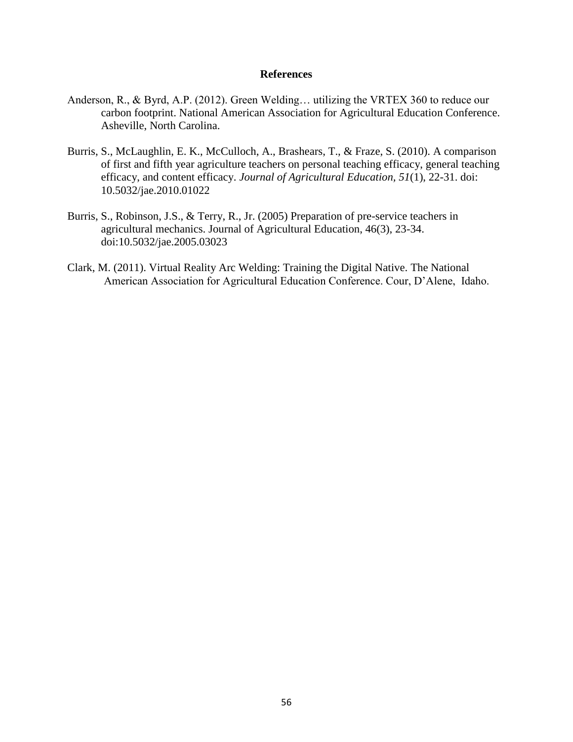- Anderson, R., & Byrd, A.P. (2012). Green Welding… utilizing the VRTEX 360 to reduce our carbon footprint. National American Association for Agricultural Education Conference. Asheville, North Carolina.
- Burris, S., McLaughlin, E. K., McCulloch, A., Brashears, T., & Fraze, S. (2010). A comparison of first and fifth year agriculture teachers on personal teaching efficacy, general teaching efficacy, and content efficacy. *Journal of Agricultural Education, 51*(1), 22-31. doi: 10.5032/jae.2010.01022
- Burris, S., Robinson, J.S., & Terry, R., Jr. (2005) Preparation of pre-service teachers in agricultural mechanics. Journal of Agricultural Education, 46(3), 23-34. doi:10.5032/jae.2005.03023
- Clark, M. (2011). Virtual Reality Arc Welding: Training the Digital Native. The National American Association for Agricultural Education Conference. Cour, D'Alene, Idaho.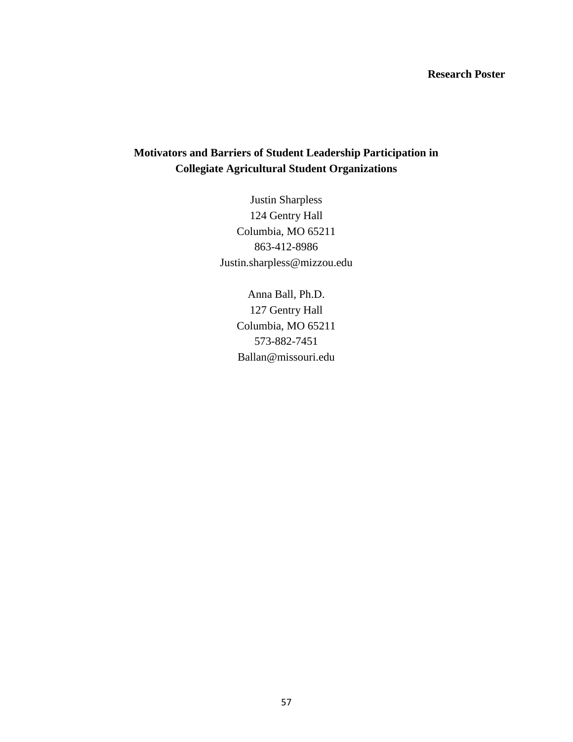# **Research Poster**

# **Motivators and Barriers of Student Leadership Participation in Collegiate Agricultural Student Organizations**

Justin Sharpless 124 Gentry Hall Columbia, MO 65211 863-412-8986 Justin.sharpless@mizzou.edu

> Anna Ball, Ph.D. 127 Gentry Hall Columbia, MO 65211 573-882-7451 Ballan@missouri.edu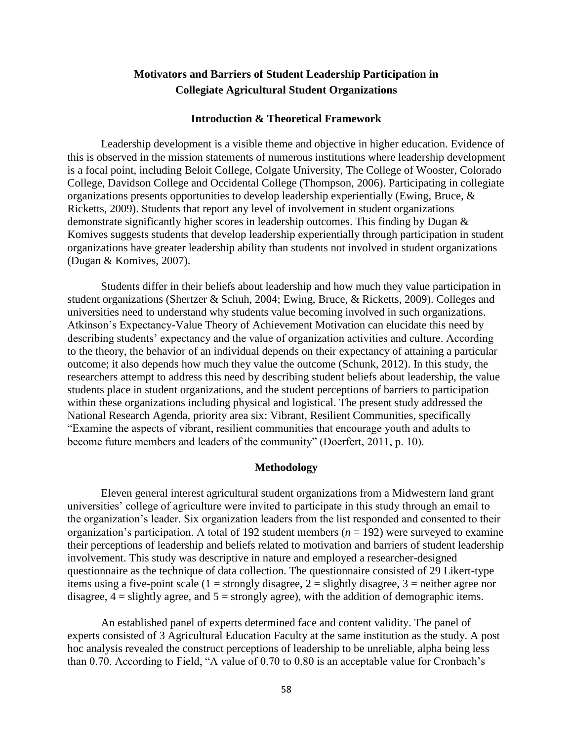# **Motivators and Barriers of Student Leadership Participation in Collegiate Agricultural Student Organizations**

### **Introduction & Theoretical Framework**

Leadership development is a visible theme and objective in higher education. Evidence of this is observed in the mission statements of numerous institutions where leadership development is a focal point, including Beloit College, Colgate University, The College of Wooster, Colorado College, Davidson College and Occidental College (Thompson, 2006). Participating in collegiate organizations presents opportunities to develop leadership experientially (Ewing, Bruce, & Ricketts, 2009). Students that report any level of involvement in student organizations demonstrate significantly higher scores in leadership outcomes. This finding by Dugan & Komives suggests students that develop leadership experientially through participation in student organizations have greater leadership ability than students not involved in student organizations (Dugan & Komives, 2007).

Students differ in their beliefs about leadership and how much they value participation in student organizations (Shertzer & Schuh, 2004; Ewing, Bruce, & Ricketts, 2009). Colleges and universities need to understand why students value becoming involved in such organizations. Atkinson's Expectancy-Value Theory of Achievement Motivation can elucidate this need by describing students' expectancy and the value of organization activities and culture. According to the theory, the behavior of an individual depends on their expectancy of attaining a particular outcome; it also depends how much they value the outcome (Schunk, 2012). In this study, the researchers attempt to address this need by describing student beliefs about leadership, the value students place in student organizations, and the student perceptions of barriers to participation within these organizations including physical and logistical. The present study addressed the National Research Agenda, priority area six: Vibrant, Resilient Communities, specifically "Examine the aspects of vibrant, resilient communities that encourage youth and adults to become future members and leaders of the community" (Doerfert, 2011, p. 10).

### **Methodology**

Eleven general interest agricultural student organizations from a Midwestern land grant universities' college of agriculture were invited to participate in this study through an email to the organization's leader. Six organization leaders from the list responded and consented to their organization's participation. A total of 192 student members ( $n = 192$ ) were surveyed to examine their perceptions of leadership and beliefs related to motivation and barriers of student leadership involvement. This study was descriptive in nature and employed a researcher-designed questionnaire as the technique of data collection. The questionnaire consisted of 29 Likert-type items using a five-point scale (1 = strongly disagree, 2 = slightly disagree, 3 = neither agree nor disagree,  $4 =$  slightly agree, and  $5 =$  strongly agree), with the addition of demographic items.

An established panel of experts determined face and content validity. The panel of experts consisted of 3 Agricultural Education Faculty at the same institution as the study. A post hoc analysis revealed the construct perceptions of leadership to be unreliable, alpha being less than 0.70. According to Field, "A value of 0.70 to 0.80 is an acceptable value for Cronbach's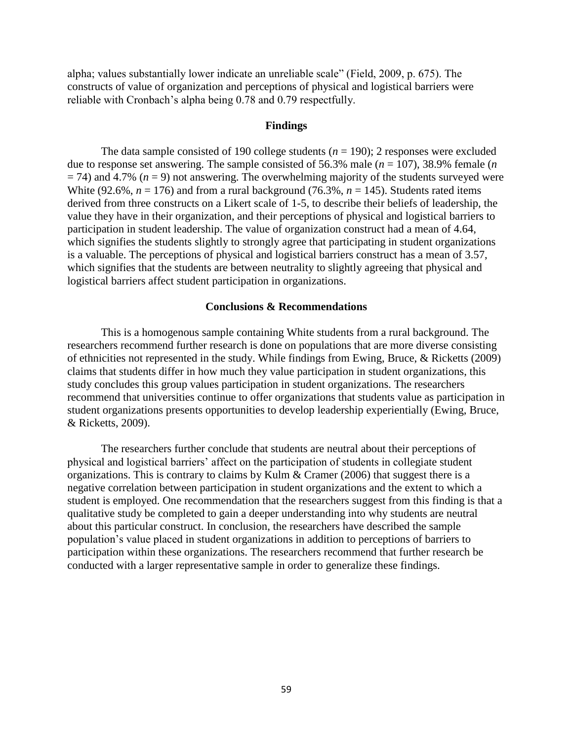alpha; values substantially lower indicate an unreliable scale" (Field, 2009, p. 675). The constructs of value of organization and perceptions of physical and logistical barriers were reliable with Cronbach's alpha being 0.78 and 0.79 respectfully.

### **Findings**

The data sample consisted of 190 college students  $(n = 190)$ ; 2 responses were excluded due to response set answering. The sample consisted of 56.3% male  $(n = 107)$ , 38.9% female  $(n \text{ s})$  $=$  74) and 4.7% ( $n = 9$ ) not answering. The overwhelming majority of the students surveyed were White (92.6%,  $n = 176$ ) and from a rural background (76.3%,  $n = 145$ ). Students rated items derived from three constructs on a Likert scale of 1-5, to describe their beliefs of leadership, the value they have in their organization, and their perceptions of physical and logistical barriers to participation in student leadership. The value of organization construct had a mean of 4.64, which signifies the students slightly to strongly agree that participating in student organizations is a valuable. The perceptions of physical and logistical barriers construct has a mean of 3.57, which signifies that the students are between neutrality to slightly agreeing that physical and logistical barriers affect student participation in organizations.

### **Conclusions & Recommendations**

This is a homogenous sample containing White students from a rural background. The researchers recommend further research is done on populations that are more diverse consisting of ethnicities not represented in the study. While findings from Ewing, Bruce, & Ricketts (2009) claims that students differ in how much they value participation in student organizations, this study concludes this group values participation in student organizations. The researchers recommend that universities continue to offer organizations that students value as participation in student organizations presents opportunities to develop leadership experientially (Ewing, Bruce, & Ricketts, 2009).

The researchers further conclude that students are neutral about their perceptions of physical and logistical barriers' affect on the participation of students in collegiate student organizations. This is contrary to claims by Kulm & Cramer (2006) that suggest there is a negative correlation between participation in student organizations and the extent to which a student is employed. One recommendation that the researchers suggest from this finding is that a qualitative study be completed to gain a deeper understanding into why students are neutral about this particular construct. In conclusion, the researchers have described the sample population's value placed in student organizations in addition to perceptions of barriers to participation within these organizations. The researchers recommend that further research be conducted with a larger representative sample in order to generalize these findings.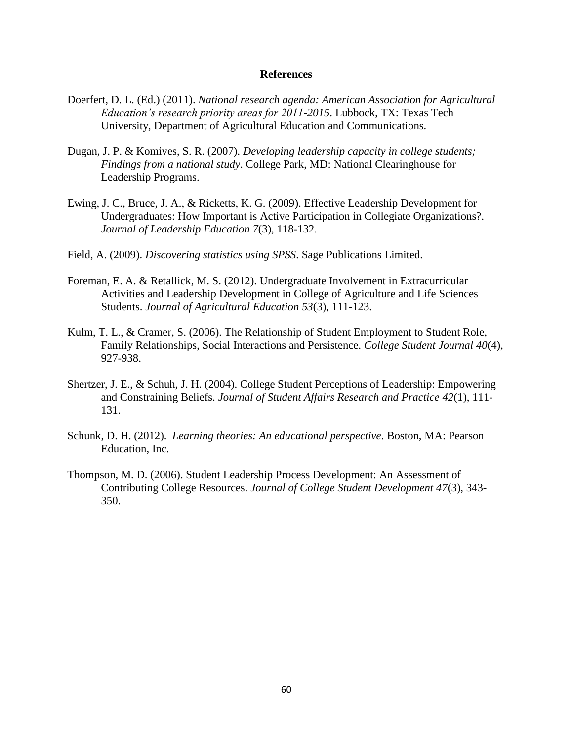- Doerfert, D. L. (Ed.) (2011). *National research agenda: American Association for Agricultural Education's research priority areas for 2011-2015*. Lubbock, TX: Texas Tech University, Department of Agricultural Education and Communications.
- Dugan, J. P. & Komives, S. R. (2007). *Developing leadership capacity in college students; Findings from a national study*. College Park, MD: National Clearinghouse for Leadership Programs.
- Ewing, J. C., Bruce, J. A., & Ricketts, K. G. (2009). Effective Leadership Development for Undergraduates: How Important is Active Participation in Collegiate Organizations?. *Journal of Leadership Education 7*(3), 118-132.
- Field, A. (2009). *Discovering statistics using SPSS*. Sage Publications Limited.
- Foreman, E. A. & Retallick, M. S. (2012). Undergraduate Involvement in Extracurricular Activities and Leadership Development in College of Agriculture and Life Sciences Students. *Journal of Agricultural Education 53*(3), 111-123.
- Kulm, T. L., & Cramer, S. (2006). The Relationship of Student Employment to Student Role, Family Relationships, Social Interactions and Persistence. *College Student Journal 40*(4), 927-938.
- Shertzer, J. E., & Schuh, J. H. (2004). College Student Perceptions of Leadership: Empowering and Constraining Beliefs. *Journal of Student Affairs Research and Practice 42*(1), 111- 131.
- Schunk, D. H. (2012). *Learning theories: An educational perspective*. Boston, MA: Pearson Education, Inc.
- Thompson, M. D. (2006). Student Leadership Process Development: An Assessment of Contributing College Resources. *Journal of College Student Development 47*(3), 343- 350.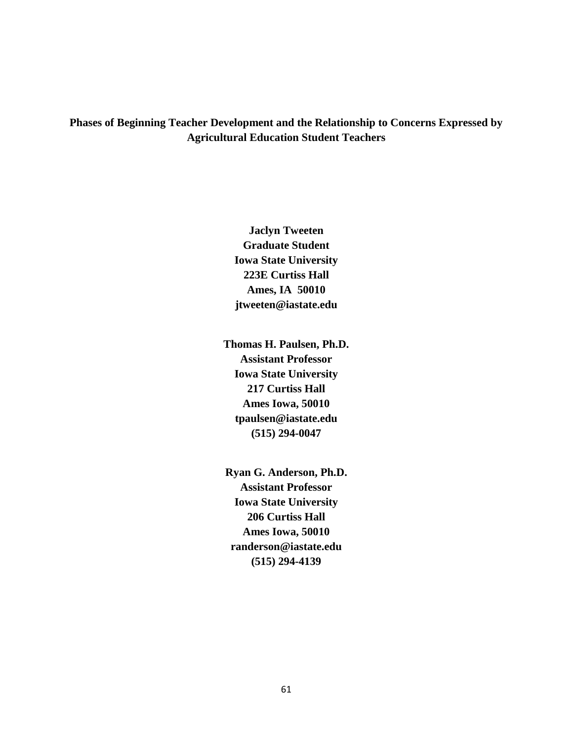**Phases of Beginning Teacher Development and the Relationship to Concerns Expressed by Agricultural Education Student Teachers**

> **Jaclyn Tweeten Graduate Student Iowa State University 223E Curtiss Hall Ames, IA 50010 jtweeten@iastate.edu**

**Thomas H. Paulsen, Ph.D. Assistant Professor Iowa State University 217 Curtiss Hall Ames Iowa, 50010 tpaulsen@iastate.edu (515) 294-0047**

**Ryan G. Anderson, Ph.D. Assistant Professor Iowa State University 206 Curtiss Hall Ames Iowa, 50010 randerson@iastate.edu (515) 294-4139**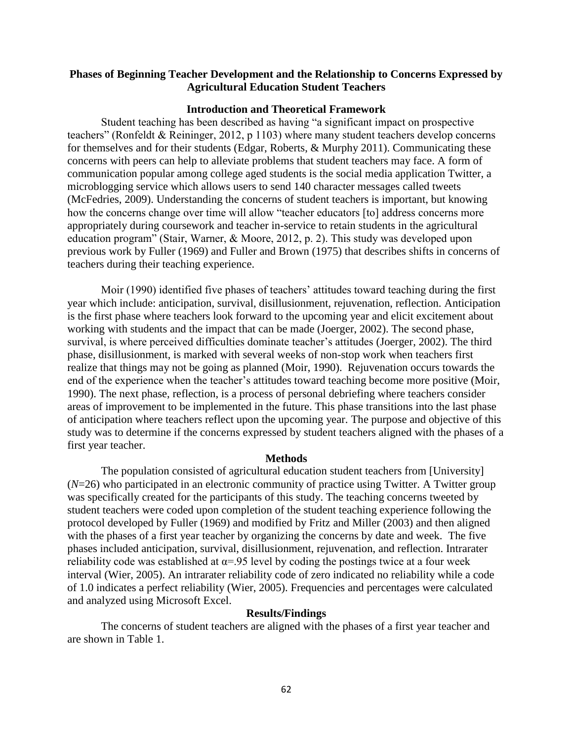# **Phases of Beginning Teacher Development and the Relationship to Concerns Expressed by Agricultural Education Student Teachers**

### **Introduction and Theoretical Framework**

Student teaching has been described as having "a significant impact on prospective teachers" (Ronfeldt & Reininger, 2012, p 1103) where many student teachers develop concerns for themselves and for their students (Edgar, Roberts, & Murphy 2011). Communicating these concerns with peers can help to alleviate problems that student teachers may face. A form of communication popular among college aged students is the social media application Twitter, a microblogging service which allows users to send 140 character messages called tweets (McFedries, 2009). Understanding the concerns of student teachers is important, but knowing how the concerns change over time will allow "teacher educators [to] address concerns more appropriately during coursework and teacher in-service to retain students in the agricultural education program" (Stair, Warner, & Moore, 2012, p. 2). This study was developed upon previous work by Fuller (1969) and Fuller and Brown (1975) that describes shifts in concerns of teachers during their teaching experience.

Moir (1990) identified five phases of teachers' attitudes toward teaching during the first year which include: anticipation, survival, disillusionment, rejuvenation, reflection. Anticipation is the first phase where teachers look forward to the upcoming year and elicit excitement about working with students and the impact that can be made (Joerger, 2002). The second phase, survival, is where perceived difficulties dominate teacher's attitudes (Joerger, 2002). The third phase, disillusionment, is marked with several weeks of non-stop work when teachers first realize that things may not be going as planned (Moir, 1990). Rejuvenation occurs towards the end of the experience when the teacher's attitudes toward teaching become more positive (Moir, 1990). The next phase, reflection, is a process of personal debriefing where teachers consider areas of improvement to be implemented in the future. This phase transitions into the last phase of anticipation where teachers reflect upon the upcoming year. The purpose and objective of this study was to determine if the concerns expressed by student teachers aligned with the phases of a first year teacher.

### **Methods**

The population consisted of agricultural education student teachers from [University] (*N*=26) who participated in an electronic community of practice using Twitter. A Twitter group was specifically created for the participants of this study. The teaching concerns tweeted by student teachers were coded upon completion of the student teaching experience following the protocol developed by Fuller (1969) and modified by Fritz and Miller (2003) and then aligned with the phases of a first year teacher by organizing the concerns by date and week. The five phases included anticipation, survival, disillusionment, rejuvenation, and reflection. Intrarater reliability code was established at  $\alpha$ =.95 level by coding the postings twice at a four week interval (Wier, 2005). An intrarater reliability code of zero indicated no reliability while a code of 1.0 indicates a perfect reliability (Wier, 2005). Frequencies and percentages were calculated and analyzed using Microsoft Excel.

### **Results/Findings**

The concerns of student teachers are aligned with the phases of a first year teacher and are shown in Table 1.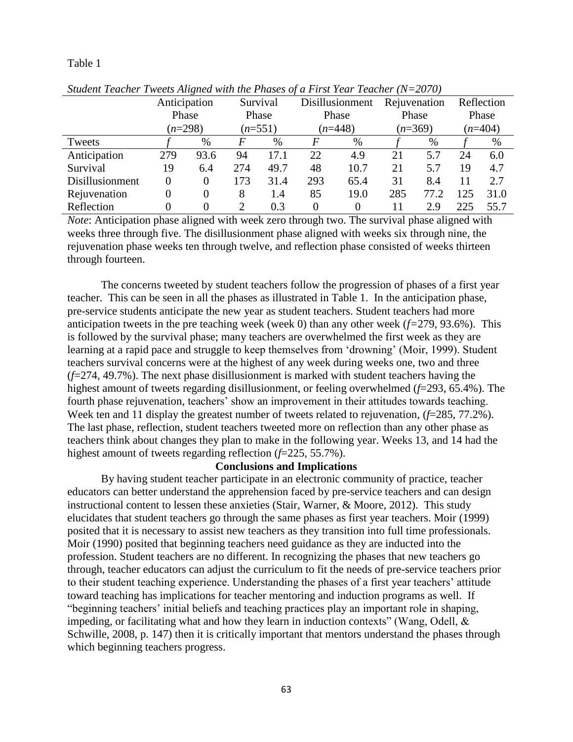### Table 1

| $binum$ is a current week ingred with the Francs of a First Fear Feature (10–2070) |              |                |          |           |                 |           |              |           |            |           |
|------------------------------------------------------------------------------------|--------------|----------------|----------|-----------|-----------------|-----------|--------------|-----------|------------|-----------|
|                                                                                    | Anticipation |                | Survival |           | Disillusionment |           | Rejuvenation |           | Reflection |           |
|                                                                                    | Phase        |                |          | Phase     |                 | Phase     |              | Phase     |            | Phase     |
|                                                                                    |              | $(n=298)$      |          | $(n=551)$ |                 | $(n=448)$ |              | $(n=369)$ |            | $(n=404)$ |
| Tweets                                                                             |              | %              | F        | %         | F               | $\%$      |              | $\%$      |            | $\%$      |
| Anticipation                                                                       | 279          | 93.6           | 94       | 17.1      | 22              | 4.9       | 21           | 5.7       | 24         | 6.0       |
| Survival                                                                           | 19           | 6.4            | 274      | 49.7      | 48              | 10.7      | 21           | 5.7       | 19         | 4.7       |
| Disillusionment                                                                    | 0            | $\overline{0}$ | 173      | 31.4      | 293             | 65.4      | 31           | 8.4       | 11         | 2.7       |
| Rejuvenation                                                                       | 0            | $\overline{0}$ | 8        | 1.4       | 85              | 19.0      | 285          | 77.2      | 125        | 31.0      |
| Reflection                                                                         |              |                | 2        | 0.3       | $\Omega$        |           | 11           | 2.9       | 225        | 55.7      |

*Student Teacher Tweets Aligned with the Phases of a First Year Teacher (N=2070)*

*Note*: Anticipation phase aligned with week zero through two. The survival phase aligned with weeks three through five. The disillusionment phase aligned with weeks six through nine, the rejuvenation phase weeks ten through twelve, and reflection phase consisted of weeks thirteen through fourteen.

The concerns tweeted by student teachers follow the progression of phases of a first year teacher. This can be seen in all the phases as illustrated in Table 1. In the anticipation phase, pre-service students anticipate the new year as student teachers. Student teachers had more anticipation tweets in the pre teaching week (week 0) than any other week (*f=*279, 93.6%). This is followed by the survival phase; many teachers are overwhelmed the first week as they are learning at a rapid pace and struggle to keep themselves from 'drowning' (Moir, 1999). Student teachers survival concerns were at the highest of any week during weeks one, two and three (*f*=274, 49.7%). The next phase disillusionment is marked with student teachers having the highest amount of tweets regarding disillusionment, or feeling overwhelmed (*f*=293, 65.4%). The fourth phase rejuvenation, teachers' show an improvement in their attitudes towards teaching. Week ten and 11 display the greatest number of tweets related to rejuvenation, (*f*=285, 77.2%). The last phase, reflection, student teachers tweeted more on reflection than any other phase as teachers think about changes they plan to make in the following year. Weeks 13, and 14 had the highest amount of tweets regarding reflection (*f*=225, 55.7%).

### **Conclusions and Implications**

By having student teacher participate in an electronic community of practice, teacher educators can better understand the apprehension faced by pre-service teachers and can design instructional content to lessen these anxieties (Stair, Warner, & Moore, 2012). This study elucidates that student teachers go through the same phases as first year teachers. Moir (1999) posited that it is necessary to assist new teachers as they transition into full time professionals. Moir (1990) posited that beginning teachers need guidance as they are inducted into the profession. Student teachers are no different. In recognizing the phases that new teachers go through, teacher educators can adjust the curriculum to fit the needs of pre-service teachers prior to their student teaching experience. Understanding the phases of a first year teachers' attitude toward teaching has implications for teacher mentoring and induction programs as well. If "beginning teachers' initial beliefs and teaching practices play an important role in shaping, impeding, or facilitating what and how they learn in induction contexts" (Wang, Odell,  $\&$ Schwille, 2008, p. 147) then it is critically important that mentors understand the phases through which beginning teachers progress.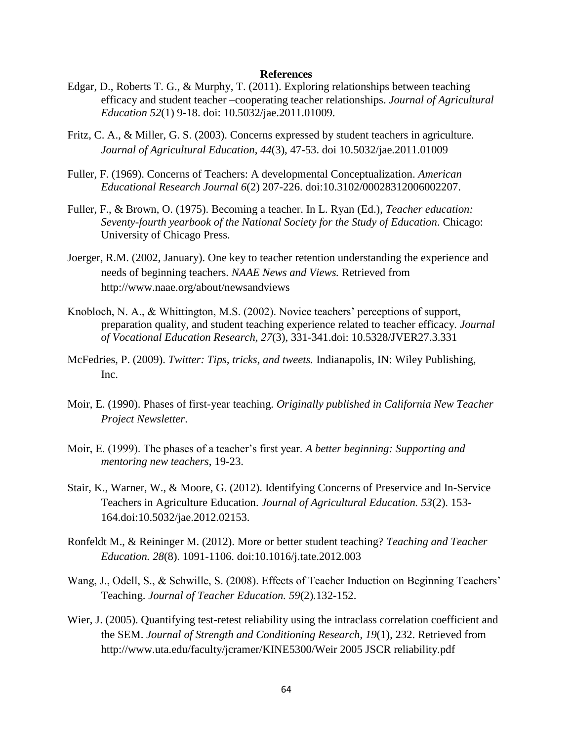- Edgar, D., Roberts T. G., & Murphy, T. (2011). Exploring relationships between teaching efficacy and student teacher –cooperating teacher relationships. *Journal of Agricultural Education 52*(1) 9-18. doi: 10.5032/jae.2011.01009.
- Fritz, C. A., & Miller, G. S. (2003). Concerns expressed by student teachers in agriculture. *Journal of Agricultural Education*, *44*(3), 47-53. doi 10.5032/jae.2011.01009
- Fuller, F. (1969). Concerns of Teachers: A developmental Conceptualization. *American Educational Research Journal 6*(2) 207-226. doi:10.3102/00028312006002207.
- Fuller, F., & Brown, O. (1975). Becoming a teacher. In L. Ryan (Ed.), *Teacher education: Seventy-fourth yearbook of the National Society for the Study of Education*. Chicago: University of Chicago Press.
- Joerger, R.M. (2002, January). One key to teacher retention understanding the experience and needs of beginning teachers. *NAAE News and Views.* Retrieved from http://www.naae.org/about/newsandviews
- Knobloch, N. A., & Whittington, M.S. (2002). Novice teachers' perceptions of support, preparation quality, and student teaching experience related to teacher efficacy*. Journal of Vocational Education Research, 27*(3), 331-341.doi: 10.5328/JVER27.3.331
- McFedries, P. (2009). *Twitter: Tips, tricks, and tweets.* Indianapolis, IN: Wiley Publishing, Inc.
- Moir, E. (1990). Phases of first-year teaching. *Originally published in California New Teacher Project Newsletter*.
- Moir, E. (1999). The phases of a teacher's first year. *A better beginning: Supporting and mentoring new teachers*, 19-23.
- Stair, K., Warner, W., & Moore, G. (2012). Identifying Concerns of Preservice and In-Service Teachers in Agriculture Education. *Journal of Agricultural Education. 53*(2). 153- 164.doi:10.5032/jae.2012.02153.
- Ronfeldt M., & Reininger M. (2012). More or better student teaching? *Teaching and Teacher Education. 28*(8). 1091-1106. doi:10.1016/j.tate.2012.003
- Wang, J., Odell, S., & Schwille, S. (2008). Effects of Teacher Induction on Beginning Teachers' Teaching. *Journal of Teacher Education. 59*(2).132-152.
- Wier, J. (2005). Quantifying test-retest reliability using the intraclass correlation coefficient and the SEM. *Journal of Strength and Conditioning Research*, *19*(1), 232. Retrieved from http://www.uta.edu/faculty/jcramer/KINE5300/Weir 2005 JSCR reliability.pdf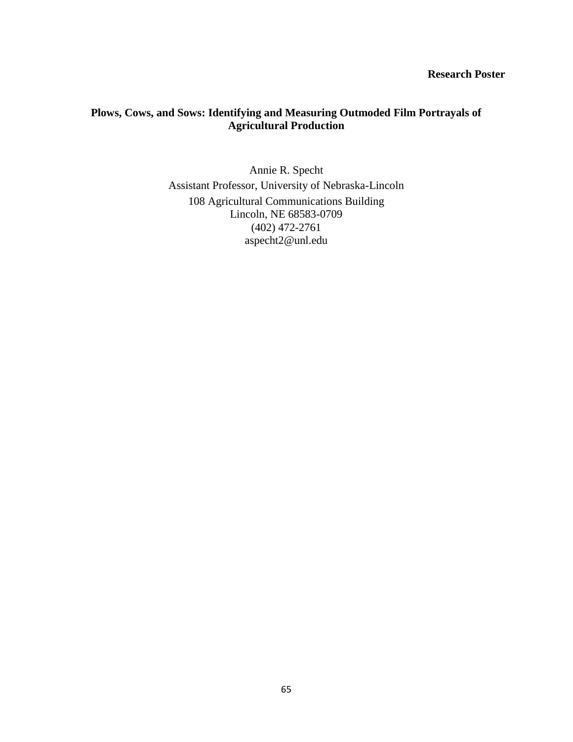# **Research Poster**

# **Plows, Cows, and Sows: Identifying and Measuring Outmoded Film Portrayals of Agricultural Production**

Annie R. Specht Assistant Professor, University of Nebraska-Lincoln 108 Agricultural Communications Building Lincoln, NE 68583-0709 (402) 472-2761 aspecht2@unl.edu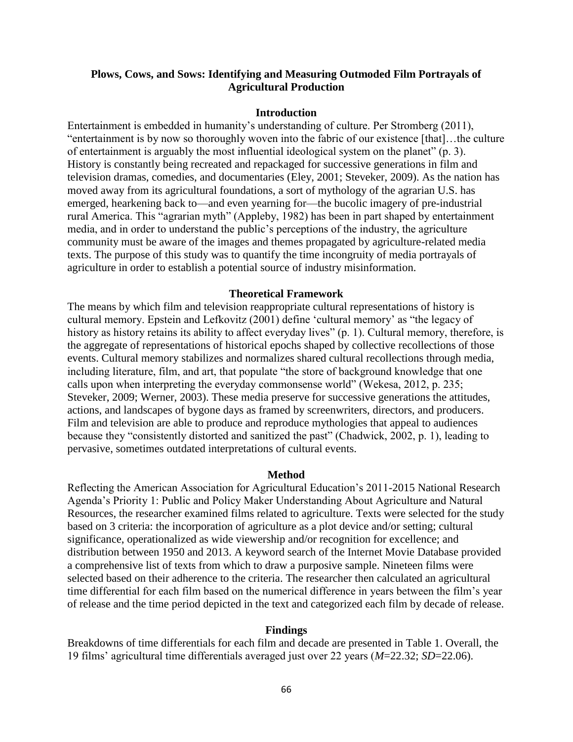# **Plows, Cows, and Sows: Identifying and Measuring Outmoded Film Portrayals of Agricultural Production**

### **Introduction**

Entertainment is embedded in humanity's understanding of culture. Per Stromberg (2011), "entertainment is by now so thoroughly woven into the fabric of our existence [that]…the culture of entertainment is arguably the most influential ideological system on the planet" (p. 3). History is constantly being recreated and repackaged for successive generations in film and television dramas, comedies, and documentaries (Eley, 2001; Steveker, 2009). As the nation has moved away from its agricultural foundations, a sort of mythology of the agrarian U.S. has emerged, hearkening back to—and even yearning for—the bucolic imagery of pre-industrial rural America. This "agrarian myth" (Appleby, 1982) has been in part shaped by entertainment media, and in order to understand the public's perceptions of the industry, the agriculture community must be aware of the images and themes propagated by agriculture-related media texts. The purpose of this study was to quantify the time incongruity of media portrayals of agriculture in order to establish a potential source of industry misinformation.

### **Theoretical Framework**

The means by which film and television reappropriate cultural representations of history is cultural memory. Epstein and Lefkovitz (2001) define 'cultural memory' as "the legacy of history as history retains its ability to affect everyday lives" (p. 1). Cultural memory, therefore, is the aggregate of representations of historical epochs shaped by collective recollections of those events. Cultural memory stabilizes and normalizes shared cultural recollections through media, including literature, film, and art, that populate "the store of background knowledge that one calls upon when interpreting the everyday commonsense world" (Wekesa, 2012, p. 235; Steveker, 2009; Werner, 2003). These media preserve for successive generations the attitudes, actions, and landscapes of bygone days as framed by screenwriters, directors, and producers. Film and television are able to produce and reproduce mythologies that appeal to audiences because they "consistently distorted and sanitized the past" (Chadwick, 2002, p. 1), leading to pervasive, sometimes outdated interpretations of cultural events.

### **Method**

Reflecting the American Association for Agricultural Education's 2011-2015 National Research Agenda's Priority 1: Public and Policy Maker Understanding About Agriculture and Natural Resources, the researcher examined films related to agriculture. Texts were selected for the study based on 3 criteria: the incorporation of agriculture as a plot device and/or setting; cultural significance, operationalized as wide viewership and/or recognition for excellence; and distribution between 1950 and 2013. A keyword search of the Internet Movie Database provided a comprehensive list of texts from which to draw a purposive sample. Nineteen films were selected based on their adherence to the criteria. The researcher then calculated an agricultural time differential for each film based on the numerical difference in years between the film's year of release and the time period depicted in the text and categorized each film by decade of release.

#### **Findings**

Breakdowns of time differentials for each film and decade are presented in Table 1. Overall, the 19 films' agricultural time differentials averaged just over 22 years (*M*=22.32; *SD*=22.06).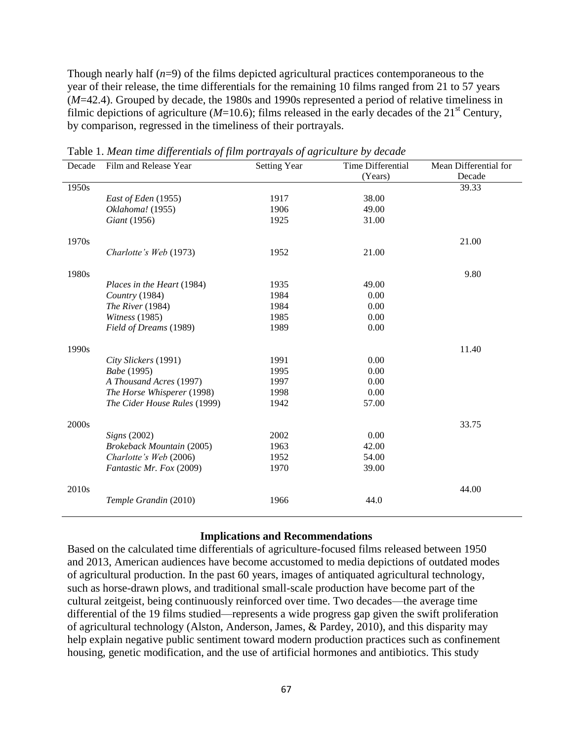Though nearly half (*n*=9) of the films depicted agricultural practices contemporaneous to the year of their release, the time differentials for the remaining 10 films ranged from 21 to 57 years (*M*=42.4). Grouped by decade, the 1980s and 1990s represented a period of relative timeliness in filmic depictions of agriculture  $(M=10.6)$ ; films released in the early decades of the 21<sup>st</sup> Century, by comparison, regressed in the timeliness of their portrayals.

| Decade            | Film and Release Year            | <u>raore 1. mean anno aggerennans og j</u> um por marans og a <sub>ð</sub> riennum e or accume<br><b>Setting Year</b> | Time Differential | Mean Differential for |
|-------------------|----------------------------------|-----------------------------------------------------------------------------------------------------------------------|-------------------|-----------------------|
|                   |                                  |                                                                                                                       | (Years)           | Decade                |
| 1950s             |                                  |                                                                                                                       |                   | 39.33                 |
|                   | East of Eden (1955)              | 1917                                                                                                                  | 38.00             |                       |
|                   | Oklahoma! (1955)                 | 1906                                                                                                                  | 49.00             |                       |
|                   | Giant (1956)                     | 1925                                                                                                                  | 31.00             |                       |
| 1970s             |                                  |                                                                                                                       |                   | 21.00                 |
|                   | Charlotte's Web (1973)           | 1952                                                                                                                  | 21.00             |                       |
| 1980s             |                                  |                                                                                                                       |                   | 9.80                  |
|                   | Places in the Heart (1984)       | 1935                                                                                                                  | 49.00             |                       |
|                   | Country (1984)                   | 1984                                                                                                                  | 0.00              |                       |
|                   | The River (1984)                 | 1984                                                                                                                  | 0.00              |                       |
|                   | Witness (1985)                   | 1985                                                                                                                  | 0.00              |                       |
|                   | Field of Dreams (1989)           | 1989                                                                                                                  | 0.00              |                       |
| 1990s             |                                  |                                                                                                                       |                   | 11.40                 |
|                   | City Slickers (1991)             | 1991                                                                                                                  | 0.00              |                       |
|                   | Babe (1995)                      | 1995                                                                                                                  | 0.00              |                       |
|                   | A Thousand Acres (1997)          | 1997                                                                                                                  | 0.00              |                       |
|                   | The Horse Whisperer (1998)       | 1998                                                                                                                  | 0.00              |                       |
|                   | The Cider House Rules (1999)     | 1942                                                                                                                  | 57.00             |                       |
| 2000s             |                                  |                                                                                                                       |                   | 33.75                 |
|                   | Signs(2002)                      | 2002                                                                                                                  | 0.00              |                       |
|                   | <b>Brokeback Mountain (2005)</b> | 1963                                                                                                                  | 42.00             |                       |
|                   | Charlotte's Web (2006)           | 1952                                                                                                                  | 54.00             |                       |
|                   | Fantastic Mr. Fox (2009)         | 1970                                                                                                                  | 39.00             |                       |
| 2010 <sub>s</sub> |                                  |                                                                                                                       |                   | 44.00                 |
|                   | Temple Grandin (2010)            | 1966                                                                                                                  | 44.0              |                       |

Table 1. *Mean time differentials of film portrayals of agriculture by decade*

### **Implications and Recommendations**

Based on the calculated time differentials of agriculture-focused films released between 1950 and 2013, American audiences have become accustomed to media depictions of outdated modes of agricultural production. In the past 60 years, images of antiquated agricultural technology, such as horse-drawn plows, and traditional small-scale production have become part of the cultural zeitgeist, being continuously reinforced over time. Two decades—the average time differential of the 19 films studied—represents a wide progress gap given the swift proliferation of agricultural technology (Alston, Anderson, James, & Pardey, 2010), and this disparity may help explain negative public sentiment toward modern production practices such as confinement housing, genetic modification, and the use of artificial hormones and antibiotics. This study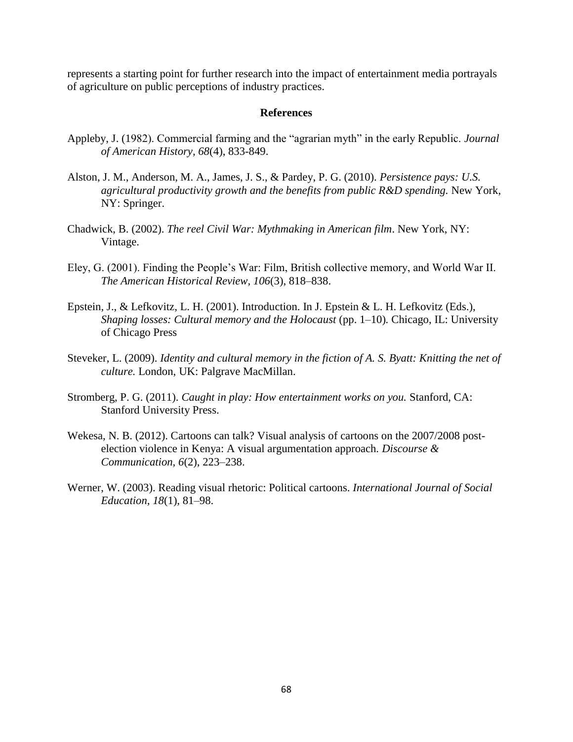represents a starting point for further research into the impact of entertainment media portrayals of agriculture on public perceptions of industry practices.

- Appleby, J. (1982). Commercial farming and the "agrarian myth" in the early Republic. *Journal of American History, 68*(4), 833-849.
- Alston, J. M., Anderson, M. A., James, J. S., & Pardey, P. G. (2010). *Persistence pays: U.S. agricultural productivity growth and the benefits from public R&D spending.* New York, NY: Springer.
- Chadwick, B. (2002). *The reel Civil War: Mythmaking in American film*. New York, NY: Vintage.
- Eley, G. (2001). Finding the People's War: Film, British collective memory, and World War II. *The American Historical Review, 106*(3), 818–838.
- Epstein, J., & Lefkovitz, L. H. (2001). Introduction. In J. Epstein & L. H. Lefkovitz (Eds.), *Shaping losses: Cultural memory and the Holocaust (pp. 1–10). Chicago, IL: University* of Chicago Press
- Steveker, L. (2009). *Identity and cultural memory in the fiction of A. S. Byatt: Knitting the net of culture.* London, UK: Palgrave MacMillan.
- Stromberg, P. G. (2011). *Caught in play: How entertainment works on you.* Stanford, CA: Stanford University Press.
- Wekesa, N. B. (2012). Cartoons can talk? Visual analysis of cartoons on the 2007/2008 postelection violence in Kenya: A visual argumentation approach. *Discourse & Communication, 6*(2), 223–238.
- Werner, W. (2003). Reading visual rhetoric: Political cartoons. *International Journal of Social Education, 18*(1), 81–98.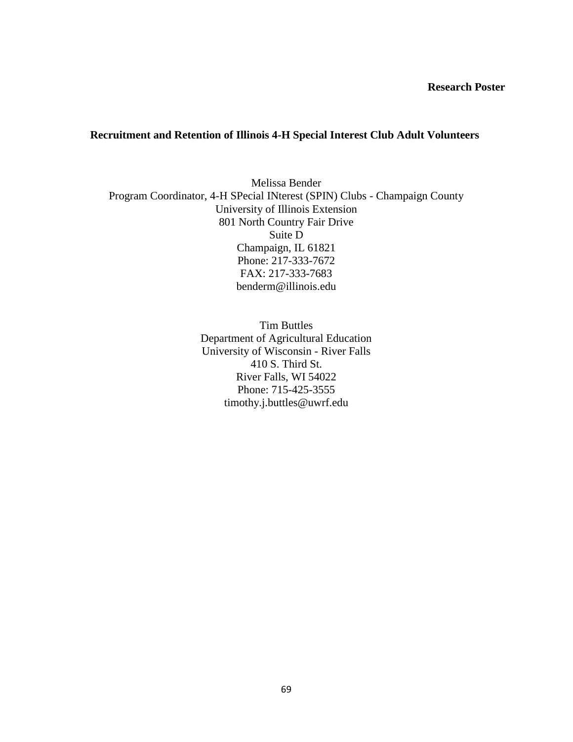# **Recruitment and Retention of Illinois 4-H Special Interest Club Adult Volunteers**

Melissa Bender Program Coordinator, 4-H SPecial INterest (SPIN) Clubs - Champaign County University of Illinois Extension 801 North Country Fair Drive Suite D Champaign, IL 61821 Phone: 217-333-7672 FAX: 217-333-7683 benderm@illinois.edu

> Tim Buttles Department of Agricultural Education University of Wisconsin - River Falls 410 S. Third St. River Falls, WI 54022 Phone: 715-425-3555 timothy.j.buttles@uwrf.edu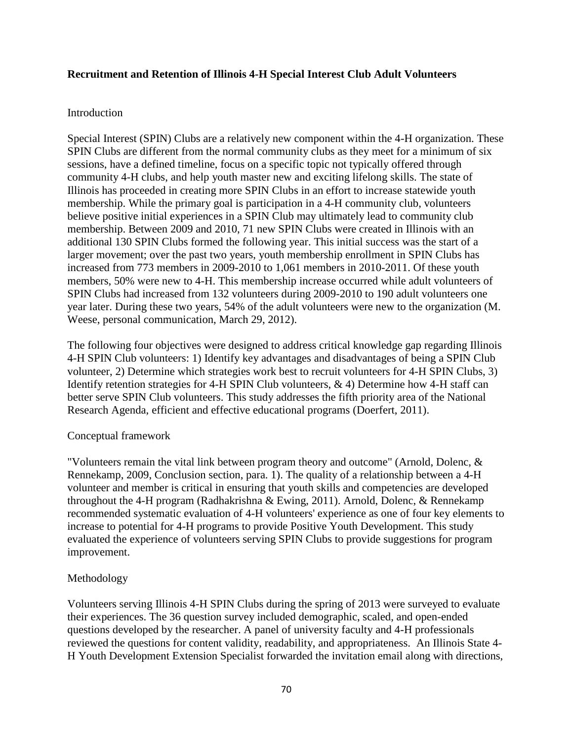# **Recruitment and Retention of Illinois 4-H Special Interest Club Adult Volunteers**

# Introduction

Special Interest (SPIN) Clubs are a relatively new component within the 4-H organization. These SPIN Clubs are different from the normal community clubs as they meet for a minimum of six sessions, have a defined timeline, focus on a specific topic not typically offered through community 4-H clubs, and help youth master new and exciting lifelong skills. The state of Illinois has proceeded in creating more SPIN Clubs in an effort to increase statewide youth membership. While the primary goal is participation in a 4-H community club, volunteers believe positive initial experiences in a SPIN Club may ultimately lead to community club membership. Between 2009 and 2010, 71 new SPIN Clubs were created in Illinois with an additional 130 SPIN Clubs formed the following year. This initial success was the start of a larger movement; over the past two years, youth membership enrollment in SPIN Clubs has increased from 773 members in 2009-2010 to 1,061 members in 2010-2011. Of these youth members, 50% were new to 4-H. This membership increase occurred while adult volunteers of SPIN Clubs had increased from 132 volunteers during 2009-2010 to 190 adult volunteers one year later. During these two years, 54% of the adult volunteers were new to the organization (M. Weese, personal communication, March 29, 2012).

The following four objectives were designed to address critical knowledge gap regarding Illinois 4-H SPIN Club volunteers: 1) Identify key advantages and disadvantages of being a SPIN Club volunteer, 2) Determine which strategies work best to recruit volunteers for 4-H SPIN Clubs, 3) Identify retention strategies for 4-H SPIN Club volunteers, & 4) Determine how 4-H staff can better serve SPIN Club volunteers. This study addresses the fifth priority area of the National Research Agenda, efficient and effective educational programs (Doerfert, 2011).

# Conceptual framework

"Volunteers remain the vital link between program theory and outcome" (Arnold, Dolenc, & Rennekamp, 2009, Conclusion section, para. 1). The quality of a relationship between a 4-H volunteer and member is critical in ensuring that youth skills and competencies are developed throughout the 4-H program (Radhakrishna & Ewing, 2011). Arnold, Dolenc, & Rennekamp recommended systematic evaluation of 4-H volunteers' experience as one of four key elements to increase to potential for 4-H programs to provide Positive Youth Development. This study evaluated the experience of volunteers serving SPIN Clubs to provide suggestions for program improvement.

# Methodology

Volunteers serving Illinois 4-H SPIN Clubs during the spring of 2013 were surveyed to evaluate their experiences. The 36 question survey included demographic, scaled, and open-ended questions developed by the researcher. A panel of university faculty and 4-H professionals reviewed the questions for content validity, readability, and appropriateness. An Illinois State 4- H Youth Development Extension Specialist forwarded the invitation email along with directions,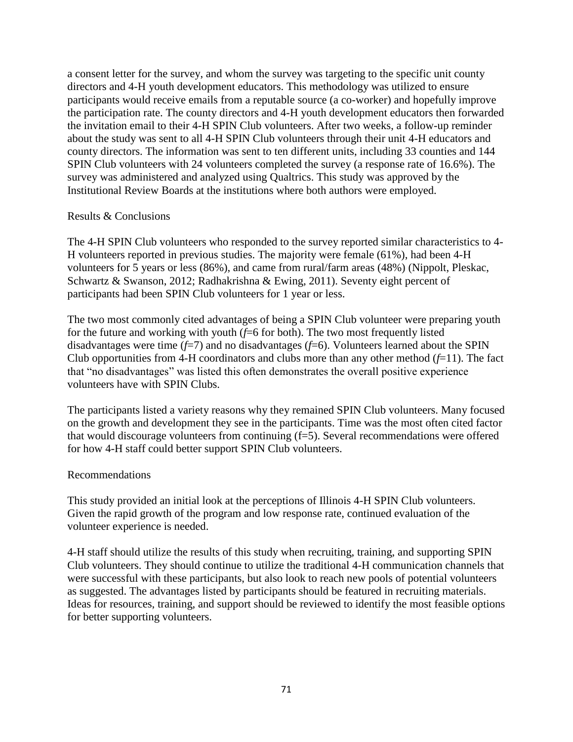a consent letter for the survey, and whom the survey was targeting to the specific unit county directors and 4-H youth development educators. This methodology was utilized to ensure participants would receive emails from a reputable source (a co-worker) and hopefully improve the participation rate. The county directors and 4-H youth development educators then forwarded the invitation email to their 4-H SPIN Club volunteers. After two weeks, a follow-up reminder about the study was sent to all 4-H SPIN Club volunteers through their unit 4-H educators and county directors. The information was sent to ten different units, including 33 counties and 144 SPIN Club volunteers with 24 volunteers completed the survey (a response rate of 16.6%). The survey was administered and analyzed using Qualtrics. This study was approved by the Institutional Review Boards at the institutions where both authors were employed.

# Results & Conclusions

The 4-H SPIN Club volunteers who responded to the survey reported similar characteristics to 4- H volunteers reported in previous studies. The majority were female (61%), had been 4-H volunteers for 5 years or less (86%), and came from rural/farm areas (48%) (Nippolt, Pleskac, Schwartz & Swanson, 2012; Radhakrishna & Ewing, 2011). Seventy eight percent of participants had been SPIN Club volunteers for 1 year or less.

The two most commonly cited advantages of being a SPIN Club volunteer were preparing youth for the future and working with youth (*f*=6 for both). The two most frequently listed disadvantages were time  $(f=7)$  and no disadvantages  $(f=6)$ . Volunteers learned about the SPIN Club opportunities from 4-H coordinators and clubs more than any other method  $(f=11)$ . The fact that "no disadvantages" was listed this often demonstrates the overall positive experience volunteers have with SPIN Clubs.

The participants listed a variety reasons why they remained SPIN Club volunteers. Many focused on the growth and development they see in the participants. Time was the most often cited factor that would discourage volunteers from continuing (f=5). Several recommendations were offered for how 4-H staff could better support SPIN Club volunteers.

# Recommendations

This study provided an initial look at the perceptions of Illinois 4-H SPIN Club volunteers. Given the rapid growth of the program and low response rate, continued evaluation of the volunteer experience is needed.

4-H staff should utilize the results of this study when recruiting, training, and supporting SPIN Club volunteers. They should continue to utilize the traditional 4-H communication channels that were successful with these participants, but also look to reach new pools of potential volunteers as suggested. The advantages listed by participants should be featured in recruiting materials. Ideas for resources, training, and support should be reviewed to identify the most feasible options for better supporting volunteers.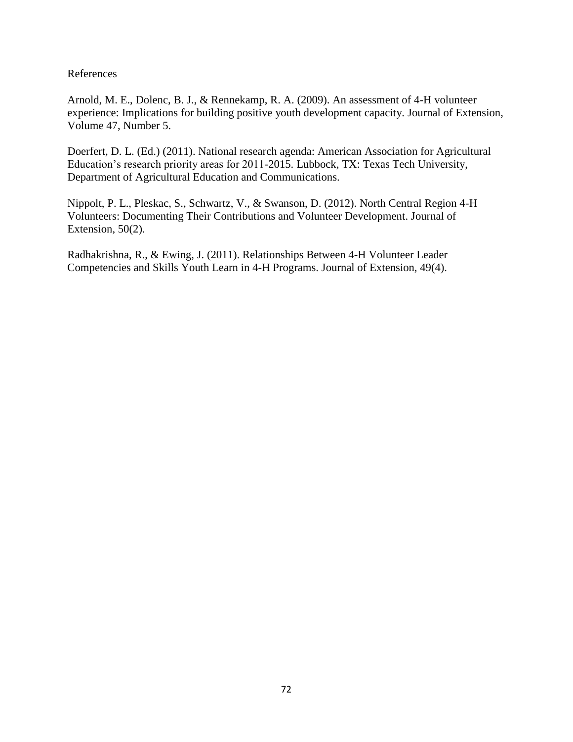Arnold, M. E., Dolenc, B. J., & Rennekamp, R. A. (2009). An assessment of 4-H volunteer experience: Implications for building positive youth development capacity. Journal of Extension, Volume 47, Number 5.

Doerfert, D. L. (Ed.) (2011). National research agenda: American Association for Agricultural Education's research priority areas for 2011-2015. Lubbock, TX: Texas Tech University, Department of Agricultural Education and Communications.

Nippolt, P. L., Pleskac, S., Schwartz, V., & Swanson, D. (2012). North Central Region 4-H Volunteers: Documenting Their Contributions and Volunteer Development. Journal of Extension, 50(2).

Radhakrishna, R., & Ewing, J. (2011). Relationships Between 4-H Volunteer Leader Competencies and Skills Youth Learn in 4-H Programs. Journal of Extension, 49(4).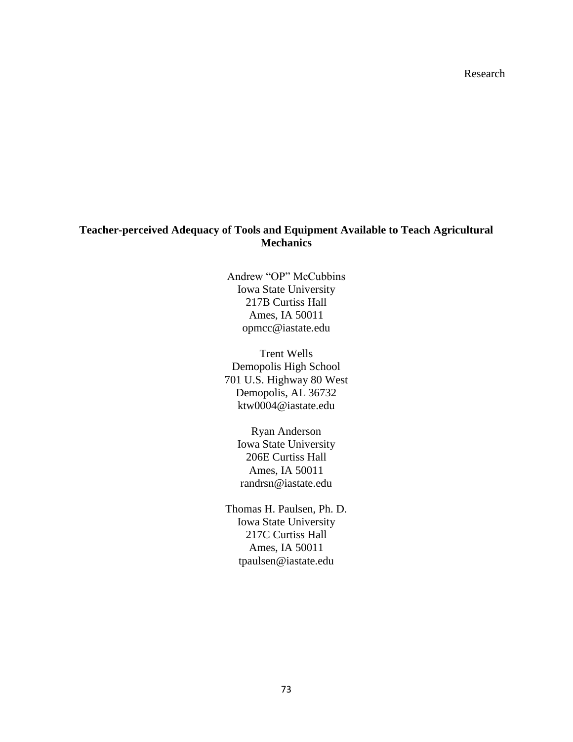Research

# **Teacher-perceived Adequacy of Tools and Equipment Available to Teach Agricultural Mechanics**

Andrew "OP" McCubbins Iowa State University 217B Curtiss Hall Ames, IA 50011 opmcc@iastate.edu

Trent Wells Demopolis High School 701 U.S. Highway 80 West Demopolis, AL 36732 ktw0004@iastate.edu

Ryan Anderson Iowa State University 206E Curtiss Hall Ames, IA 50011 randrsn@iastate.edu

Thomas H. Paulsen, Ph. D. Iowa State University 217C Curtiss Hall Ames, IA 50011 tpaulsen@iastate.edu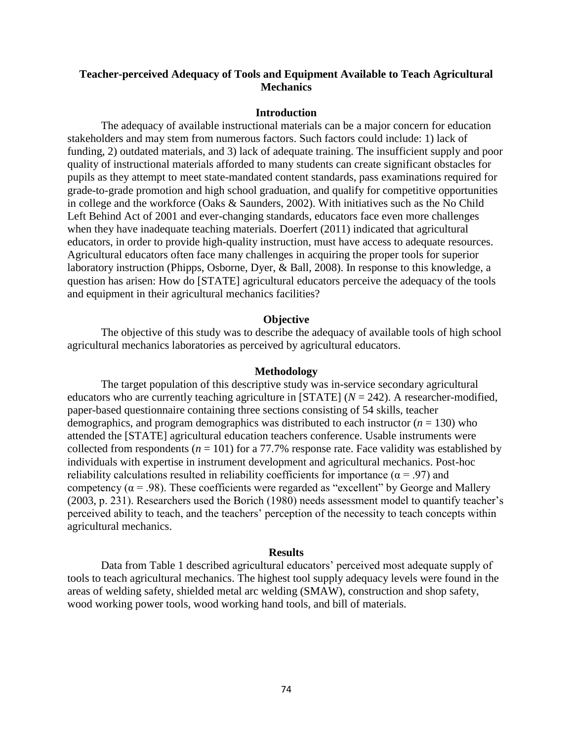# **Teacher-perceived Adequacy of Tools and Equipment Available to Teach Agricultural Mechanics**

#### **Introduction**

The adequacy of available instructional materials can be a major concern for education stakeholders and may stem from numerous factors. Such factors could include: 1) lack of funding, 2) outdated materials, and 3) lack of adequate training. The insufficient supply and poor quality of instructional materials afforded to many students can create significant obstacles for pupils as they attempt to meet state-mandated content standards, pass examinations required for grade-to-grade promotion and high school graduation, and qualify for competitive opportunities in college and the workforce (Oaks & Saunders, 2002). With initiatives such as the No Child Left Behind Act of 2001 and ever-changing standards, educators face even more challenges when they have inadequate teaching materials. Doerfert (2011) indicated that agricultural educators, in order to provide high-quality instruction, must have access to adequate resources. Agricultural educators often face many challenges in acquiring the proper tools for superior laboratory instruction (Phipps, Osborne, Dyer, & Ball, 2008). In response to this knowledge, a question has arisen: How do [STATE] agricultural educators perceive the adequacy of the tools and equipment in their agricultural mechanics facilities?

## **Objective**

The objective of this study was to describe the adequacy of available tools of high school agricultural mechanics laboratories as perceived by agricultural educators.

#### **Methodology**

The target population of this descriptive study was in-service secondary agricultural educators who are currently teaching agriculture in [STATE]  $(N = 242)$ . A researcher-modified, paper-based questionnaire containing three sections consisting of 54 skills, teacher demographics, and program demographics was distributed to each instructor  $(n = 130)$  who attended the [STATE] agricultural education teachers conference. Usable instruments were collected from respondents ( $n = 101$ ) for a 77.7% response rate. Face validity was established by individuals with expertise in instrument development and agricultural mechanics. Post-hoc reliability calculations resulted in reliability coefficients for importance ( $\alpha$  = .97) and competency ( $\alpha$  = .98). These coefficients were regarded as "excellent" by George and Mallery (2003, p. 231). Researchers used the Borich (1980) needs assessment model to quantify teacher's perceived ability to teach, and the teachers' perception of the necessity to teach concepts within agricultural mechanics.

#### **Results**

Data from Table 1 described agricultural educators' perceived most adequate supply of tools to teach agricultural mechanics. The highest tool supply adequacy levels were found in the areas of welding safety, shielded metal arc welding (SMAW), construction and shop safety, wood working power tools, wood working hand tools, and bill of materials.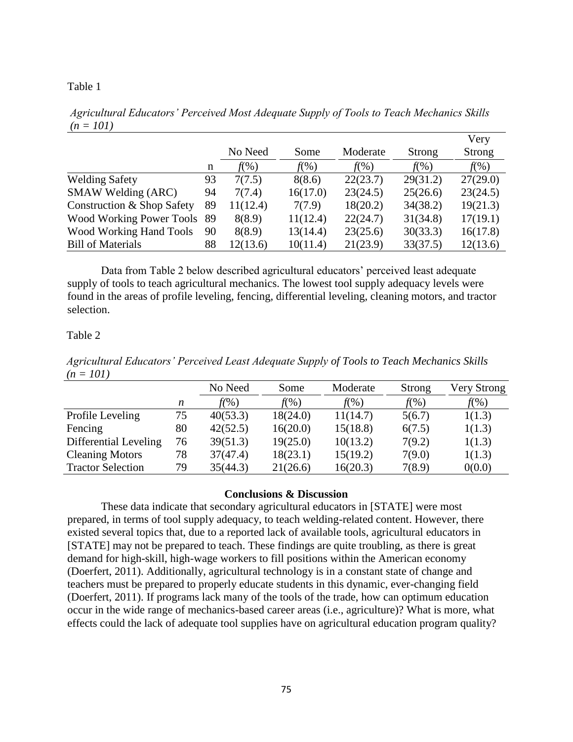## Table 1

*Agricultural Educators' Perceived Most Adequate Supply of Tools to Teach Mechanics Skills (n = 101)*

|                                |    |          |          |          |          | Very     |
|--------------------------------|----|----------|----------|----------|----------|----------|
|                                |    | No Need  | Some     | Moderate | Strong   | Strong   |
|                                | n  | $f(\%)$  | $f(\%)$  | $f(\%)$  | $f(\%)$  | $f(\%)$  |
| <b>Welding Safety</b>          | 93 | 7(7.5)   | 8(8.6)   | 22(23.7) | 29(31.2) | 27(29.0) |
| SMAW Welding (ARC)             | 94 | 7(7.4)   | 16(17.0) | 23(24.5) | 25(26.6) | 23(24.5) |
| Construction & Shop Safety     | 89 | 11(12.4) | 7(7.9)   | 18(20.2) | 34(38.2) | 19(21.3) |
| Wood Working Power Tools 89    |    | 8(8.9)   | 11(12.4) | 22(24.7) | 31(34.8) | 17(19.1) |
| <b>Wood Working Hand Tools</b> | 90 | 8(8.9)   | 13(14.4) | 23(25.6) | 30(33.3) | 16(17.8) |
| <b>Bill of Materials</b>       | 88 | 12(13.6) | 10(11.4) | 21(23.9) | 33(37.5) | 12(13.6) |

Data from Table 2 below described agricultural educators' perceived least adequate supply of tools to teach agricultural mechanics. The lowest tool supply adequacy levels were found in the areas of profile leveling, fencing, differential leveling, cleaning motors, and tractor selection.

## Table 2

*Agricultural Educators' Perceived Least Adequate Supply of Tools to Teach Mechanics Skills (n = 101)*

|                          |    | No Need  | Some     | Moderate | Strong  | Very Strong |
|--------------------------|----|----------|----------|----------|---------|-------------|
|                          | n  | f(%)     | f(%)     | $f(\%)$  | $f(\%)$ | $f(\%)$     |
| Profile Leveling         | 75 | 40(53.3) | 18(24.0) | 11(14.7) | 5(6.7)  | 1(1.3)      |
| Fencing                  | 80 | 42(52.5) | 16(20.0) | 15(18.8) | 6(7.5)  | 1(1.3)      |
| Differential Leveling    | 76 | 39(51.3) | 19(25.0) | 10(13.2) | 7(9.2)  | 1(1.3)      |
| <b>Cleaning Motors</b>   | 78 | 37(47.4) | 18(23.1) | 15(19.2) | 7(9.0)  | 1(1.3)      |
| <b>Tractor Selection</b> | 79 | 35(44.3) | 21(26.6) | 16(20.3) | 7(8.9)  | 0(0.0)      |

## **Conclusions & Discussion**

These data indicate that secondary agricultural educators in [STATE] were most prepared, in terms of tool supply adequacy, to teach welding-related content. However, there existed several topics that, due to a reported lack of available tools, agricultural educators in [STATE] may not be prepared to teach. These findings are quite troubling, as there is great demand for high-skill, high-wage workers to fill positions within the American economy (Doerfert, 2011). Additionally, agricultural technology is in a constant state of change and teachers must be prepared to properly educate students in this dynamic, ever-changing field (Doerfert, 2011). If programs lack many of the tools of the trade, how can optimum education occur in the wide range of mechanics-based career areas (i.e., agriculture)? What is more, what effects could the lack of adequate tool supplies have on agricultural education program quality?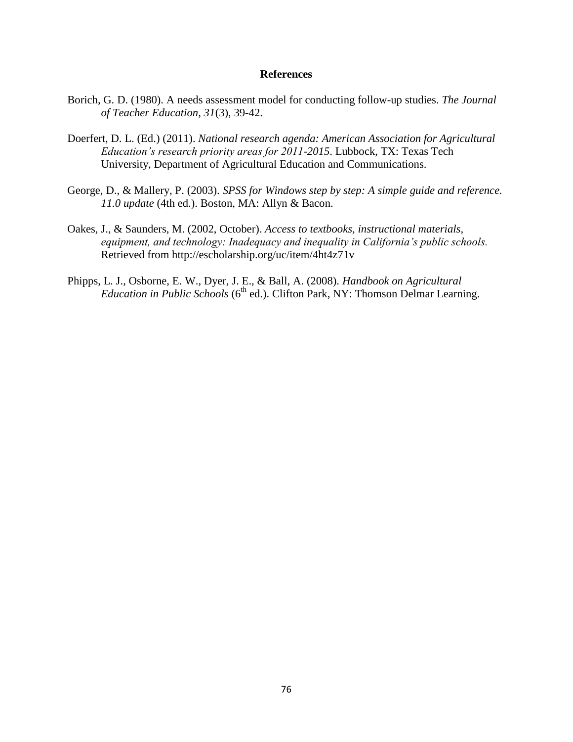## **References**

- Borich, G. D. (1980). A needs assessment model for conducting follow-up studies. *The Journal of Teacher Education, 31*(3), 39-42.
- Doerfert, D. L. (Ed.) (2011). *National research agenda: American Association for Agricultural Education's research priority areas for 2011-2015*. Lubbock, TX: Texas Tech University, Department of Agricultural Education and Communications.
- George, D., & Mallery, P. (2003). *SPSS for Windows step by step: A simple guide and reference. 11.0 update* (4th ed.). Boston, MA: Allyn & Bacon.
- Oakes, J., & Saunders, M. (2002, October). *Access to textbooks, instructional materials, equipment, and technology: Inadequacy and inequality in California's public schools.* Retrieved from http://escholarship.org/uc/item/4ht4z71v
- Phipps, L. J., Osborne, E. W., Dyer, J. E., & Ball, A. (2008). *Handbook on Agricultural Education in Public Schools* (6<sup>th</sup> ed.). Clifton Park, NY: Thomson Delmar Learning.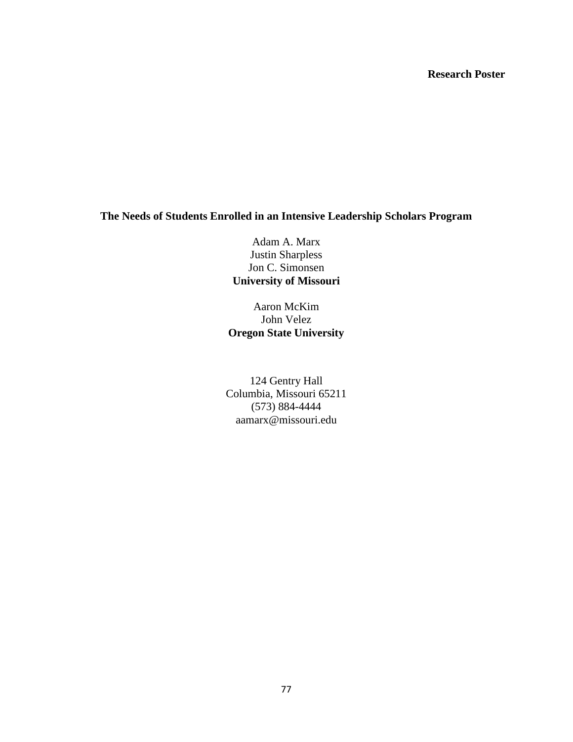# **Research Poster**

# **The Needs of Students Enrolled in an Intensive Leadership Scholars Program**

Adam A. Marx Justin Sharpless Jon C. Simonsen **University of Missouri**

Aaron McKim John Velez **Oregon State University**

124 Gentry Hall Columbia, Missouri 65211 (573) 884-4444 aamarx@missouri.edu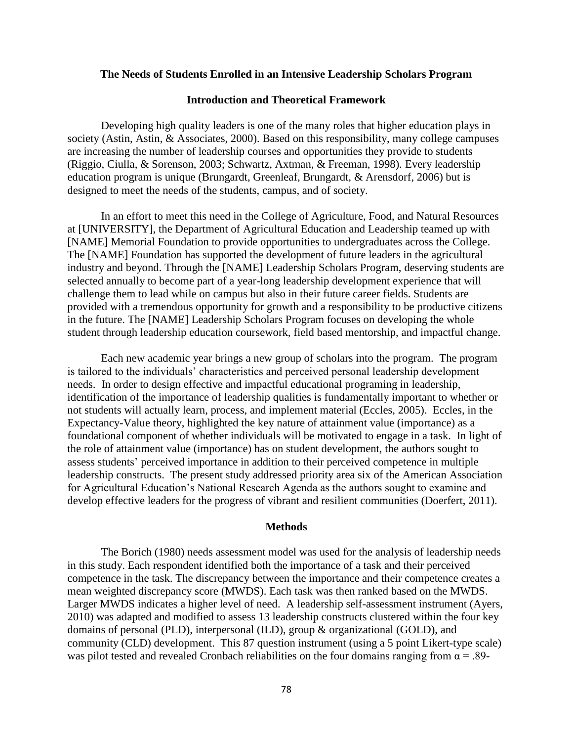## **The Needs of Students Enrolled in an Intensive Leadership Scholars Program**

## **Introduction and Theoretical Framework**

Developing high quality leaders is one of the many roles that higher education plays in society (Astin, Astin, & Associates, 2000). Based on this responsibility, many college campuses are increasing the number of leadership courses and opportunities they provide to students (Riggio, Ciulla, & Sorenson, 2003; Schwartz, Axtman, & Freeman, 1998). Every leadership education program is unique (Brungardt, Greenleaf, Brungardt, & Arensdorf, 2006) but is designed to meet the needs of the students, campus, and of society.

In an effort to meet this need in the College of Agriculture, Food, and Natural Resources at [UNIVERSITY], the Department of Agricultural Education and Leadership teamed up with [NAME] Memorial Foundation to provide opportunities to undergraduates across the College. The [NAME] Foundation has supported the development of future leaders in the agricultural industry and beyond. Through the [NAME] Leadership Scholars Program, deserving students are selected annually to become part of a year-long leadership development experience that will challenge them to lead while on campus but also in their future career fields. Students are provided with a tremendous opportunity for growth and a responsibility to be productive citizens in the future. The [NAME] Leadership Scholars Program focuses on developing the whole student through leadership education coursework, field based mentorship, and impactful change.

Each new academic year brings a new group of scholars into the program. The program is tailored to the individuals' characteristics and perceived personal leadership development needs. In order to design effective and impactful educational programing in leadership, identification of the importance of leadership qualities is fundamentally important to whether or not students will actually learn, process, and implement material (Eccles, 2005). Eccles, in the Expectancy-Value theory, highlighted the key nature of attainment value (importance) as a foundational component of whether individuals will be motivated to engage in a task. In light of the role of attainment value (importance) has on student development, the authors sought to assess students' perceived importance in addition to their perceived competence in multiple leadership constructs. The present study addressed priority area six of the American Association for Agricultural Education's National Research Agenda as the authors sought to examine and develop effective leaders for the progress of vibrant and resilient communities (Doerfert, 2011).

#### **Methods**

The Borich (1980) needs assessment model was used for the analysis of leadership needs in this study. Each respondent identified both the importance of a task and their perceived competence in the task. The discrepancy between the importance and their competence creates a mean weighted discrepancy score (MWDS). Each task was then ranked based on the MWDS. Larger MWDS indicates a higher level of need. A leadership self-assessment instrument (Ayers, 2010) was adapted and modified to assess 13 leadership constructs clustered within the four key domains of personal (PLD), interpersonal (ILD), group & organizational (GOLD), and community (CLD) development. This 87 question instrument (using a 5 point Likert-type scale) was pilot tested and revealed Cronbach reliabilities on the four domains ranging from  $\alpha = .89$ -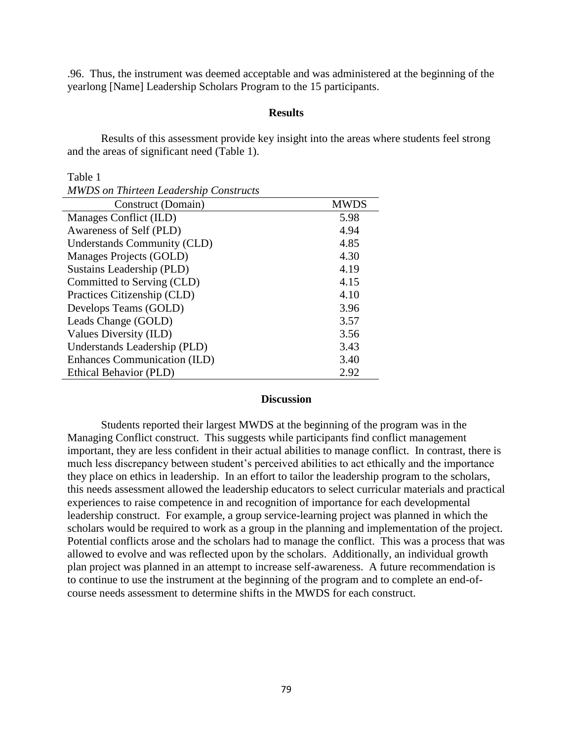.96. Thus, the instrument was deemed acceptable and was administered at the beginning of the yearlong [Name] Leadership Scholars Program to the 15 participants.

## **Results**

Results of this assessment provide key insight into the areas where students feel strong and the areas of significant need (Table 1).

Table 1

| <b>MWDS</b> on Thirteen Leadership Constructs |             |
|-----------------------------------------------|-------------|
| Construct (Domain)                            | <b>MWDS</b> |
| Manages Conflict (ILD)                        | 5.98        |
| Awareness of Self (PLD)                       | 4.94        |
| Understands Community (CLD)                   | 4.85        |
| Manages Projects (GOLD)                       | 4.30        |
| Sustains Leadership (PLD)                     | 4.19        |
| Committed to Serving (CLD)                    | 4.15        |
| Practices Citizenship (CLD)                   | 4.10        |
| Develops Teams (GOLD)                         | 3.96        |
| Leads Change (GOLD)                           | 3.57        |
| Values Diversity (ILD)                        | 3.56        |
| Understands Leadership (PLD)                  | 3.43        |
| Enhances Communication (ILD)                  | 3.40        |
| Ethical Behavior (PLD)                        | 2.92        |

## **Discussion**

Students reported their largest MWDS at the beginning of the program was in the Managing Conflict construct. This suggests while participants find conflict management important, they are less confident in their actual abilities to manage conflict. In contrast, there is much less discrepancy between student's perceived abilities to act ethically and the importance they place on ethics in leadership. In an effort to tailor the leadership program to the scholars, this needs assessment allowed the leadership educators to select curricular materials and practical experiences to raise competence in and recognition of importance for each developmental leadership construct. For example, a group service-learning project was planned in which the scholars would be required to work as a group in the planning and implementation of the project. Potential conflicts arose and the scholars had to manage the conflict. This was a process that was allowed to evolve and was reflected upon by the scholars. Additionally, an individual growth plan project was planned in an attempt to increase self-awareness. A future recommendation is to continue to use the instrument at the beginning of the program and to complete an end-ofcourse needs assessment to determine shifts in the MWDS for each construct.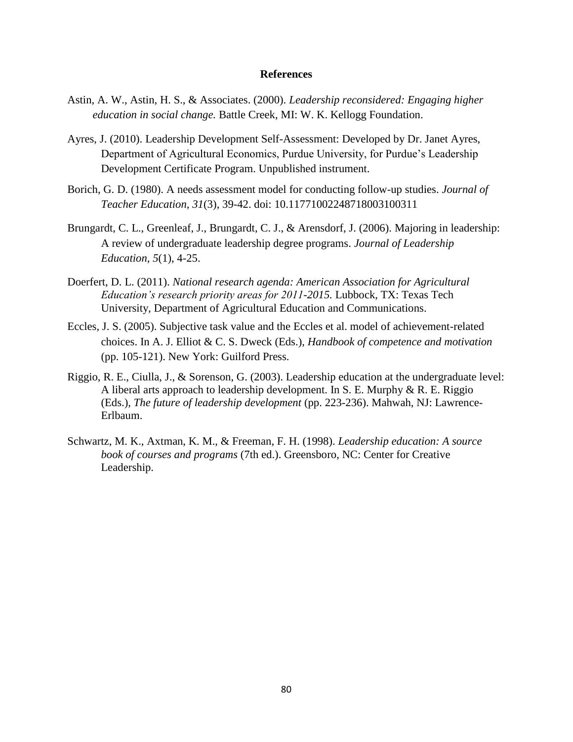## **References**

- Astin, A. W., Astin, H. S., & Associates. (2000). *Leadership reconsidered: Engaging higher education in social change.* Battle Creek, MI: W. K. Kellogg Foundation.
- Ayres, J. (2010). Leadership Development Self-Assessment: Developed by Dr. Janet Ayres, Department of Agricultural Economics, Purdue University, for Purdue's Leadership Development Certificate Program. Unpublished instrument.
- Borich, G. D. (1980). A needs assessment model for conducting follow-up studies. *Journal of Teacher Education, 31*(3), 39-42. doi: 10.11771002248718003100311
- Brungardt, C. L., Greenleaf, J., Brungardt, C. J., & Arensdorf, J. (2006). Majoring in leadership: A review of undergraduate leadership degree programs. *Journal of Leadership Education, 5*(1), 4-25.
- Doerfert, D. L. (2011). *National research agenda: American Association for Agricultural Education's research priority areas for 2011-2015.* Lubbock, TX: Texas Tech University, Department of Agricultural Education and Communications.
- Eccles, J. S. (2005). Subjective task value and the Eccles et al. model of achievement-related choices. In A. J. Elliot & C. S. Dweck (Eds.), *Handbook of competence and motivation*  (pp. 105-121). New York: Guilford Press.
- Riggio, R. E., Ciulla, J., & Sorenson, G. (2003). Leadership education at the undergraduate level: A liberal arts approach to leadership development. In S. E. Murphy & R. E. Riggio (Eds.), *The future of leadership development* (pp. 223-236). Mahwah, NJ: Lawrence-Erlbaum.
- Schwartz, M. K., Axtman, K. M., & Freeman, F. H. (1998). *Leadership education: A source book of courses and programs* (7th ed.). Greensboro, NC: Center for Creative Leadership.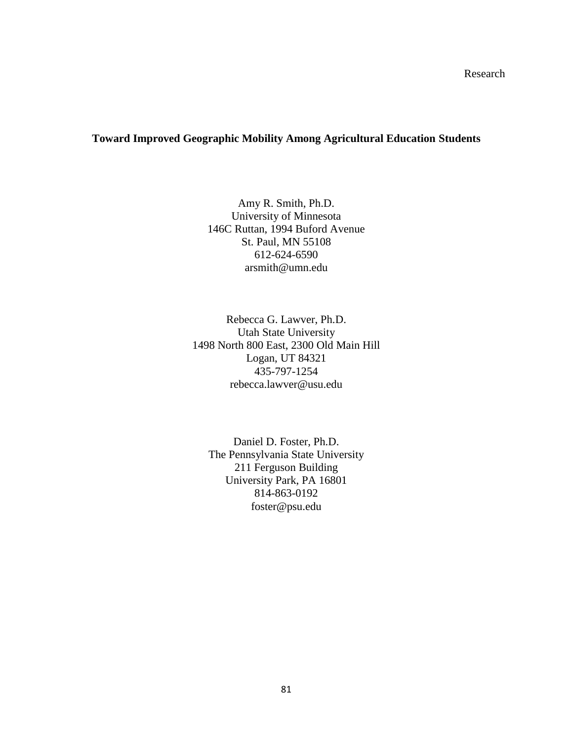Research

## **Toward Improved Geographic Mobility Among Agricultural Education Students**

Amy R. Smith, Ph.D. University of Minnesota 146C Ruttan, 1994 Buford Avenue St. Paul, MN 55108 612-624-6590 arsmith@umn.edu

Rebecca G. Lawver, Ph.D. Utah State University 1498 North 800 East, 2300 Old Main Hill Logan, UT 84321 435-797-1254 rebecca.lawver@usu.edu

Daniel D. Foster, Ph.D. The Pennsylvania State University 211 Ferguson Building University Park, PA 16801 814-863-0192 foster@psu.edu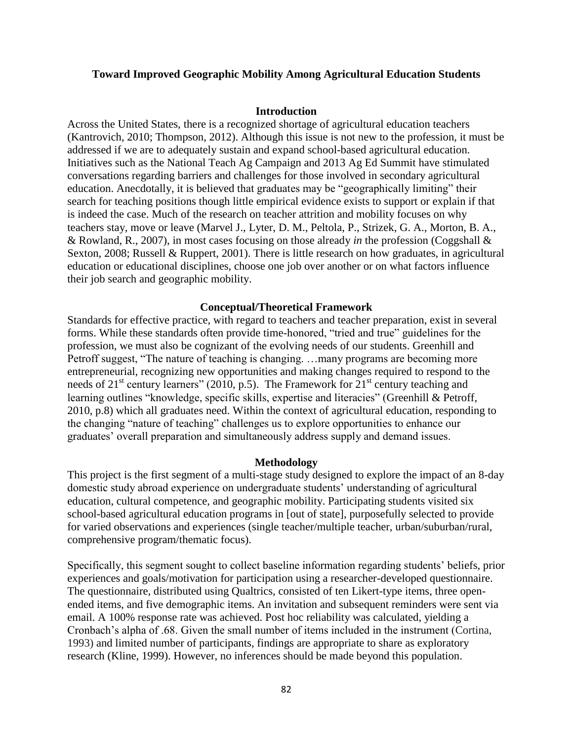## **Toward Improved Geographic Mobility Among Agricultural Education Students**

#### **Introduction**

Across the United States, there is a recognized shortage of agricultural education teachers (Kantrovich, 2010; Thompson, 2012). Although this issue is not new to the profession, it must be addressed if we are to adequately sustain and expand school-based agricultural education. Initiatives such as the National Teach Ag Campaign and 2013 Ag Ed Summit have stimulated conversations regarding barriers and challenges for those involved in secondary agricultural education. Anecdotally, it is believed that graduates may be "geographically limiting" their search for teaching positions though little empirical evidence exists to support or explain if that is indeed the case. Much of the research on teacher attrition and mobility focuses on why teachers stay, move or leave (Marvel J., Lyter, D. M., Peltola, P., Strizek, G. A., Morton, B. A., & Rowland, R., 2007), in most cases focusing on those already *in* the profession (Coggshall & Sexton, 2008; Russell & Ruppert, 2001). There is little research on how graduates, in agricultural education or educational disciplines, choose one job over another or on what factors influence their job search and geographic mobility.

## **Conceptual/Theoretical Framework**

Standards for effective practice, with regard to teachers and teacher preparation, exist in several forms. While these standards often provide time-honored, "tried and true" guidelines for the profession, we must also be cognizant of the evolving needs of our students. Greenhill and Petroff suggest, "The nature of teaching is changing. …many programs are becoming more entrepreneurial, recognizing new opportunities and making changes required to respond to the needs of  $21^{st}$  century learners" (2010, p.5). The Framework for  $21^{st}$  century teaching and learning outlines "knowledge, specific skills, expertise and literacies" (Greenhill & Petroff, 2010, p.8) which all graduates need. Within the context of agricultural education, responding to the changing "nature of teaching" challenges us to explore opportunities to enhance our graduates' overall preparation and simultaneously address supply and demand issues.

#### **Methodology**

This project is the first segment of a multi-stage study designed to explore the impact of an 8-day domestic study abroad experience on undergraduate students' understanding of agricultural education, cultural competence, and geographic mobility. Participating students visited six school-based agricultural education programs in [out of state], purposefully selected to provide for varied observations and experiences (single teacher/multiple teacher, urban/suburban/rural, comprehensive program/thematic focus).

Specifically, this segment sought to collect baseline information regarding students' beliefs, prior experiences and goals/motivation for participation using a researcher-developed questionnaire. The questionnaire, distributed using Qualtrics, consisted of ten Likert-type items, three openended items, and five demographic items. An invitation and subsequent reminders were sent via email. A 100% response rate was achieved. Post hoc reliability was calculated, yielding a Cronbach's alpha of .68. Given the small number of items included in the instrument (Cortina, 1993) and limited number of participants, findings are appropriate to share as exploratory research (Kline, 1999). However, no inferences should be made beyond this population.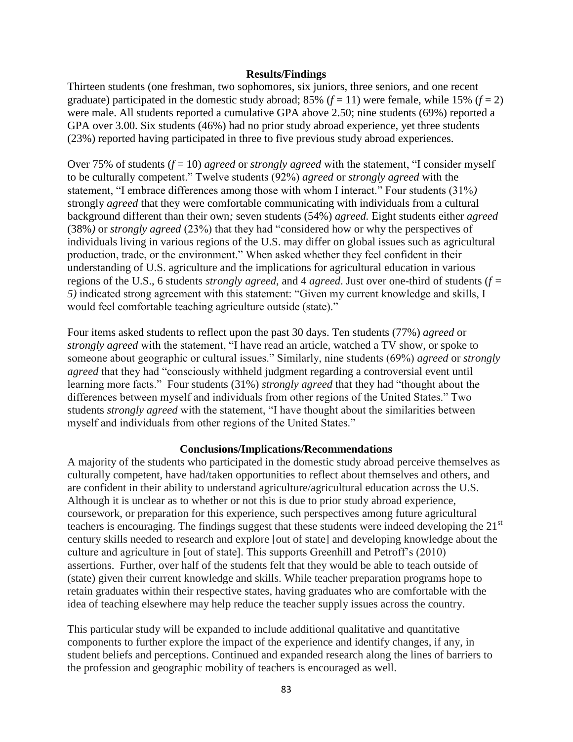## **Results/Findings**

Thirteen students (one freshman, two sophomores, six juniors, three seniors, and one recent graduate) participated in the domestic study abroad; 85%  $(f = 11)$  were female, while 15%  $(f = 2)$ were male. All students reported a cumulative GPA above 2.50; nine students (69%) reported a GPA over 3.00. Six students (46%) had no prior study abroad experience, yet three students (23%) reported having participated in three to five previous study abroad experiences.

Over 75% of students (*f* = 10) *agreed* or *strongly agreed* with the statement, "I consider myself to be culturally competent." Twelve students (92%) *agreed* or *strongly agreed* with the statement, "I embrace differences among those with whom I interact." Four students (31%*)*  strongly *agreed* that they were comfortable communicating with individuals from a cultural background different than their own*;* seven students (54%) *agreed.* Eight students either *agreed* (38%*)* or *strongly agreed* (23%) that they had "considered how or why the perspectives of individuals living in various regions of the U.S. may differ on global issues such as agricultural production, trade, or the environment." When asked whether they feel confident in their understanding of U.S. agriculture and the implications for agricultural education in various regions of the U.S., 6 students *strongly agreed*, and 4 *agreed*. Just over one-third of students (*f = 5)* indicated strong agreement with this statement: "Given my current knowledge and skills, I would feel comfortable teaching agriculture outside (state)."

Four items asked students to reflect upon the past 30 days. Ten students (77%) *agreed* or *strongly agreed* with the statement, "I have read an article, watched a TV show, or spoke to someone about geographic or cultural issues." Similarly, nine students (69%) *agreed* or *strongly agreed* that they had "consciously withheld judgment regarding a controversial event until learning more facts." Four students (31%) *strongly agreed* that they had "thought about the differences between myself and individuals from other regions of the United States." Two students *strongly agreed* with the statement, "I have thought about the similarities between myself and individuals from other regions of the United States."

## **Conclusions/Implications/Recommendations**

A majority of the students who participated in the domestic study abroad perceive themselves as culturally competent, have had/taken opportunities to reflect about themselves and others, and are confident in their ability to understand agriculture/agricultural education across the U.S. Although it is unclear as to whether or not this is due to prior study abroad experience, coursework, or preparation for this experience, such perspectives among future agricultural teachers is encouraging. The findings suggest that these students were indeed developing the 21<sup>st</sup> century skills needed to research and explore [out of state] and developing knowledge about the culture and agriculture in [out of state]. This supports Greenhill and Petroff's (2010) assertions. Further, over half of the students felt that they would be able to teach outside of (state) given their current knowledge and skills. While teacher preparation programs hope to retain graduates within their respective states, having graduates who are comfortable with the idea of teaching elsewhere may help reduce the teacher supply issues across the country.

This particular study will be expanded to include additional qualitative and quantitative components to further explore the impact of the experience and identify changes, if any, in student beliefs and perceptions. Continued and expanded research along the lines of barriers to the profession and geographic mobility of teachers is encouraged as well.